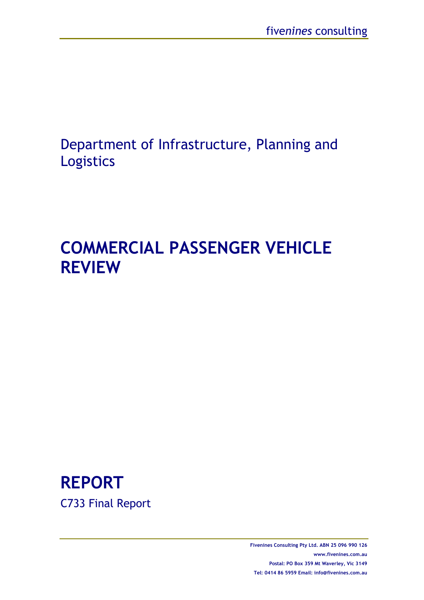# Department of Infrastructure, Planning and Logistics

# **COMMERCIAL PASSENGER VEHICLE REVIEW**

# **REPORT**  C733 Final Report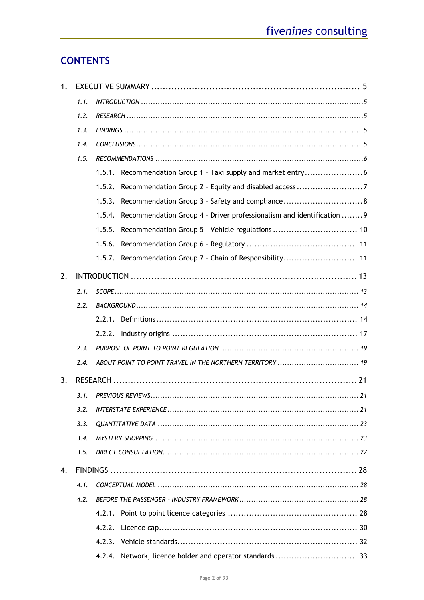# **CONTENTS**

| 1. |      |                                                                                 |  |  |  |  |  |
|----|------|---------------------------------------------------------------------------------|--|--|--|--|--|
|    | 1.1. |                                                                                 |  |  |  |  |  |
|    | 1.2. |                                                                                 |  |  |  |  |  |
|    | 1.3. |                                                                                 |  |  |  |  |  |
|    | 1.4. |                                                                                 |  |  |  |  |  |
|    | 1.5. |                                                                                 |  |  |  |  |  |
|    |      |                                                                                 |  |  |  |  |  |
|    |      | 1.5.2.                                                                          |  |  |  |  |  |
|    |      | 1.5.3.                                                                          |  |  |  |  |  |
|    |      | Recommendation Group 4 - Driver professionalism and identification  9<br>1.5.4. |  |  |  |  |  |
|    |      | 1.5.5.                                                                          |  |  |  |  |  |
|    |      | 1.5.6.                                                                          |  |  |  |  |  |
|    |      | 1.5.7. Recommendation Group 7 - Chain of Responsibility 11                      |  |  |  |  |  |
| 2. |      |                                                                                 |  |  |  |  |  |
|    | 2.1. |                                                                                 |  |  |  |  |  |
|    | 2.2. |                                                                                 |  |  |  |  |  |
|    |      |                                                                                 |  |  |  |  |  |
|    |      | 2.2.2.                                                                          |  |  |  |  |  |
|    | 2.3. |                                                                                 |  |  |  |  |  |
|    | 2.4. | ABOUT POINT TO POINT TRAVEL IN THE NORTHERN TERRITORY  19                       |  |  |  |  |  |
| 3. |      |                                                                                 |  |  |  |  |  |
|    | 3.1. |                                                                                 |  |  |  |  |  |
|    | 3.2. |                                                                                 |  |  |  |  |  |
|    | 3.3. |                                                                                 |  |  |  |  |  |
|    | 3.4. |                                                                                 |  |  |  |  |  |
|    | 3.5. |                                                                                 |  |  |  |  |  |
| 4. |      |                                                                                 |  |  |  |  |  |
|    | 4.1. |                                                                                 |  |  |  |  |  |
|    | 4.2. |                                                                                 |  |  |  |  |  |
|    |      | 4.2.1.                                                                          |  |  |  |  |  |
|    |      | 4.2.2.                                                                          |  |  |  |  |  |
|    |      |                                                                                 |  |  |  |  |  |
|    |      | Network, licence holder and operator standards  33<br>4.2.4.                    |  |  |  |  |  |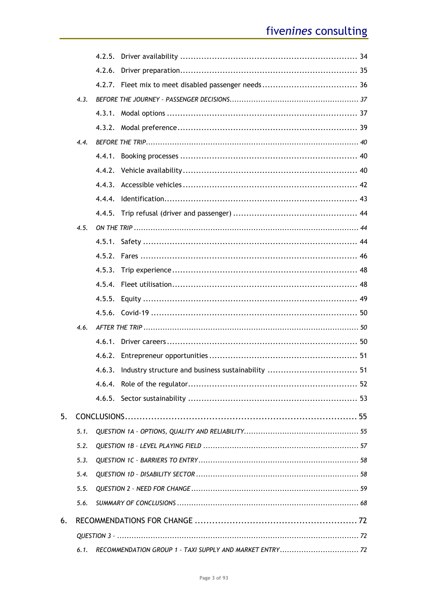|    | 4.3. |                                                          |    |
|----|------|----------------------------------------------------------|----|
|    |      |                                                          |    |
|    |      |                                                          |    |
|    | 4.4. |                                                          |    |
|    |      |                                                          |    |
|    |      |                                                          |    |
|    |      |                                                          |    |
|    |      |                                                          |    |
|    |      |                                                          |    |
|    | 4.5. |                                                          |    |
|    |      |                                                          |    |
|    |      |                                                          |    |
|    |      |                                                          |    |
|    |      |                                                          |    |
|    |      |                                                          |    |
|    |      |                                                          |    |
|    | 4.6. |                                                          |    |
|    |      |                                                          |    |
|    |      |                                                          |    |
|    |      | 4.6.3. Industry structure and business sustainability    | 51 |
|    |      |                                                          |    |
|    |      |                                                          |    |
| 5. |      |                                                          |    |
|    | 5.1. |                                                          |    |
|    | 5.2. |                                                          |    |
|    | 5.3. |                                                          |    |
|    | 5.4. |                                                          |    |
|    | 5.5. |                                                          |    |
|    | 5.6. |                                                          |    |
| 6. |      |                                                          |    |
|    |      |                                                          |    |
|    | 6.1. | RECOMMENDATION GROUP 1 - TAXI SUPPLY AND MARKET ENTRY 72 |    |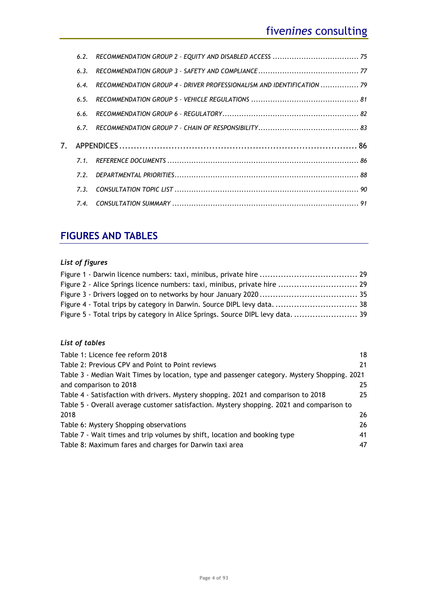|    | 6.2. |                                                                        |  |
|----|------|------------------------------------------------------------------------|--|
|    | 6.3. |                                                                        |  |
|    | 6.4. | RECOMMENDATION GROUP 4 - DRIVER PROFESSIONALISM AND IDENTIFICATION  79 |  |
|    | 6.5. |                                                                        |  |
|    | 6.6. |                                                                        |  |
|    | 6.7. |                                                                        |  |
| 7. |      |                                                                        |  |
|    | 7.1. |                                                                        |  |
|    | 7.2  |                                                                        |  |
|    | 7.3. |                                                                        |  |
|    | 7.4. |                                                                        |  |

# **FIGURES AND TABLES**

# *List of figures*

| Figure 2 - Alice Springs licence numbers: taxi, minibus, private hire  29     |  |
|-------------------------------------------------------------------------------|--|
|                                                                               |  |
|                                                                               |  |
| Figure 5 - Total trips by category in Alice Springs. Source DIPL levy data 39 |  |

# *List of tables*

| Table 1: Licence fee reform 2018                                                             | 18 |
|----------------------------------------------------------------------------------------------|----|
| Table 2: Previous CPV and Point to Point reviews                                             | 21 |
| Table 3 - Median Wait Times by location, type and passenger category. Mystery Shopping. 2021 |    |
| and comparison to 2018                                                                       | 25 |
| Table 4 - Satisfaction with drivers. Mystery shopping. 2021 and comparison to 2018           | 25 |
| Table 5 - Overall average customer satisfaction. Mystery shopping. 2021 and comparison to    |    |
| 2018                                                                                         | 26 |
| Table 6: Mystery Shopping observations                                                       | 26 |
| Table 7 - Wait times and trip volumes by shift, location and booking type                    | 41 |
| Table 8: Maximum fares and charges for Darwin taxi area                                      | 47 |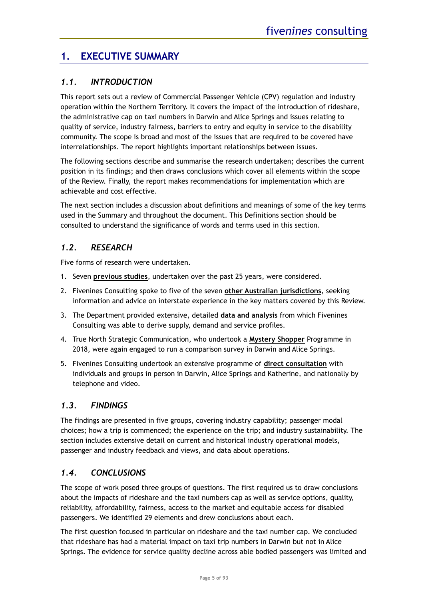# <span id="page-4-0"></span>**1. EXECUTIVE SUMMARY**

# <span id="page-4-1"></span>*1.1. INTRODUCTION*

This report sets out a review of Commercial Passenger Vehicle (CPV) regulation and industry operation within the Northern Territory. It covers the impact of the introduction of rideshare, the administrative cap on taxi numbers in Darwin and Alice Springs and issues relating to quality of service, industry fairness, barriers to entry and equity in service to the disability community. The scope is broad and most of the issues that are required to be covered have interrelationships. The report highlights important relationships between issues.

The following sections describe and summarise the research undertaken; describes the current position in its findings; and then draws conclusions which cover all elements within the scope of the Review. Finally, the report makes recommendations for implementation which are achievable and cost effective.

The next section includes a discussion about definitions and meanings of some of the key terms used in the Summary and throughout the document. This Definitions section should be consulted to understand the significance of words and terms used in this section.

# <span id="page-4-2"></span>*1.2. RESEARCH*

Five forms of research were undertaken.

- 1. Seven **previous studies**, undertaken over the past 25 years, were considered.
- 2. Fivenines Consulting spoke to five of the seven **other Australian jurisdictions**, seeking information and advice on interstate experience in the key matters covered by this Review.
- 3. The Department provided extensive, detailed **data and analysis** from which Fivenines Consulting was able to derive supply, demand and service profiles.
- 4. True North Strategic Communication, who undertook a **Mystery Shopper** Programme in 2018, were again engaged to run a comparison survey in Darwin and Alice Springs.
- 5. Fivenines Consulting undertook an extensive programme of **direct consultation** with individuals and groups in person in Darwin, Alice Springs and Katherine, and nationally by telephone and video.

# <span id="page-4-3"></span>*1.3. FINDINGS*

The findings are presented in five groups, covering industry capability; passenger modal choices; how a trip is commenced; the experience on the trip; and industry sustainability. The section includes extensive detail on current and historical industry operational models, passenger and industry feedback and views, and data about operations.

# <span id="page-4-4"></span>*1.4. CONCLUSIONS*

The scope of work posed three groups of questions. The first required us to draw conclusions about the impacts of rideshare and the taxi numbers cap as well as service options, quality, reliability, affordability, fairness, access to the market and equitable access for disabled passengers. We identified 29 elements and drew conclusions about each.

The first question focused in particular on rideshare and the taxi number cap. We concluded that rideshare has had a material impact on taxi trip numbers in Darwin but not in Alice Springs. The evidence for service quality decline across able bodied passengers was limited and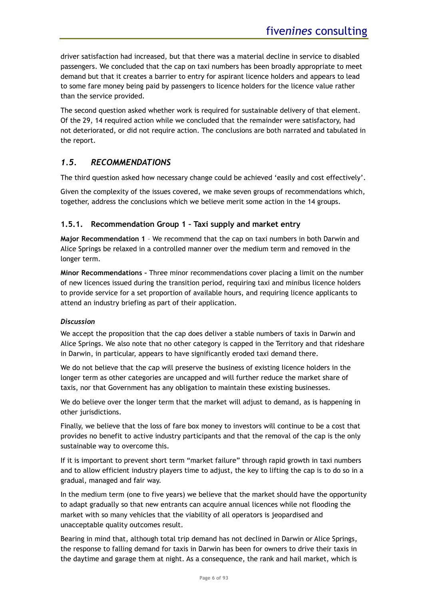driver satisfaction had increased, but that there was a material decline in service to disabled passengers. We concluded that the cap on taxi numbers has been broadly appropriate to meet demand but that it creates a barrier to entry for aspirant licence holders and appears to lead to some fare money being paid by passengers to licence holders for the licence value rather than the service provided.

The second question asked whether work is required for sustainable delivery of that element. Of the 29, 14 required action while we concluded that the remainder were satisfactory, had not deteriorated, or did not require action. The conclusions are both narrated and tabulated in the report.

# <span id="page-5-0"></span>*1.5. RECOMMENDATIONS*

The third question asked how necessary change could be achieved 'easily and cost effectively'.

Given the complexity of the issues covered, we make seven groups of recommendations which, together, address the conclusions which we believe merit some action in the 14 groups.

### <span id="page-5-1"></span>**1.5.1. Recommendation Group 1 – [Taxi supply and market entry](#page-71-2)**

**Major Recommendation 1** – We recommend that the cap on taxi numbers in both Darwin and Alice Springs be relaxed in a controlled manner over the medium term and removed in the longer term.

**Minor Recommendations –** Three minor recommendations cover placing a limit on the number of new licences issued during the transition period, requiring taxi and minibus licence holders to provide service for a set proportion of available hours, and requiring licence applicants to attend an industry briefing as part of their application.

#### *Discussion*

We accept the proposition that the cap does deliver a stable numbers of taxis in Darwin and Alice Springs. We also note that no other category is capped in the Territory and that rideshare in Darwin, in particular, appears to have significantly eroded taxi demand there.

We do not believe that the cap will preserve the business of existing licence holders in the longer term as other categories are uncapped and will further reduce the market share of taxis, nor that Government has any obligation to maintain these existing businesses.

We do believe over the longer term that the market will adjust to demand, as is happening in other jurisdictions.

Finally, we believe that the loss of fare box money to investors will continue to be a cost that provides no benefit to active industry participants and that the removal of the cap is the only sustainable way to overcome this.

If it is important to prevent short term "market failure" through rapid growth in taxi numbers and to allow efficient industry players time to adjust, the key to lifting the cap is to do so in a gradual, managed and fair way.

In the medium term (one to five years) we believe that the market should have the opportunity to adapt gradually so that new entrants can acquire annual licences while not flooding the market with so many vehicles that the viability of all operators is jeopardised and unacceptable quality outcomes result.

Bearing in mind that, although total trip demand has not declined in Darwin or Alice Springs, the response to falling demand for taxis in Darwin has been for owners to drive their taxis in the daytime and garage them at night. As a consequence, the rank and hail market, which is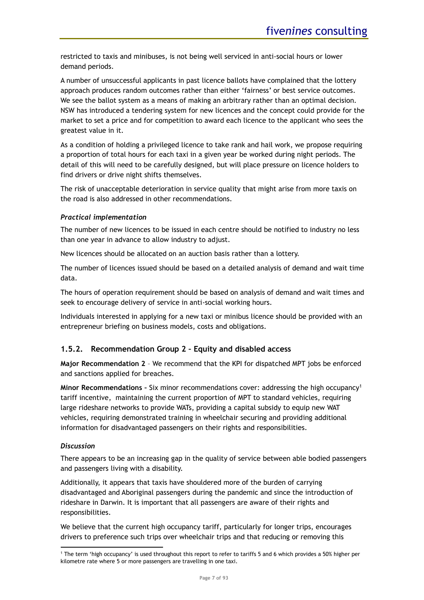restricted to taxis and minibuses, is not being well serviced in anti-social hours or lower demand periods.

A number of unsuccessful applicants in past licence ballots have complained that the lottery approach produces random outcomes rather than either 'fairness' or best service outcomes. We see the ballot system as a means of making an arbitrary rather than an optimal decision. NSW has introduced a tendering system for new licences and the concept could provide for the market to set a price and for competition to award each licence to the applicant who sees the greatest value in it.

As a condition of holding a privileged licence to take rank and hail work, we propose requiring a proportion of total hours for each taxi in a given year be worked during night periods. The detail of this will need to be carefully designed, but will place pressure on licence holders to find drivers or drive night shifts themselves.

The risk of unacceptable deterioration in service quality that might arise from more taxis on the road is also addressed in other recommendations.

#### *Practical implementation*

The number of new licences to be issued in each centre should be notified to industry no less than one year in advance to allow industry to adjust.

New licences should be allocated on an auction basis rather than a lottery.

The number of licences issued should be based on a detailed analysis of demand and wait time data.

The hours of operation requirement should be based on analysis of demand and wait times and seek to encourage delivery of service in anti-social working hours.

Individuals interested in applying for a new taxi or minibus licence should be provided with an entrepreneur briefing on business models, costs and obligations.

# <span id="page-6-0"></span>**1.5.2. [Recommendation Group 2 –](#page-74-0) Equity and disabled access**

**Major Recommendation 2** – We recommend that the KPI for dispatched MPT jobs be enforced and sanctions applied for breaches.

**Minor Recommendations –** Six minor recommendations cover: addressing the high occupancy<sup>1</sup> tariff incentive, maintaining the current proportion of MPT to standard vehicles, requiring large rideshare networks to provide WATs, providing a capital subsidy to equip new WAT vehicles, requiring demonstrated training in wheelchair securing and providing additional information for disadvantaged passengers on their rights and responsibilities.

#### *Discussion*

There appears to be an increasing gap in the quality of service between able bodied passengers and passengers living with a disability.

Additionally, it appears that taxis have shouldered more of the burden of carrying disadvantaged and Aboriginal passengers during the pandemic and since the introduction of rideshare in Darwin. It is important that all passengers are aware of their rights and responsibilities.

We believe that the current high occupancy tariff, particularly for longer trips, encourages drivers to preference such trips over wheelchair trips and that reducing or removing this

<sup>&</sup>lt;sup>1</sup> The term 'high occupancy' is used throughout this report to refer to tariffs 5 and 6 which provides a 50% higher per kilometre rate where 5 or more passengers are travelling in one taxi.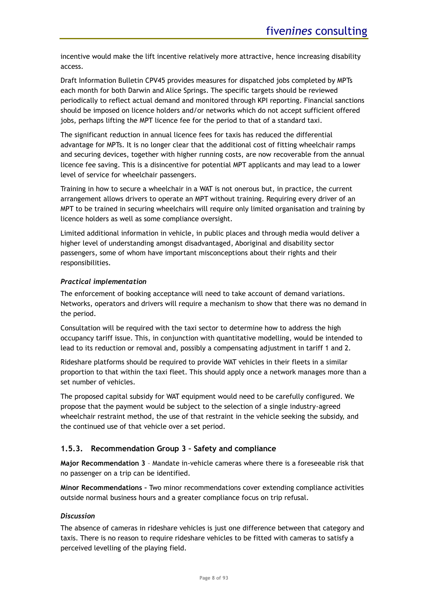incentive would make the lift incentive relatively more attractive, hence increasing disability access.

Draft Information Bulletin CPV45 provides measures for dispatched jobs completed by MPTs each month for both Darwin and Alice Springs. The specific targets should be reviewed periodically to reflect actual demand and monitored through KPI reporting. Financial sanctions should be imposed on licence holders and/or networks which do not accept sufficient offered jobs, perhaps lifting the MPT licence fee for the period to that of a standard taxi.

The significant reduction in annual licence fees for taxis has reduced the differential advantage for MPTs. It is no longer clear that the additional cost of fitting wheelchair ramps and securing devices, together with higher running costs, are now recoverable from the annual licence fee saving. This is a disincentive for potential MPT applicants and may lead to a lower level of service for wheelchair passengers.

Training in how to secure a wheelchair in a WAT is not onerous but, in practice, the current arrangement allows drivers to operate an MPT without training. Requiring every driver of an MPT to be trained in securing wheelchairs will require only limited organisation and training by licence holders as well as some compliance oversight.

Limited additional information in vehicle, in public places and through media would deliver a higher level of understanding amongst disadvantaged, Aboriginal and disability sector passengers, some of whom have important misconceptions about their rights and their responsibilities.

# *Practical implementation*

The enforcement of booking acceptance will need to take account of demand variations. Networks, operators and drivers will require a mechanism to show that there was no demand in the period.

Consultation will be required with the taxi sector to determine how to address the high occupancy tariff issue. This, in conjunction with quantitative modelling, would be intended to lead to its reduction or removal and, possibly a compensating adjustment in tariff 1 and 2.

Rideshare platforms should be required to provide WAT vehicles in their fleets in a similar proportion to that within the taxi fleet. This should apply once a network manages more than a set number of vehicles.

The proposed capital subsidy for WAT equipment would need to be carefully configured. We propose that the payment would be subject to the selection of a single industry-agreed wheelchair restraint method, the use of that restraint in the vehicle seeking the subsidy, and the continued use of that vehicle over a set period.

# <span id="page-7-0"></span>**1.5.3. [Recommendation Group 3 –](#page-76-0) Safety and compliance**

**Major Recommendation 3** – Mandate in-vehicle cameras where there is a foreseeable risk that no passenger on a trip can be identified.

**Minor Recommendations –** Two minor recommendations cover extending compliance activities outside normal business hours and a greater compliance focus on trip refusal.

#### *Discussion*

The absence of cameras in rideshare vehicles is just one difference between that category and taxis. There is no reason to require rideshare vehicles to be fitted with cameras to satisfy a perceived levelling of the playing field.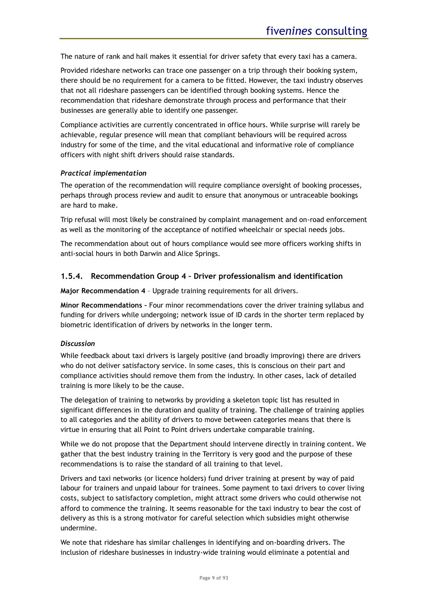The nature of rank and hail makes it essential for driver safety that every taxi has a camera.

Provided rideshare networks can trace one passenger on a trip through their booking system, there should be no requirement for a camera to be fitted. However, the taxi industry observes that not all rideshare passengers can be identified through booking systems. Hence the recommendation that rideshare demonstrate through process and performance that their businesses are generally able to identify one passenger.

Compliance activities are currently concentrated in office hours. While surprise will rarely be achievable, regular presence will mean that compliant behaviours will be required across industry for some of the time, and the vital educational and informative role of compliance officers with night shift drivers should raise standards.

#### *Practical implementation*

The operation of the recommendation will require compliance oversight of booking processes, perhaps through process review and audit to ensure that anonymous or untraceable bookings are hard to make.

Trip refusal will most likely be constrained by complaint management and on-road enforcement as well as the monitoring of the acceptance of notified wheelchair or special needs jobs.

The recommendation about out of hours compliance would see more officers working shifts in anti-social hours in both Darwin and Alice Springs.

#### <span id="page-8-0"></span>**1.5.4. [Recommendation Group 4 –](#page-78-0) Driver professionalism and identification**

**Major Recommendation 4** – Upgrade training requirements for all drivers.

**Minor Recommendations –** Four minor recommendations cover the driver training syllabus and funding for drivers while undergoing; network issue of ID cards in the shorter term replaced by biometric identification of drivers by networks in the longer term.

#### *Discussion*

While feedback about taxi drivers is largely positive (and broadly improving) there are drivers who do not deliver satisfactory service. In some cases, this is conscious on their part and compliance activities should remove them from the industry. In other cases, lack of detailed training is more likely to be the cause.

The delegation of training to networks by providing a skeleton topic list has resulted in significant differences in the duration and quality of training. The challenge of training applies to all categories and the ability of drivers to move between categories means that there is virtue in ensuring that all Point to Point drivers undertake comparable training.

While we do not propose that the Department should intervene directly in training content. We gather that the best industry training in the Territory is very good and the purpose of these recommendations is to raise the standard of all training to that level.

Drivers and taxi networks (or licence holders) fund driver training at present by way of paid labour for trainers and unpaid labour for trainees. Some payment to taxi drivers to cover living costs, subject to satisfactory completion, might attract some drivers who could otherwise not afford to commence the training. It seems reasonable for the taxi industry to bear the cost of delivery as this is a strong motivator for careful selection which subsidies might otherwise undermine.

We note that rideshare has similar challenges in identifying and on-boarding drivers. The inclusion of rideshare businesses in industry-wide training would eliminate a potential and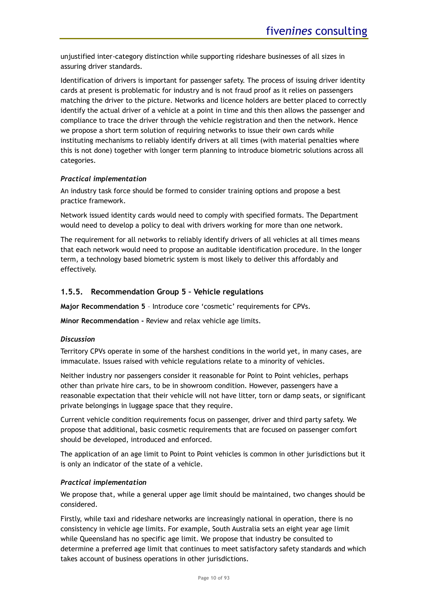unjustified inter-category distinction while supporting rideshare businesses of all sizes in assuring driver standards.

Identification of drivers is important for passenger safety. The process of issuing driver identity cards at present is problematic for industry and is not fraud proof as it relies on passengers matching the driver to the picture. Networks and licence holders are better placed to correctly identify the actual driver of a vehicle at a point in time and this then allows the passenger and compliance to trace the driver through the vehicle registration and then the network. Hence we propose a short term solution of requiring networks to issue their own cards while instituting mechanisms to reliably identify drivers at all times (with material penalties where this is not done) together with longer term planning to introduce biometric solutions across all categories.

### *Practical implementation*

An industry task force should be formed to consider training options and propose a best practice framework.

Network issued identity cards would need to comply with specified formats. The Department would need to develop a policy to deal with drivers working for more than one network.

The requirement for all networks to reliably identify drivers of all vehicles at all times means that each network would need to propose an auditable identification procedure. In the longer term, a technology based biometric system is most likely to deliver this affordably and effectively.

### <span id="page-9-0"></span>**1.5.5. [Recommendation Group 5 –](#page-80-0) Vehicle regulations**

**Major Recommendation 5** – Introduce core 'cosmetic' requirements for CPVs.

**Minor Recommendation -** Review and relax vehicle age limits.

#### *Discussion*

Territory CPVs operate in some of the harshest conditions in the world yet, in many cases, are immaculate. Issues raised with vehicle regulations relate to a minority of vehicles.

Neither industry nor passengers consider it reasonable for Point to Point vehicles, perhaps other than private hire cars, to be in showroom condition. However, passengers have a reasonable expectation that their vehicle will not have litter, torn or damp seats, or significant private belongings in luggage space that they require.

Current vehicle condition requirements focus on passenger, driver and third party safety. We propose that additional, basic cosmetic requirements that are focused on passenger comfort should be developed, introduced and enforced.

The application of an age limit to Point to Point vehicles is common in other jurisdictions but it is only an indicator of the state of a vehicle.

#### *Practical implementation*

We propose that, while a general upper age limit should be maintained, two changes should be considered.

Firstly, while taxi and rideshare networks are increasingly national in operation, there is no consistency in vehicle age limits. For example, South Australia sets an eight year age limit while Queensland has no specific age limit. We propose that industry be consulted to determine a preferred age limit that continues to meet satisfactory safety standards and which takes account of business operations in other jurisdictions.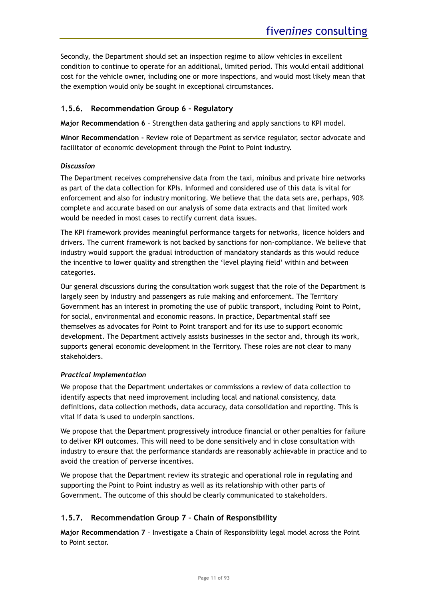Secondly, the Department should set an inspection regime to allow vehicles in excellent condition to continue to operate for an additional, limited period. This would entail additional cost for the vehicle owner, including one or more inspections, and would most likely mean that the exemption would only be sought in exceptional circumstances.

# <span id="page-10-0"></span>**1.5.6. [Recommendation Group 6 –](#page-81-0) Regulatory**

**Major Recommendation 6** – Strengthen data gathering and apply sanctions to KPI model.

**Minor Recommendation -** Review role of Department as service regulator, sector advocate and facilitator of economic development through the Point to Point industry.

### *Discussion*

The Department receives comprehensive data from the taxi, minibus and private hire networks as part of the data collection for KPIs. Informed and considered use of this data is vital for enforcement and also for industry monitoring. We believe that the data sets are, perhaps, 90% complete and accurate based on our analysis of some data extracts and that limited work would be needed in most cases to rectify current data issues.

The KPI framework provides meaningful performance targets for networks, licence holders and drivers. The current framework is not backed by sanctions for non-compliance. We believe that industry would support the gradual introduction of mandatory standards as this would reduce the incentive to lower quality and strengthen the 'level playing field' within and between categories.

Our general discussions during the consultation work suggest that the role of the Department is largely seen by industry and passengers as rule making and enforcement. The Territory Government has an interest in promoting the use of public transport, including Point to Point, for social, environmental and economic reasons. In practice, Departmental staff see themselves as advocates for Point to Point transport and for its use to support economic development. The Department actively assists businesses in the sector and, through its work, supports general economic development in the Territory. These roles are not clear to many stakeholders.

# *Practical Implementation*

We propose that the Department undertakes or commissions a review of data collection to identify aspects that need improvement including local and national consistency, data definitions, data collection methods, data accuracy, data consolidation and reporting. This is vital if data is used to underpin sanctions.

We propose that the Department progressively introduce financial or other penalties for failure to deliver KPI outcomes. This will need to be done sensitively and in close consultation with industry to ensure that the performance standards are reasonably achievable in practice and to avoid the creation of perverse incentives.

We propose that the Department review its strategic and operational role in regulating and supporting the Point to Point industry as well as its relationship with other parts of Government. The outcome of this should be clearly communicated to stakeholders.

# <span id="page-10-1"></span>**1.5.7. [Recommendation Group 7 –](#page-82-0) Chain of Responsibility**

**Major Recommendation 7** – Investigate a Chain of Responsibility legal model across the Point to Point sector.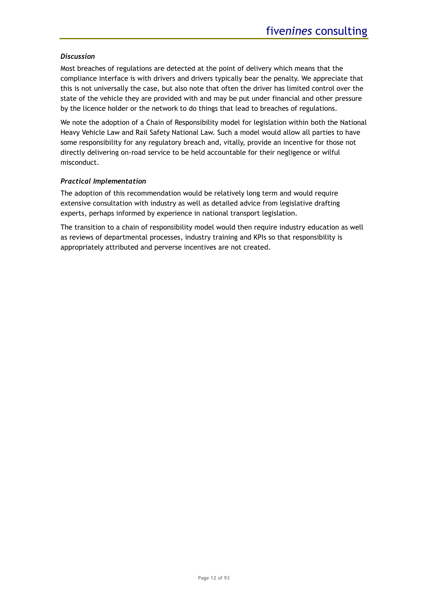#### *Discussion*

Most breaches of regulations are detected at the point of delivery which means that the compliance interface is with drivers and drivers typically bear the penalty. We appreciate that this is not universally the case, but also note that often the driver has limited control over the state of the vehicle they are provided with and may be put under financial and other pressure by the licence holder or the network to do things that lead to breaches of regulations.

We note the adoption of a Chain of Responsibility model for legislation within both the National Heavy Vehicle Law and Rail Safety National Law. Such a model would allow all parties to have some responsibility for any regulatory breach and, vitally, provide an incentive for those not directly delivering on-road service to be held accountable for their negligence or wilful misconduct.

### *Practical Implementation*

The adoption of this recommendation would be relatively long term and would require extensive consultation with industry as well as detailed advice from legislative drafting experts, perhaps informed by experience in national transport legislation.

The transition to a chain of responsibility model would then require industry education as well as reviews of departmental processes, industry training and KPIs so that responsibility is appropriately attributed and perverse incentives are not created.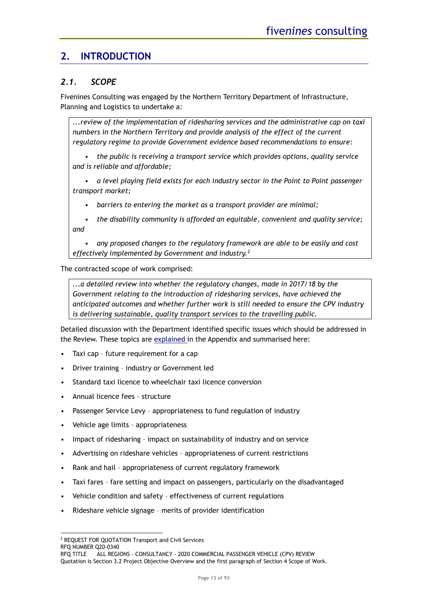# <span id="page-12-0"></span>**2. INTRODUCTION**

# <span id="page-12-1"></span>*2.1. SCOPE*

Fivenines Consulting was engaged by the Northern Territory Department of Infrastructure, Planning and Logistics to undertake a:

*...review of the implementation of ridesharing services and the administrative cap on taxi numbers in the Northern Territory and provide analysis of the effect of the current regulatory regime to provide Government evidence based recommendations to ensure:*

*• the public is receiving a transport service which provides options, quality service and is reliable and affordable;* 

*• a level playing field exists for each industry sector in the Point to Point passenger transport market;*

*• barriers to entering the market as a transport provider are minimal;*

*• the disability community is afforded an equitable, convenient and quality service; and*

*• any proposed changes to the regulatory framework are able to be easily and cost effectively implemented by Government and industry.<sup>2</sup>*

The contracted scope of work comprised:

*...a detailed review into whether the regulatory changes, made in 2017/18 by the Government relating to the introduction of ridesharing services, have achieved the anticipated outcomes and whether further work is still needed to ensure the CPV industry is delivering sustainable, quality transport services to the travelling public.*

Detailed discussion with the Department identified specific issues which should be addressed in the Review. These topics are [explained i](#page-87-0)n the Appendix and summarised here:

- Taxi cap future requirement for a cap
- Driver training industry or Government led
- Standard taxi licence to wheelchair taxi licence conversion
- Annual licence fees structure
- Passenger Service Levy appropriateness to fund regulation of industry
- Vehicle age limits appropriateness
- Impact of ridesharing impact on sustainability of industry and on service
- Advertising on rideshare vehicles appropriateness of current restrictions
- Rank and hail appropriateness of current regulatory framework
- Taxi fares fare setting and impact on passengers, particularly on the disadvantaged
- Vehicle condition and safety effectiveness of current regulations
- Rideshare vehicle signage merits of provider identification

<sup>2</sup> REQUEST FOR QUOTATION Transport and Civil Services

RFQ NUMBER Q20-0340

RFQ TITLE ALL REGIONS - CONSULTANCY - 2020 COMMERCIAL PASSENGER VEHICLE (CPV) REVIEW Quotation is Section 3.2 Project Objective Overview and the first paragraph of Section 4 Scope of Work.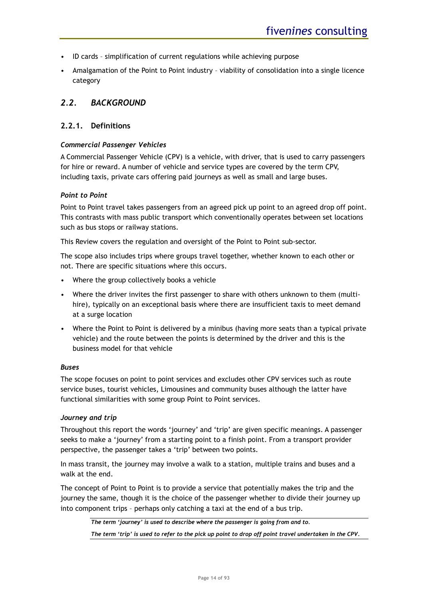- ID cards simplification of current regulations while achieving purpose
- Amalgamation of the Point to Point industry viability of consolidation into a single licence category

# <span id="page-13-0"></span>*2.2. BACKGROUND*

### <span id="page-13-1"></span>**2.2.1. Definitions**

#### *Commercial Passenger Vehicles*

A Commercial Passenger Vehicle (CPV) is a vehicle, with driver, that is used to carry passengers for hire or reward. A number of vehicle and service types are covered by the term CPV, including taxis, private cars offering paid journeys as well as small and large buses.

#### *Point to Point*

Point to Point travel takes passengers from an agreed pick up point to an agreed drop off point. This contrasts with mass public transport which conventionally operates between set locations such as bus stops or railway stations.

This Review covers the regulation and oversight of the Point to Point sub-sector.

The scope also includes trips where groups travel together, whether known to each other or not. There are specific situations where this occurs.

- Where the group collectively books a vehicle
- Where the driver invites the first passenger to share with others unknown to them (multihire), typically on an exceptional basis where there are insufficient taxis to meet demand at a surge location
- Where the Point to Point is delivered by a minibus (having more seats than a typical private vehicle) and the route between the points is determined by the driver and this is the business model for that vehicle

#### *Buses*

The scope focuses on point to point services and excludes other CPV services such as route service buses, tourist vehicles, Limousines and community buses although the latter have functional similarities with some group Point to Point services.

#### *Journey and trip*

Throughout this report the words 'journey' and 'trip' are given specific meanings. A passenger seeks to make a 'journey' from a starting point to a finish point. From a transport provider perspective, the passenger takes a 'trip' between two points.

In mass transit, the journey may involve a walk to a station, multiple trains and buses and a walk at the end.

The concept of Point to Point is to provide a service that potentially makes the trip and the journey the same, though it is the choice of the passenger whether to divide their journey up into component trips – perhaps only catching a taxi at the end of a bus trip.

*The term 'journey' is used to describe where the passenger is going from and to.* 

*The term 'trip' is used to refer to the pick up point to drop off point travel undertaken in the CPV.*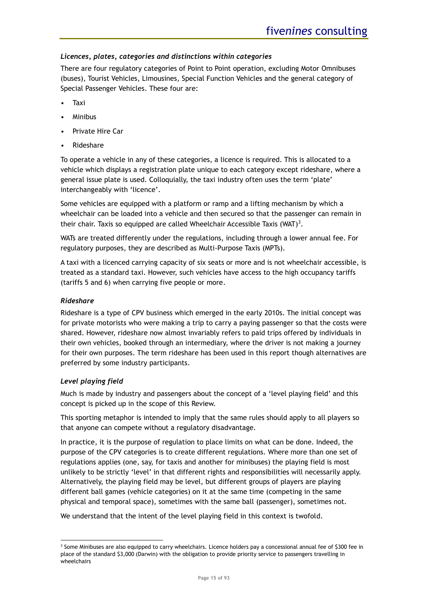### *Licences, plates, categories and distinctions within categories*

There are four regulatory categories of Point to Point operation, excluding Motor Omnibuses (buses), Tourist Vehicles, Limousines, Special Function Vehicles and the general category of Special Passenger Vehicles. These four are:

- Taxi
- Minibus
- Private Hire Car
- Rideshare

To operate a vehicle in any of these categories, a licence is required. This is allocated to a vehicle which displays a registration plate unique to each category except rideshare, where a general issue plate is used. Colloquially, the taxi industry often uses the term 'plate' interchangeably with 'licence'.

Some vehicles are equipped with a platform or ramp and a lifting mechanism by which a wheelchair can be loaded into a vehicle and then secured so that the passenger can remain in their chair. Taxis so equipped are called Wheelchair Accessible Taxis (WAT)<sup>3</sup>.

WATs are treated differently under the regulations, including through a lower annual fee. For regulatory purposes, they are described as Multi-Purpose Taxis (MPTs).

A taxi with a licenced carrying capacity of six seats or more and is not wheelchair accessible, is treated as a standard taxi. However, such vehicles have access to the high occupancy tariffs (tariffs 5 and 6) when carrying five people or more.

#### *Rideshare*

Rideshare is a type of CPV business which emerged in the early 2010s. The initial concept was for private motorists who were making a trip to carry a paying passenger so that the costs were shared. However, rideshare now almost invariably refers to paid trips offered by individuals in their own vehicles, booked through an intermediary, where the driver is not making a journey for their own purposes. The term rideshare has been used in this report though alternatives are preferred by some industry participants.

#### *Level playing field*

Much is made by industry and passengers about the concept of a 'level playing field' and this concept is picked up in the scope of this Review.

This sporting metaphor is intended to imply that the same rules should apply to all players so that anyone can compete without a regulatory disadvantage.

In practice, it is the purpose of regulation to place limits on what can be done. Indeed, the purpose of the CPV categories is to create different regulations. Where more than one set of regulations applies (one, say, for taxis and another for minibuses) the playing field is most unlikely to be strictly 'level' in that different rights and responsibilities will necessarily apply. Alternatively, the playing field may be level, but different groups of players are playing different ball games (vehicle categories) on it at the same time (competing in the same physical and temporal space), sometimes with the same ball (passenger), sometimes not.

We understand that the intent of the level playing field in this context is twofold.

<sup>&</sup>lt;sup>3</sup> Some Minibuses are also equipped to carry wheelchairs. Licence holders pay a concessional annual fee of \$300 fee in place of the standard \$3,000 (Darwin) with the obligation to provide priority service to passengers travelling in wheelchairs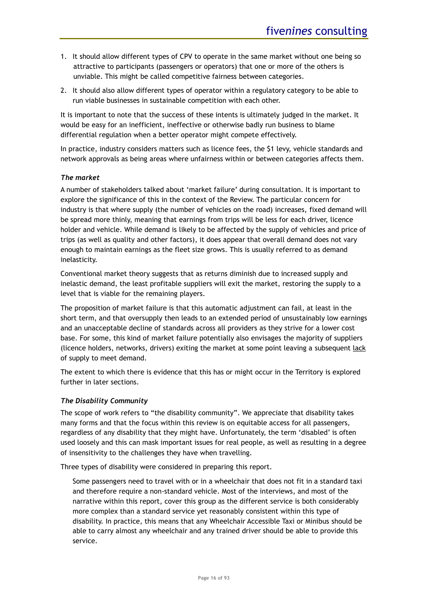- 1. It should allow different types of CPV to operate in the same market without one being so attractive to participants (passengers or operators) that one or more of the others is unviable. This might be called competitive fairness between categories.
- 2. It should also allow different types of operator within a regulatory category to be able to run viable businesses in sustainable competition with each other.

It is important to note that the success of these intents is ultimately judged in the market. It would be easy for an inefficient, ineffective or otherwise badly run business to blame differential regulation when a better operator might compete effectively.

In practice, industry considers matters such as licence fees, the \$1 levy, vehicle standards and network approvals as being areas where unfairness within or between categories affects them.

#### *The market*

A number of stakeholders talked about 'market failure' during consultation. It is important to explore the significance of this in the context of the Review. The particular concern for industry is that where supply (the number of vehicles on the road) increases, fixed demand will be spread more thinly, meaning that earnings from trips will be less for each driver, licence holder and vehicle. While demand is likely to be affected by the supply of vehicles and price of trips (as well as quality and other factors), it does appear that overall demand does not vary enough to maintain earnings as the fleet size grows. This is usually referred to as demand inelasticity.

Conventional market theory suggests that as returns diminish due to increased supply and inelastic demand, the least profitable suppliers will exit the market, restoring the supply to a level that is viable for the remaining players.

The proposition of market failure is that this automatic adjustment can fail, at least in the short term, and that oversupply then leads to an extended period of unsustainably low earnings and an unacceptable decline of standards across all providers as they strive for a lower cost base. For some, this kind of market failure potentially also envisages the majority of suppliers (licence holders, networks, drivers) exiting the market at some point leaving a subsequent lack of supply to meet demand.

The extent to which there is evidence that this has or might occur in the Territory is explored further in later sections.

#### *The Disability Community*

The scope of work refers to "the disability community". We appreciate that disability takes many forms and that the focus within this review is on equitable access for all passengers, regardless of any disability that they might have. Unfortunately, the term 'disabled' is often used loosely and this can mask important issues for real people, as well as resulting in a degree of insensitivity to the challenges they have when travelling.

Three types of disability were considered in preparing this report.

Some passengers need to travel with or in a wheelchair that does not fit in a standard taxi and therefore require a non-standard vehicle. Most of the interviews, and most of the narrative within this report, cover this group as the different service is both considerably more complex than a standard service yet reasonably consistent within this type of disability. In practice, this means that any Wheelchair Accessible Taxi or Minibus should be able to carry almost any wheelchair and any trained driver should be able to provide this service.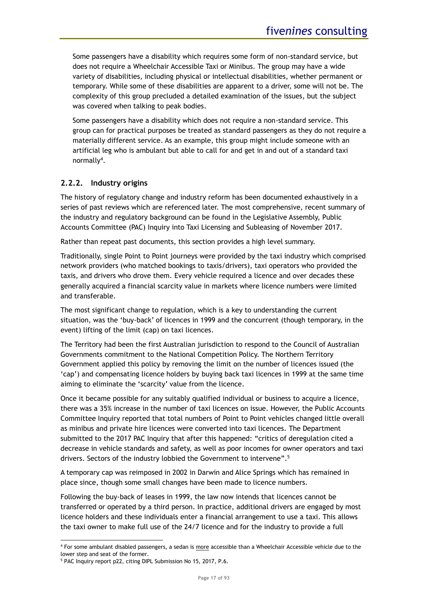Some passengers have a disability which requires some form of non-standard service, but does not require a Wheelchair Accessible Taxi or Minibus. The group may have a wide variety of disabilities, including physical or intellectual disabilities, whether permanent or temporary. While some of these disabilities are apparent to a driver, some will not be. The complexity of this group precluded a detailed examination of the issues, but the subject was covered when talking to peak bodies.

Some passengers have a disability which does not require a non-standard service. This group can for practical purposes be treated as standard passengers as they do not require a materially different service. As an example, this group might include someone with an artificial leg who is ambulant but able to call for and get in and out of a standard taxi normally<sup>4</sup>.

# <span id="page-16-0"></span>**2.2.2. Industry origins**

The history of regulatory change and industry reform has been documented exhaustively in a series of past reviews which are referenced later. The most comprehensive, recent summary of the industry and regulatory background can be found in the Legislative Assembly, Public Accounts Committee (PAC) Inquiry into Taxi Licensing and Subleasing of November 2017.

Rather than repeat past documents, this section provides a high level summary.

Traditionally, single Point to Point journeys were provided by the taxi industry which comprised network providers (who matched bookings to taxis/drivers), taxi operators who provided the taxis, and drivers who drove them. Every vehicle required a licence and over decades these generally acquired a financial scarcity value in markets where licence numbers were limited and transferable.

The most significant change to regulation, which is a key to understanding the current situation, was the 'buy-back' of licences in 1999 and the concurrent (though temporary, in the event) lifting of the limit (cap) on taxi licences.

The Territory had been the first Australian jurisdiction to respond to the Council of Australian Governments commitment to the National Competition Policy. The Northern Territory Government applied this policy by removing the limit on the number of licences issued (the 'cap') and compensating licence holders by buying back taxi licences in 1999 at the same time aiming to eliminate the 'scarcity' value from the licence.

Once it became possible for any suitably qualified individual or business to acquire a licence, there was a 35% increase in the number of taxi licences on issue. However, the Public Accounts Committee Inquiry reported that total numbers of Point to Point vehicles changed little overall as minibus and private hire licences were converted into taxi licences. The Department submitted to the 2017 PAC Inquiry that after this happened: "critics of deregulation cited a decrease in vehicle standards and safety, as well as poor incomes for owner operators and taxi drivers. Sectors of the industry lobbied the Government to intervene".<sup>5</sup>

A temporary cap was reimposed in 2002 in Darwin and Alice Springs which has remained in place since, though some small changes have been made to licence numbers.

Following the buy-back of leases in 1999, the law now intends that licences cannot be transferred or operated by a third person. In practice, additional drivers are engaged by most licence holders and these individuals enter a financial arrangement to use a taxi. This allows the taxi owner to make full use of the 24/7 licence and for the industry to provide a full

<sup>&</sup>lt;sup>4</sup> For some ambulant disabled passengers, a sedan is more accessible than a Wheelchair Accessible vehicle due to the lower step and seat of the former.

<sup>5</sup> PAC Inquiry report p22, citing DIPL Submission No 15, 2017, P.6.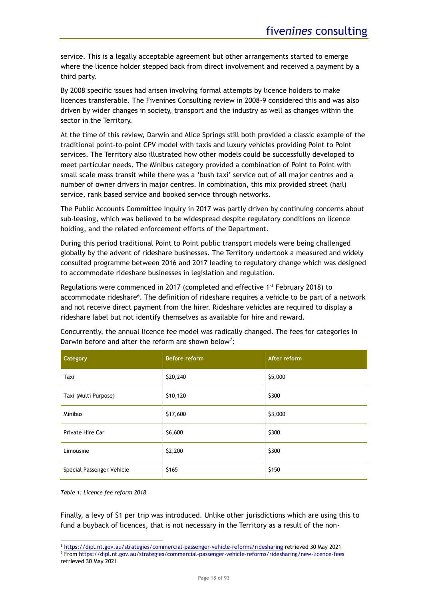service. This is a legally acceptable agreement but other arrangements started to emerge where the licence holder stepped back from direct involvement and received a payment by a third party.

By 2008 specific issues had arisen involving formal attempts by licence holders to make licences transferable. The Fivenines Consulting review in 2008-9 considered this and was also driven by wider changes in society, transport and the industry as well as changes within the sector in the Territory.

At the time of this review, Darwin and Alice Springs still both provided a classic example of the traditional point-to-point CPV model with taxis and luxury vehicles providing Point to Point services. The Territory also illustrated how other models could be successfully developed to meet particular needs. The Minibus category provided a combination of Point to Point with small scale mass transit while there was a 'bush taxi' service out of all major centres and a number of owner drivers in major centres. In combination, this mix provided street (hail) service, rank based service and booked service through networks.

The Public Accounts Committee Inquiry in 2017 was partly driven by continuing concerns about sub-leasing, which was believed to be widespread despite regulatory conditions on licence holding, and the related enforcement efforts of the Department.

During this period traditional Point to Point public transport models were being challenged globally by the advent of rideshare businesses. The Territory undertook a measured and widely consulted programme between 2016 and 2017 leading to regulatory change which was designed to accommodate rideshare businesses in legislation and regulation.

Regulations were commenced in 2017 (completed and effective  $1<sup>st</sup>$  February 2018) to accommodate rideshare<sup>6</sup>. The definition of rideshare requires a vehicle to be part of a network and not receive direct payment from the hirer. Rideshare vehicles are required to display a rideshare label but not identify themselves as available for hire and reward.

| Category                  | <b>Before reform</b> | After reform |
|---------------------------|----------------------|--------------|
| Taxi                      | \$20,240             | \$5,000      |
| Taxi (Multi Purpose)      | \$10,120             | \$300        |
| <b>Minibus</b>            | \$17,600             | \$3,000      |
| Private Hire Car          | \$6,600              | \$300        |
| Limousine                 | \$2,200              | \$300        |
| Special Passenger Vehicle | \$165                | \$150        |

Concurrently, the annual licence fee model was radically changed. The fees for categories in Darwin before and after the reform are shown below<sup>7</sup>:

<span id="page-17-0"></span>*Table 1: Licence fee reform 2018*

Finally, a levy of \$1 per trip was introduced. Unlike other jurisdictions which are using this to fund a buyback of licences, that is not necessary in the Territory as a result of the non-

<sup>6</sup> <https://dipl.nt.gov.au/strategies/commercial-passenger-vehicle-reforms/ridesharing> retrieved 30 May 2021 <sup>7</sup> Fro[m https://dipl.nt.gov.au/strategies/commercial-passenger-vehicle-reforms/ridesharing/new-licence-fees](https://dipl.nt.gov.au/strategies/commercial-passenger-vehicle-reforms/ridesharing/new-licence-fees)

retrieved 30 May 2021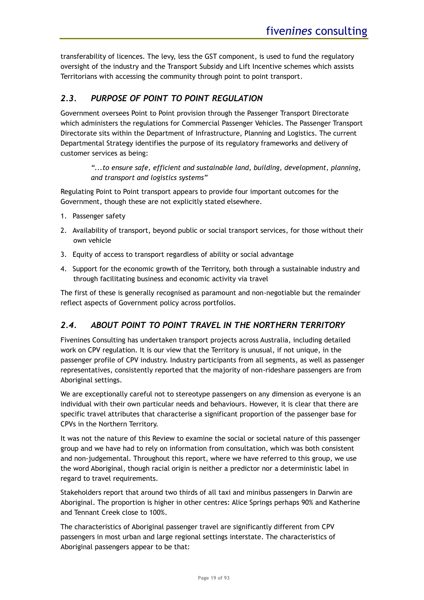transferability of licences. The levy, less the GST component, is used to fund the regulatory oversight of the industry and the Transport Subsidy and Lift Incentive schemes which assists Territorians with accessing the community through point to point transport.

# <span id="page-18-0"></span>*2.3. PURPOSE OF POINT TO POINT REGULATION*

Government oversees Point to Point provision through the Passenger Transport Directorate which administers the regulations for Commercial Passenger Vehicles. The Passenger Transport Directorate sits within the Department of Infrastructure, Planning and Logistics. The current Departmental Strategy identifies the purpose of its regulatory frameworks and delivery of customer services as being:

*"...to ensure safe, efficient and sustainable land, building, development, planning, and transport and logistics systems"*

Regulating Point to Point transport appears to provide four important outcomes for the Government, though these are not explicitly stated elsewhere.

- 1. Passenger safety
- 2. Availability of transport, beyond public or social transport services, for those without their own vehicle
- 3. Equity of access to transport regardless of ability or social advantage
- 4. Support for the economic growth of the Territory, both through a sustainable industry and through facilitating business and economic activity via travel

The first of these is generally recognised as paramount and non-negotiable but the remainder reflect aspects of Government policy across portfolios.

# <span id="page-18-1"></span>*2.4. ABOUT POINT TO POINT TRAVEL IN THE NORTHERN TERRITORY*

Fivenines Consulting has undertaken transport projects across Australia, including detailed work on CPV regulation. It is our view that the Territory is unusual, if not unique, in the passenger profile of CPV industry. Industry participants from all segments, as well as passenger representatives, consistently reported that the majority of non-rideshare passengers are from Aboriginal settings.

We are exceptionally careful not to stereotype passengers on any dimension as everyone is an individual with their own particular needs and behaviours. However, it is clear that there are specific travel attributes that characterise a significant proportion of the passenger base for CPVs in the Northern Territory.

It was not the nature of this Review to examine the social or societal nature of this passenger group and we have had to rely on information from consultation, which was both consistent and non-judgemental. Throughout this report, where we have referred to this group, we use the word Aboriginal, though racial origin is neither a predictor nor a deterministic label in regard to travel requirements.

Stakeholders report that around two thirds of all taxi and minibus passengers in Darwin are Aboriginal. The proportion is higher in other centres: Alice Springs perhaps 90% and Katherine and Tennant Creek close to 100%.

The characteristics of Aboriginal passenger travel are significantly different from CPV passengers in most urban and large regional settings interstate. The characteristics of Aboriginal passengers appear to be that: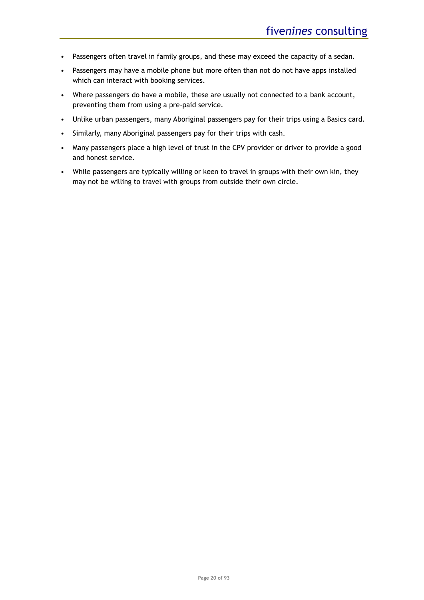- Passengers often travel in family groups, and these may exceed the capacity of a sedan.
- Passengers may have a mobile phone but more often than not do not have apps installed which can interact with booking services.
- Where passengers do have a mobile, these are usually not connected to a bank account, preventing them from using a pre-paid service.
- Unlike urban passengers, many Aboriginal passengers pay for their trips using a Basics card.
- Similarly, many Aboriginal passengers pay for their trips with cash.
- Many passengers place a high level of trust in the CPV provider or driver to provide a good and honest service.
- While passengers are typically willing or keen to travel in groups with their own kin, they may not be willing to travel with groups from outside their own circle.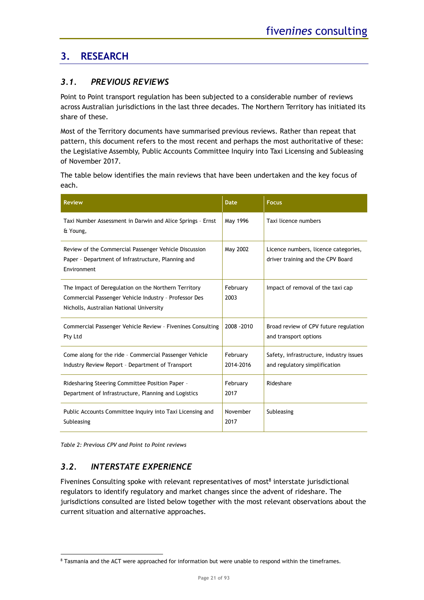# <span id="page-20-0"></span>**3. RESEARCH**

# <span id="page-20-1"></span>*3.1. PREVIOUS REVIEWS*

Point to Point transport regulation has been subjected to a considerable number of reviews across Australian jurisdictions in the last three decades. The Northern Territory has initiated its share of these.

Most of the Territory documents have summarised previous reviews. Rather than repeat that pattern, this document refers to the most recent and perhaps the most authoritative of these: the Legislative Assembly, Public Accounts Committee Inquiry into Taxi Licensing and Subleasing of November 2017.

The table below identifies the main reviews that have been undertaken and the key focus of each.

| <b>Review</b>                                                                                                                                             | <b>Date</b>           | <b>Focus</b>                                                              |
|-----------------------------------------------------------------------------------------------------------------------------------------------------------|-----------------------|---------------------------------------------------------------------------|
| Taxi Number Assessment in Darwin and Alice Springs - Ernst<br>& Young,                                                                                    | May 1996              | Taxi licence numbers                                                      |
| Review of the Commercial Passenger Vehicle Discussion<br>Paper - Department of Infrastructure, Planning and<br>Environment                                | May 2002              | Licence numbers, licence categories,<br>driver training and the CPV Board |
| The Impact of Deregulation on the Northern Territory<br>Commercial Passenger Vehicle Industry - Professor Des<br>Nicholls, Australian National University | February<br>2003      | Impact of removal of the taxi cap                                         |
| Commercial Passenger Vehicle Review - Fivenines Consulting<br>Pty Ltd                                                                                     | 2008 - 2010           | Broad review of CPV future regulation<br>and transport options            |
| Come along for the ride - Commercial Passenger Vehicle<br>Industry Review Report - Department of Transport                                                | February<br>2014-2016 | Safety, infrastructure, industry issues<br>and regulatory simplification  |
| Ridesharing Steering Committee Position Paper -<br>Department of Infrastructure, Planning and Logistics                                                   | February<br>2017      | Rideshare                                                                 |
| Public Accounts Committee Inquiry into Taxi Licensing and<br>Subleasing                                                                                   | November<br>2017      | Subleasing                                                                |

<span id="page-20-3"></span>*Table 2: Previous CPV and Point to Point reviews*

# <span id="page-20-2"></span>*3.2. INTERSTATE EXPERIENCE*

Fivenines Consulting spoke with relevant representatives of most<sup>8</sup> interstate jurisdictional regulators to identify regulatory and market changes since the advent of rideshare. The jurisdictions consulted are listed below together with the most relevant observations about the current situation and alternative approaches.

<sup>8</sup> Tasmania and the ACT were approached for information but were unable to respond within the timeframes.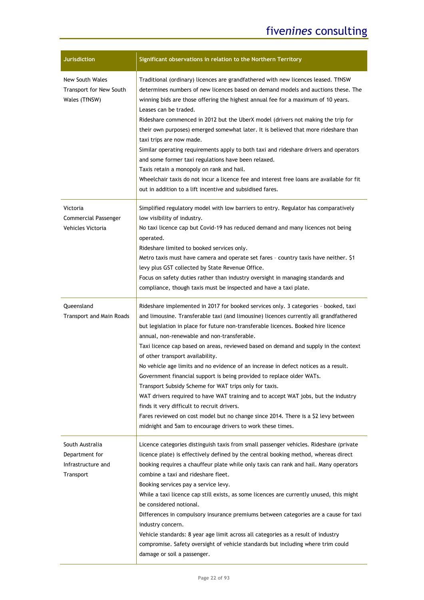| <b>Jurisdiction</b>                                                  | Significant observations in relation to the Northern Territory                                                                                                                                                                                                                                                                                                                                                                                                                                                                                                                                                                                                                                                                                                                                                                                                                                                                                                  |
|----------------------------------------------------------------------|-----------------------------------------------------------------------------------------------------------------------------------------------------------------------------------------------------------------------------------------------------------------------------------------------------------------------------------------------------------------------------------------------------------------------------------------------------------------------------------------------------------------------------------------------------------------------------------------------------------------------------------------------------------------------------------------------------------------------------------------------------------------------------------------------------------------------------------------------------------------------------------------------------------------------------------------------------------------|
| New South Wales<br>Transport for New South<br>Wales (TfNSW)          | Traditional (ordinary) licences are grandfathered with new licences leased. TfNSW<br>determines numbers of new licences based on demand models and auctions these. The<br>winning bids are those offering the highest annual fee for a maximum of 10 years.<br>Leases can be traded.<br>Rideshare commenced in 2012 but the UberX model (drivers not making the trip for<br>their own purposes) emerged somewhat later. It is believed that more rideshare than<br>taxi trips are now made.<br>Similar operating requirements apply to both taxi and rideshare drivers and operators<br>and some former taxi regulations have been relaxed.<br>Taxis retain a monopoly on rank and hail.<br>Wheelchair taxis do not incur a licence fee and interest free loans are available for fit<br>out in addition to a lift incentive and subsidised fares.                                                                                                              |
| Victoria<br><b>Commercial Passenger</b><br>Vehicles Victoria         | Simplified regulatory model with low barriers to entry. Regulator has comparatively<br>low visibility of industry.<br>No taxi licence cap but Covid-19 has reduced demand and many licences not being<br>operated.<br>Rideshare limited to booked services only.<br>Metro taxis must have camera and operate set fares - country taxis have neither. \$1<br>levy plus GST collected by State Revenue Office.<br>Focus on safety duties rather than industry oversight in managing standards and<br>compliance, though taxis must be inspected and have a taxi plate.                                                                                                                                                                                                                                                                                                                                                                                            |
| Queensland<br><b>Transport and Main Roads</b>                        | Rideshare implemented in 2017 for booked services only. 3 categories - booked, taxi<br>and limousine. Transferable taxi (and limousine) licences currently all grandfathered<br>but legislation in place for future non-transferable licences. Booked hire licence<br>annual, non-renewable and non-transferable.<br>Taxi licence cap based on areas, reviewed based on demand and supply in the context<br>of other transport availability.<br>No vehicle age limits and no evidence of an increase in defect notices as a result.<br>Government financial support is being provided to replace older WATs.<br>Transport Subsidy Scheme for WAT trips only for taxis.<br>WAT drivers required to have WAT training and to accept WAT jobs, but the industry<br>finds it very difficult to recruit drivers.<br>Fares reviewed on cost model but no change since 2014. There is a \$2 levy between<br>midnight and 5am to encourage drivers to work these times. |
| South Australia<br>Department for<br>Infrastructure and<br>Transport | Licence categories distinguish taxis from small passenger vehicles. Rideshare (private<br>licence plate) is effectively defined by the central booking method, whereas direct<br>booking requires a chauffeur plate while only taxis can rank and hail. Many operators<br>combine a taxi and rideshare fleet.<br>Booking services pay a service levy.<br>While a taxi licence cap still exists, as some licences are currently unused, this might<br>be considered notional.<br>Differences in compulsory insurance premiums between categories are a cause for taxi<br>industry concern.<br>Vehicle standards: 8 year age limit across all categories as a result of industry<br>compromise. Safety oversight of vehicle standards but including where trim could<br>damage or soil a passenger.                                                                                                                                                               |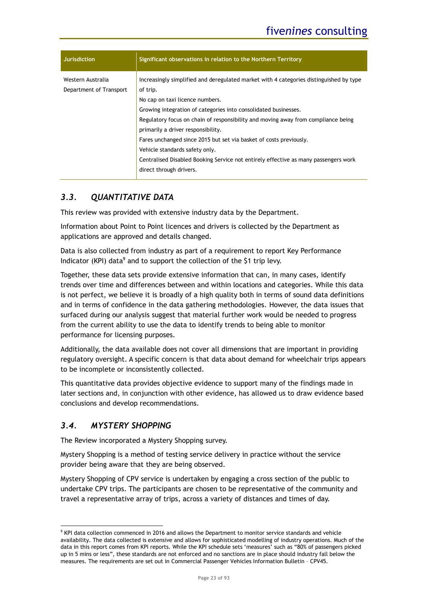| <b>Jurisdiction</b>                          | Significant observations in relation to the Northern Territory                                                                                                                                |
|----------------------------------------------|-----------------------------------------------------------------------------------------------------------------------------------------------------------------------------------------------|
| Western Australia<br>Department of Transport | Increasingly simplified and deregulated market with 4 categories distinguished by type<br>of trip.                                                                                            |
|                                              | No cap on taxi licence numbers.<br>Growing integration of categories into consolidated businesses.                                                                                            |
|                                              | Regulatory focus on chain of responsibility and moving away from compliance being<br>primarily a driver responsibility.<br>Fares unchanged since 2015 but set via basket of costs previously. |
|                                              | Vehicle standards safety only.<br>Centralised Disabled Booking Service not entirely effective as many passengers work                                                                         |
|                                              | direct through drivers.                                                                                                                                                                       |

# <span id="page-22-0"></span>*3.3. QUANTITATIVE DATA*

This review was provided with extensive industry data by the Department.

Information about Point to Point licences and drivers is collected by the Department as applications are approved and details changed.

Data is also collected from industry as part of a requirement to report Key Performance Indicator (KPI) data<sup>9</sup> and to support the collection of the \$1 trip levy.

Together, these data sets provide extensive information that can, in many cases, identify trends over time and differences between and within locations and categories. While this data is not perfect, we believe it is broadly of a high quality both in terms of sound data definitions and in terms of confidence in the data gathering methodologies. However, the data issues that surfaced during our analysis suggest that material further work would be needed to progress from the current ability to use the data to identify trends to being able to monitor performance for licensing purposes.

Additionally, the data available does not cover all dimensions that are important in providing regulatory oversight. A specific concern is that data about demand for wheelchair trips appears to be incomplete or inconsistently collected.

This quantitative data provides objective evidence to support many of the findings made in later sections and, in conjunction with other evidence, has allowed us to draw evidence based conclusions and develop recommendations.

# <span id="page-22-1"></span>*3.4. MYSTERY SHOPPING*

The Review incorporated a Mystery Shopping survey.

Mystery Shopping is a method of testing service delivery in practice without the service provider being aware that they are being observed.

Mystery Shopping of CPV service is undertaken by engaging a cross section of the public to undertake CPV trips. The participants are chosen to be representative of the community and travel a representative array of trips, across a variety of distances and times of day.

<sup>&</sup>lt;sup>9</sup> KPI data collection commenced in 2016 and allows the Department to monitor service standards and vehicle availability. The data collected is extensive and allows for sophisticated modelling of industry operations. Much of the data in this report comes from KPI reports. While the KPI schedule sets 'measures' such as "80% of passengers picked up in 5 mins or less", these standards are not enforced and no sanctions are in place should industry fall below the measures. The requirements are set out in Commercial Passenger Vehicles Information Bulletin – CPV45.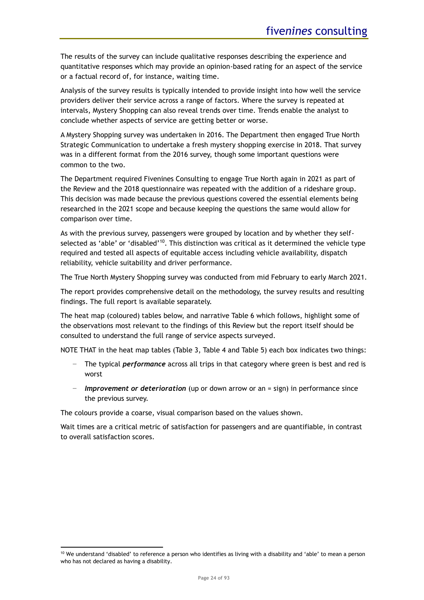The results of the survey can include qualitative responses describing the experience and quantitative responses which may provide an opinion-based rating for an aspect of the service or a factual record of, for instance, waiting time.

Analysis of the survey results is typically intended to provide insight into how well the service providers deliver their service across a range of factors. Where the survey is repeated at intervals, Mystery Shopping can also reveal trends over time. Trends enable the analyst to conclude whether aspects of service are getting better or worse.

A Mystery Shopping survey was undertaken in 2016. The Department then engaged True North Strategic Communication to undertake a fresh mystery shopping exercise in 2018. That survey was in a different format from the 2016 survey, though some important questions were common to the two.

The Department required Fivenines Consulting to engage True North again in 2021 as part of the Review and the 2018 questionnaire was repeated with the addition of a rideshare group. This decision was made because the previous questions covered the essential elements being researched in the 2021 scope and because keeping the questions the same would allow for comparison over time.

As with the previous survey, passengers were grouped by location and by whether they selfselected as 'able' or 'disabled'<sup>10</sup>. This distinction was critical as it determined the vehicle type required and tested all aspects of equitable access including vehicle availability, dispatch reliability, vehicle suitability and driver performance.

The True North Mystery Shopping survey was conducted from mid February to early March 2021.

The report provides comprehensive detail on the methodology, the survey results and resulting findings. The full report is available separately.

The heat map (coloured) tables below, and narrative [Table 6](#page-25-1) which follows, highlight some of the observations most relevant to the findings of this Review but the report itself should be consulted to understand the full range of service aspects surveyed.

NOTE THAT in the heat map tables [\(Table 3,](#page-24-0) [Table 4](#page-24-1) and [Table 5\)](#page-25-0) each box indicates two things:

- The typical *performance* across all trips in that category where green is best and red is worst
- − *Improvement or deterioration* (up or down arrow or an = sign) in performance since the previous survey.

The colours provide a coarse, visual comparison based on the values shown.

Wait times are a critical metric of satisfaction for passengers and are quantifiable, in contrast to overall satisfaction scores.

 $10$  We understand 'disabled' to reference a person who identifies as living with a disability and 'able' to mean a person who has not declared as having a disability.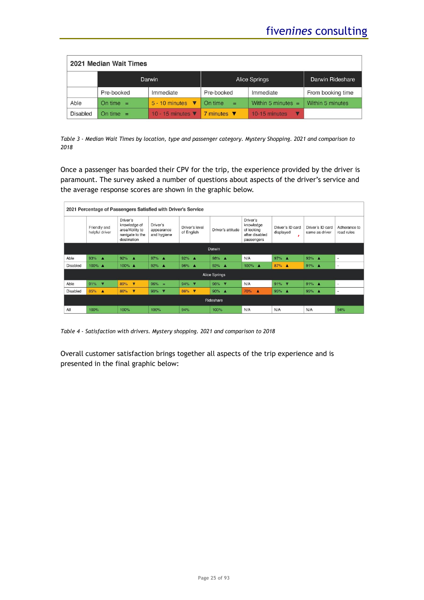| 2021 Median Wait Times |                         |                                       |                                |                      |                   |  |
|------------------------|-------------------------|---------------------------------------|--------------------------------|----------------------|-------------------|--|
|                        |                         | Darwin                                | Alice Springs                  | Darwin Rideshare     |                   |  |
|                        | Pre-booked<br>Immediate |                                       | Pre-booked                     | Immediate            | From booking time |  |
| Able                   | On time $=$             | $5 - 10$ minutes $\blacktriangledown$ | On time<br>$=$                 | Within 5 minutes $=$ | Within 5 minutes  |  |
| <b>Disabled</b>        | On time $=$             | 10 - 15 minutes $\blacktriangledown$  | 7 minutes $\blacktriangledown$ | 10-15 minutes<br>V   |                   |  |

<span id="page-24-0"></span>*Table 3 - Median Wait Times by location, type and passenger category. Mystery Shopping. 2021 and comparison to 2018*

Once a passenger has boarded their CPV for the trip, the experience provided by the driver is paramount. The survey asked a number of questions about aspects of the driver's service and the average response scores are shown in the graphic below.

|                 | 2021 Percentage of Passengers Satisfied with Driver's Service |                                                                               |                                       |                                |                   |                                                                     |                                    |                                    |                            |
|-----------------|---------------------------------------------------------------|-------------------------------------------------------------------------------|---------------------------------------|--------------------------------|-------------------|---------------------------------------------------------------------|------------------------------------|------------------------------------|----------------------------|
|                 | Friendly and<br>helpful driver                                | Driver's<br>knowledge of<br>area/Ability to<br>navigate to the<br>destination | Driver's<br>appearance<br>and hygiene | Driver's level<br>of English   | Driver's attitude | Driver's<br>knowledge<br>of looking<br>after disabled<br>passengers | Driver's ID card<br>displayed<br>× | Driver's ID card<br>same as driver | Adherance to<br>road rules |
|                 |                                                               |                                                                               |                                       |                                | Darwin            |                                                                     |                                    |                                    |                            |
| Able            | $93%$ $\triangle$                                             | 92%<br>- 4                                                                    | 97% $\triangle$                       | 92% $\triangle$                | 98% A             | N/A                                                                 | 97% $\triangle$                    | $93%$ $\triangle$                  | ٠                          |
| <b>Disabled</b> | $100\%$ $\triangle$                                           | 100% ▲                                                                        | 92% $\triangle$                       | 96% A                          | 92% $\triangle$   | 100% ▲                                                              | 87% ▲                              | 91% $\triangle$                    | $\overline{\phantom{a}}$   |
|                 | Alice Springs                                                 |                                                                               |                                       |                                |                   |                                                                     |                                    |                                    |                            |
| Able            | 91%<br>$\overline{\mathbf{v}}$                                | $\overline{\mathbf{v}}$<br>89%                                                | 96%<br>$\lambda =$                    | 94% <b>V</b>                   | 96% ▼             | N/A                                                                 | 91%<br>$\sqrt{2}$                  | 91% $\triangle$                    | ×.                         |
| <b>Disabled</b> | 85% ▲                                                         | 86%<br>$\overline{\mathbf{v}}$                                                | 90%<br>$\overline{\mathbf{v}}$        | 86%<br>$\overline{\mathbf{v}}$ | $90%$ $\triangle$ | 70%<br>А                                                            | 95% A                              | 95% ▲                              | ٠                          |
|                 | Rideshare                                                     |                                                                               |                                       |                                |                   |                                                                     |                                    |                                    |                            |
| All             | 100%                                                          | 100%                                                                          | 100%                                  | 94%                            | 100%              | N/A                                                                 | N/A                                | N/A                                | 94%                        |

<span id="page-24-1"></span>*Table 4 - Satisfaction with drivers. Mystery shopping. 2021 and comparison to 2018*

Overall customer satisfaction brings together all aspects of the trip experience and is presented in the final graphic below: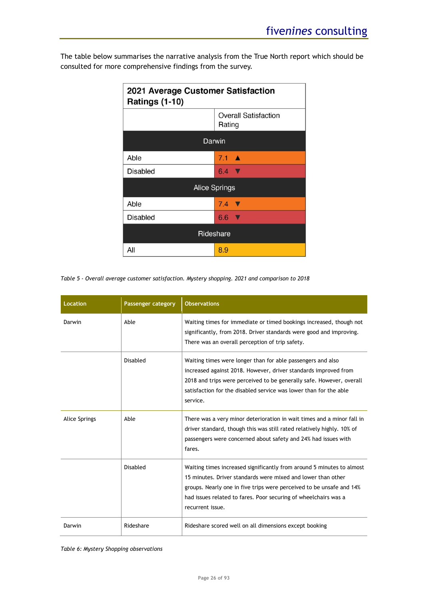The table below summarises the narrative analysis from the True North report which should be consulted for more comprehensive findings from the survey.

| 2021 Average Customer Satisfaction<br><b>Ratings (1-10)</b> |                            |  |  |  |  |  |
|-------------------------------------------------------------|----------------------------|--|--|--|--|--|
| <b>Overall Satisfaction</b><br>Rating                       |                            |  |  |  |  |  |
|                                                             | Darwin                     |  |  |  |  |  |
| Able                                                        | $7.1 \triangle$            |  |  |  |  |  |
| <b>Disabled</b>                                             | $6.4$ V                    |  |  |  |  |  |
|                                                             | <b>Alice Springs</b>       |  |  |  |  |  |
| Able                                                        | $7.4$ $\blacktriangledown$ |  |  |  |  |  |
| Disabled                                                    | $6.6$ V                    |  |  |  |  |  |
| Rideshare                                                   |                            |  |  |  |  |  |
| All                                                         | 8.9                        |  |  |  |  |  |

<span id="page-25-0"></span>*Table 5 - Overall average customer satisfaction. Mystery shopping. 2021 and comparison to 2018*

| <b>Location</b>      | Passenger category | <b>Observations</b>                                                                                                                                                                                                                                                                                  |
|----------------------|--------------------|------------------------------------------------------------------------------------------------------------------------------------------------------------------------------------------------------------------------------------------------------------------------------------------------------|
| Darwin               | Able               | Waiting times for immediate or timed bookings increased, though not<br>significantly, from 2018. Driver standards were good and improving.<br>There was an overall perception of trip safety.                                                                                                        |
|                      | Disabled           | Waiting times were longer than for able passengers and also<br>increased against 2018. However, driver standards improved from<br>2018 and trips were perceived to be generally safe. However, overall<br>satisfaction for the disabled service was lower than for the able<br>service.              |
| <b>Alice Springs</b> | Able               | There was a very minor deterioration in wait times and a minor fall in<br>driver standard, though this was still rated relatively highly. 10% of<br>passengers were concerned about safety and 24% had issues with<br>fares.                                                                         |
|                      | <b>Disabled</b>    | Waiting times increased significantly from around 5 minutes to almost<br>15 minutes. Driver standards were mixed and lower than other<br>groups. Nearly one in five trips were perceived to be unsafe and 14%<br>had issues related to fares. Poor securing of wheelchairs was a<br>recurrent issue. |
| Darwin               | Rideshare          | Rideshare scored well on all dimensions except booking                                                                                                                                                                                                                                               |

<span id="page-25-1"></span>*Table 6: Mystery Shopping observations*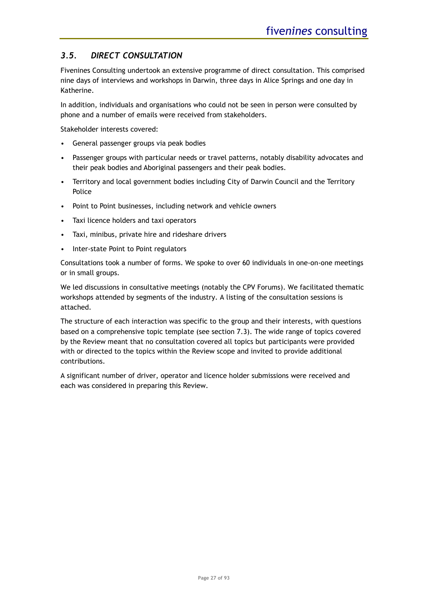# <span id="page-26-0"></span>*3.5. DIRECT CONSULTATION*

Fivenines Consulting undertook an extensive programme of direct consultation. This comprised nine days of interviews and workshops in Darwin, three days in Alice Springs and one day in Katherine.

In addition, individuals and organisations who could not be seen in person were consulted by phone and a number of emails were received from stakeholders.

Stakeholder interests covered:

- General passenger groups via peak bodies
- Passenger groups with particular needs or travel patterns, notably disability advocates and their peak bodies and Aboriginal passengers and their peak bodies.
- Territory and local government bodies including City of Darwin Council and the Territory Police
- Point to Point businesses, including network and vehicle owners
- Taxi licence holders and taxi operators
- Taxi, minibus, private hire and rideshare drivers
- Inter-state Point to Point regulators

Consultations took a number of forms. We spoke to over 60 individuals in one-on-one meetings or in small groups.

We led discussions in consultative meetings (notably the CPV Forums). We facilitated thematic workshops attended by segments of the industry. A listing of the consultation sessions is attached.

The structure of each interaction was specific to the group and their interests, with questions based on a comprehensive topic template (see section [7.3\)](#page-89-0). The wide range of topics covered by the Review meant that no consultation covered all topics but participants were provided with or directed to the topics within the Review scope and invited to provide additional contributions.

A significant number of driver, operator and licence holder submissions were received and each was considered in preparing this Review.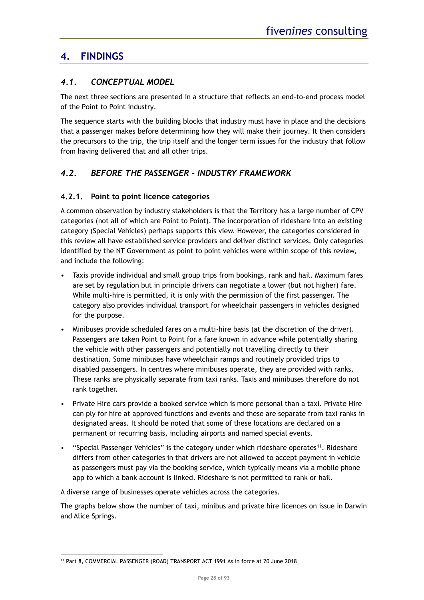# <span id="page-27-0"></span>**4. FINDINGS**

# <span id="page-27-1"></span>*4.1. CONCEPTUAL MODEL*

The next three sections are presented in a structure that reflects an end-to-end process model of the Point to Point industry.

The sequence starts with the building blocks that industry must have in place and the decisions that a passenger makes before determining how they will make their journey. It then considers the precursors to the trip, the trip itself and the longer term issues for the industry that follow from having delivered that and all other trips.

# <span id="page-27-2"></span>*4.2. BEFORE THE PASSENGER – INDUSTRY FRAMEWORK*

# <span id="page-27-3"></span>**4.2.1. Point to point licence categories**

A common observation by industry stakeholders is that the Territory has a large number of CPV categories (not all of which are Point to Point). The incorporation of rideshare into an existing category (Special Vehicles) perhaps supports this view. However, the categories considered in this review all have established service providers and deliver distinct services. Only categories identified by the NT Government as point to point vehicles were within scope of this review, and include the following:

- Taxis provide individual and small group trips from bookings, rank and hail. Maximum fares are set by regulation but in principle drivers can negotiate a lower (but not higher) fare. While multi-hire is permitted, it is only with the permission of the first passenger. The category also provides individual transport for wheelchair passengers in vehicles designed for the purpose.
- Minibuses provide scheduled fares on a multi-hire basis (at the discretion of the driver). Passengers are taken Point to Point for a fare known in advance while potentially sharing the vehicle with other passengers and potentially not travelling directly to their destination. Some minibuses have wheelchair ramps and routinely provided trips to disabled passengers. In centres where minibuses operate, they are provided with ranks. These ranks are physically separate from taxi ranks. Taxis and minibuses therefore do not rank together.
- Private Hire cars provide a booked service which is more personal than a taxi. Private Hire can ply for hire at approved functions and events and these are separate from taxi ranks in designated areas. It should be noted that some of these locations are declared on a permanent or recurring basis, including airports and named special events.
- "Special Passenger Vehicles" is the category under which rideshare operates<sup>11</sup>. Rideshare differs from other categories in that drivers are not allowed to accept payment in vehicle as passengers must pay via the booking service, which typically means via a mobile phone app to which a bank account is linked. Rideshare is not permitted to rank or hail.

A diverse range of businesses operate vehicles across the categories.

The graphs below show the number of taxi, minibus and private hire licences on issue in Darwin and Alice Springs.

<sup>&</sup>lt;sup>11</sup> Part 8, COMMERCIAL PASSENGER (ROAD) TRANSPORT ACT 1991 As in force at 20 June 2018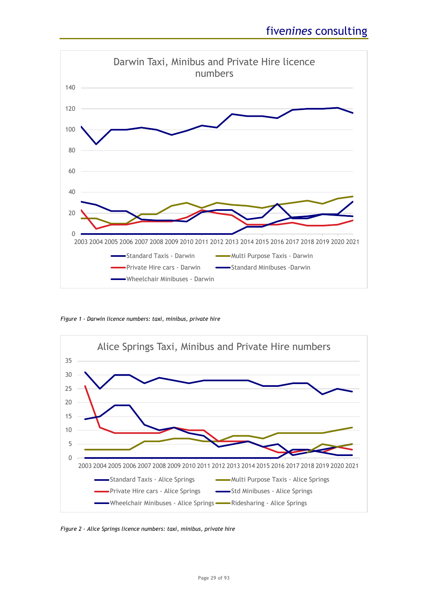

*Figure 1 - Darwin licence numbers: taxi, minibus, private hire*



*Figure 2 - Alice Springs licence numbers: taxi, minibus, private hire*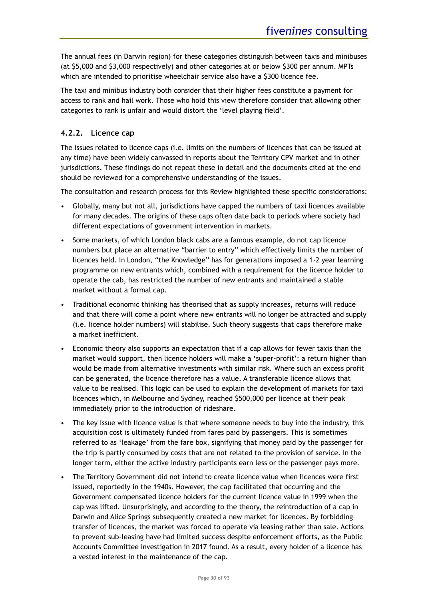The annual fees (in Darwin region) for these categories distinguish between taxis and minibuses (at \$5,000 and \$3,000 respectively) and other categories at or below \$300 per annum. MPTs which are intended to prioritise wheelchair service also have a \$300 licence fee.

The taxi and minibus industry both consider that their higher fees constitute a payment for access to rank and hail work. Those who hold this view therefore consider that allowing other categories to rank is unfair and would distort the 'level playing field'.

# <span id="page-29-0"></span>**4.2.2. Licence cap**

The issues related to licence caps (i.e. limits on the numbers of licences that can be issued at any time) have been widely canvassed in reports about the Territory CPV market and in other jurisdictions. These findings do not repeat these in detail and the documents cited at the end should be reviewed for a comprehensive understanding of the issues.

The consultation and research process for this Review highlighted these specific considerations:

- Globally, many but not all, jurisdictions have capped the numbers of taxi licences available for many decades. The origins of these caps often date back to periods where society had different expectations of government intervention in markets.
- Some markets, of which London black cabs are a famous example, do not cap licence numbers but place an alternative "barrier to entry" which effectively limits the number of licences held. In London, "the Knowledge" has for generations imposed a 1-2 year learning programme on new entrants which, combined with a requirement for the licence holder to operate the cab, has restricted the number of new entrants and maintained a stable market without a formal cap.
- Traditional economic thinking has theorised that as supply increases, returns will reduce and that there will come a point where new entrants will no longer be attracted and supply (i.e. licence holder numbers) will stabilise. Such theory suggests that caps therefore make a market inefficient.
- Economic theory also supports an expectation that if a cap allows for fewer taxis than the market would support, then licence holders will make a 'super-profit': a return higher than would be made from alternative investments with similar risk. Where such an excess profit can be generated, the licence therefore has a value. A transferable licence allows that value to be realised. This logic can be used to explain the development of markets for taxi licences which, in Melbourne and Sydney, reached \$500,000 per licence at their peak immediately prior to the introduction of rideshare.
- The key issue with licence value is that where someone needs to buy into the industry, this acquisition cost is ultimately funded from fares paid by passengers. This is sometimes referred to as 'leakage' from the fare box, signifying that money paid by the passenger for the trip is partly consumed by costs that are not related to the provision of service. In the longer term, either the active industry participants earn less or the passenger pays more.
- The Territory Government did not intend to create licence value when licences were first issued, reportedly in the 1940s. However, the cap facilitated that occurring and the Government compensated licence holders for the current licence value in 1999 when the cap was lifted. Unsurprisingly, and according to the theory, the reintroduction of a cap in Darwin and Alice Springs subsequently created a new market for licences. By forbidding transfer of licences, the market was forced to operate via leasing rather than sale. Actions to prevent sub-leasing have had limited success despite enforcement efforts, as the Public Accounts Committee investigation in 2017 found. As a result, every holder of a licence has a vested interest in the maintenance of the cap.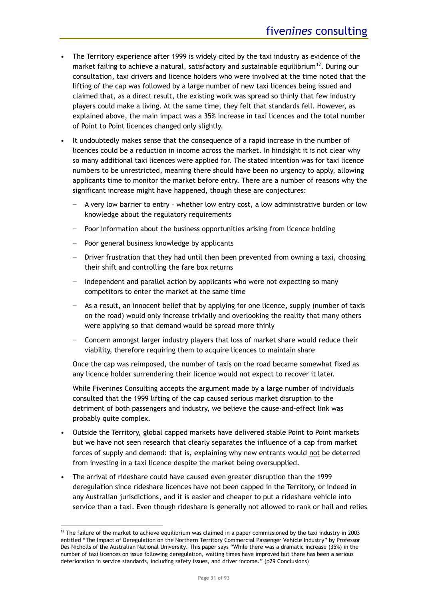- The Territory experience after 1999 is widely cited by the taxi industry as evidence of the market failing to achieve a natural, satisfactory and sustainable equilibrium<sup>12</sup>. During our consultation, taxi drivers and licence holders who were involved at the time noted that the lifting of the cap was followed by a large number of new taxi licences being issued and claimed that, as a direct result, the existing work was spread so thinly that few industry players could make a living. At the same time, they felt that standards fell. However, as explained above, the main impact was a 35% increase in taxi licences and the total number of Point to Point licences changed only slightly.
- It undoubtedly makes sense that the consequence of a rapid increase in the number of licences could be a reduction in income across the market. In hindsight it is not clear why so many additional taxi licences were applied for. The stated intention was for taxi licence numbers to be unrestricted, meaning there should have been no urgency to apply, allowing applicants time to monitor the market before entry. There are a number of reasons why the significant increase might have happened, though these are conjectures:
	- − A very low barrier to entry whether low entry cost, a low administrative burden or low knowledge about the regulatory requirements
	- Poor information about the business opportunities arising from licence holding
	- − Poor general business knowledge by applicants
	- − Driver frustration that they had until then been prevented from owning a taxi, choosing their shift and controlling the fare box returns
	- − Independent and parallel action by applicants who were not expecting so many competitors to enter the market at the same time
	- − As a result, an innocent belief that by applying for one licence, supply (number of taxis on the road) would only increase trivially and overlooking the reality that many others were applying so that demand would be spread more thinly
	- − Concern amongst larger industry players that loss of market share would reduce their viability, therefore requiring them to acquire licences to maintain share

Once the cap was reimposed, the number of taxis on the road became somewhat fixed as any licence holder surrendering their licence would not expect to recover it later.

While Fivenines Consulting accepts the argument made by a large number of individuals consulted that the 1999 lifting of the cap caused serious market disruption to the detriment of both passengers and industry, we believe the cause-and-effect link was probably quite complex.

- Outside the Territory, global capped markets have delivered stable Point to Point markets but we have not seen research that clearly separates the influence of a cap from market forces of supply and demand: that is, explaining why new entrants would not be deterred from investing in a taxi licence despite the market being oversupplied.
- The arrival of rideshare could have caused even greater disruption than the 1999 deregulation since rideshare licences have not been capped in the Territory, or indeed in any Australian jurisdictions, and it is easier and cheaper to put a rideshare vehicle into service than a taxi. Even though rideshare is generally not allowed to rank or hail and relies

 $12$  The failure of the market to achieve equilibrium was claimed in a paper commissioned by the taxi industry in 2003 entitled "The Impact of Deregulation on the Northern Territory Commercial Passenger Vehicle Industry" by Professor Des Nicholls of the Australian National University. This paper says "While there was a dramatic increase (35%) in the number of taxi licences on issue following deregulation, waiting times have improved but there has been a serious deterioration in service standards, including safety issues, and driver income." (p29 Conclusions)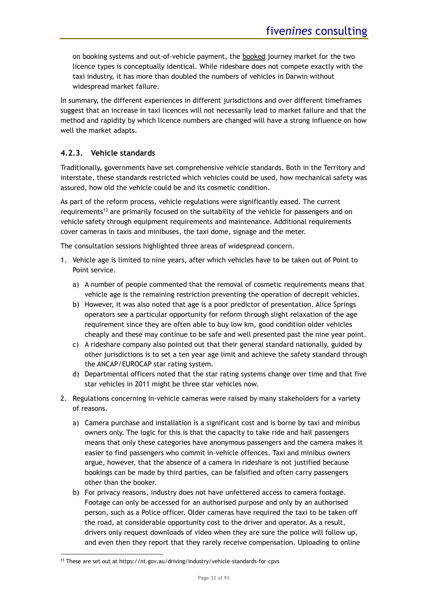on booking systems and out-of-vehicle payment, the booked journey market for the two licence types is conceptually identical. While rideshare does not compete exactly with the taxi industry, it has more than doubled the numbers of vehicles in Darwin without widespread market failure.

In summary, the different experiences in different jurisdictions and over different timeframes suggest that an increase in taxi licences will not necessarily lead to market failure and that the method and rapidity by which licence numbers are changed will have a strong influence on how well the market adapts.

# <span id="page-31-0"></span>**4.2.3. Vehicle standards**

Traditionally, governments have set comprehensive vehicle standards. Both in the Territory and interstate, these standards restricted which vehicles could be used, how mechanical safety was assured, how old the vehicle could be and its cosmetic condition.

As part of the reform process, vehicle regulations were significantly eased. The current requirements<sup>13</sup> are primarily focused on the suitability of the vehicle for passengers and on vehicle safety through equipment requirements and maintenance. Additional requirements cover cameras in taxis and minibuses, the taxi dome, signage and the meter.

The consultation sessions highlighted three areas of widespread concern.

- 1. Vehicle age is limited to nine years, after which vehicles have to be taken out of Point to Point service.
	- a) A number of people commented that the removal of cosmetic requirements means that vehicle age is the remaining restriction preventing the operation of decrepit vehicles.
	- b) However, it was also noted that age is a poor predictor of presentation. Alice Springs operators see a particular opportunity for reform through slight relaxation of the age requirement since they are often able to buy low km, good condition older vehicles cheaply and these may continue to be safe and well presented past the nine year point.
	- c) A rideshare company also pointed out that their general standard nationally, guided by other jurisdictions is to set a ten year age limit and achieve the safety standard through the ANCAP/EUROCAP star rating system.
	- d) Departmental officers noted that the star rating systems change over time and that five star vehicles in 2011 might be three star vehicles now.
- 2. Regulations concerning in-vehicle cameras were raised by many stakeholders for a variety of reasons.
	- a) Camera purchase and installation is a significant cost and is borne by taxi and minibus owners only. The logic for this is that the capacity to take ride and hail passengers means that only these categories have anonymous passengers and the camera makes it easier to find passengers who commit in-vehicle offences. Taxi and minibus owners argue, however, that the absence of a camera in rideshare is not justified because bookings can be made by third parties, can be falsified and often carry passengers other than the booker.
	- b) For privacy reasons, industry does not have unfettered access to camera footage. Footage can only be accessed for an authorised purpose and only by an authorised person, such as a Police officer. Older cameras have required the taxi to be taken off the road, at considerable opportunity cost to the driver and operator. As a result, drivers only request downloads of video when they are sure the police will follow up, and even then they report that they rarely receive compensation. Uploading to online

<sup>13</sup> These are set out at https://nt.gov.au/driving/industry/vehicle-standards-for-cpvs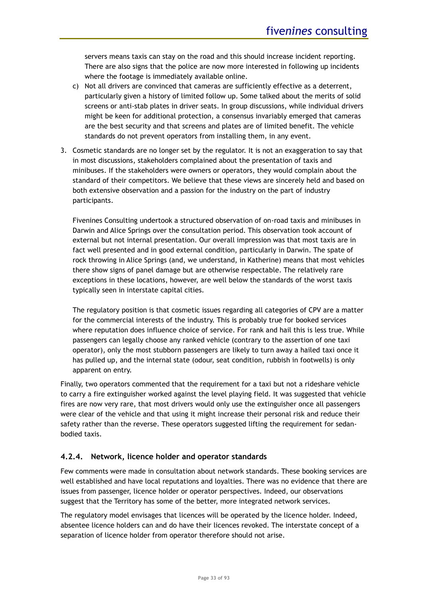servers means taxis can stay on the road and this should increase incident reporting. There are also signs that the police are now more interested in following up incidents where the footage is immediately available online.

- c) Not all drivers are convinced that cameras are sufficiently effective as a deterrent, particularly given a history of limited follow up. Some talked about the merits of solid screens or anti-stab plates in driver seats. In group discussions, while individual drivers might be keen for additional protection, a consensus invariably emerged that cameras are the best security and that screens and plates are of limited benefit. The vehicle standards do not prevent operators from installing them, in any event.
- 3. Cosmetic standards are no longer set by the regulator. It is not an exaggeration to say that in most discussions, stakeholders complained about the presentation of taxis and minibuses. If the stakeholders were owners or operators, they would complain about the standard of their competitors. We believe that these views are sincerely held and based on both extensive observation and a passion for the industry on the part of industry participants.

Fivenines Consulting undertook a structured observation of on-road taxis and minibuses in Darwin and Alice Springs over the consultation period. This observation took account of external but not internal presentation. Our overall impression was that most taxis are in fact well presented and in good external condition, particularly in Darwin. The spate of rock throwing in Alice Springs (and, we understand, in Katherine) means that most vehicles there show signs of panel damage but are otherwise respectable. The relatively rare exceptions in these locations, however, are well below the standards of the worst taxis typically seen in interstate capital cities.

The regulatory position is that cosmetic issues regarding all categories of CPV are a matter for the commercial interests of the industry. This is probably true for booked services where reputation does influence choice of service. For rank and hail this is less true. While passengers can legally choose any ranked vehicle (contrary to the assertion of one taxi operator), only the most stubborn passengers are likely to turn away a hailed taxi once it has pulled up, and the internal state (odour, seat condition, rubbish in footwells) is only apparent on entry.

Finally, two operators commented that the requirement for a taxi but not a rideshare vehicle to carry a fire extinguisher worked against the level playing field. It was suggested that vehicle fires are now very rare, that most drivers would only use the extinguisher once all passengers were clear of the vehicle and that using it might increase their personal risk and reduce their safety rather than the reverse. These operators suggested lifting the requirement for sedanbodied taxis.

# <span id="page-32-0"></span>**4.2.4. Network, licence holder and operator standards**

Few comments were made in consultation about network standards. These booking services are well established and have local reputations and loyalties. There was no evidence that there are issues from passenger, licence holder or operator perspectives. Indeed, our observations suggest that the Territory has some of the better, more integrated network services.

The regulatory model envisages that licences will be operated by the licence holder. Indeed, absentee licence holders can and do have their licences revoked. The interstate concept of a separation of licence holder from operator therefore should not arise.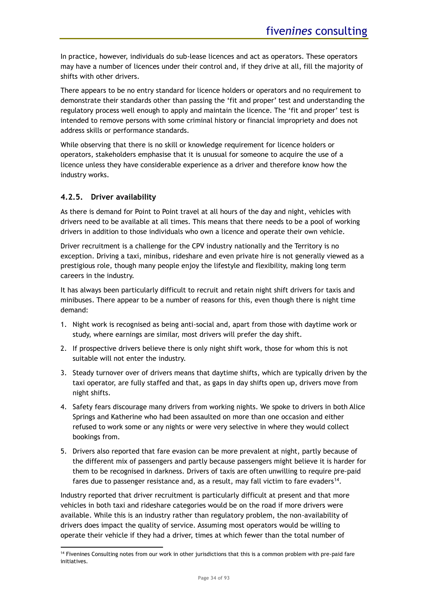In practice, however, individuals do sub-lease licences and act as operators. These operators may have a number of licences under their control and, if they drive at all, fill the majority of shifts with other drivers.

There appears to be no entry standard for licence holders or operators and no requirement to demonstrate their standards other than passing the 'fit and proper' test and understanding the regulatory process well enough to apply and maintain the licence. The 'fit and proper' test is intended to remove persons with some criminal history or financial impropriety and does not address skills or performance standards.

While observing that there is no skill or knowledge requirement for licence holders or operators, stakeholders emphasise that it is unusual for someone to acquire the use of a licence unless they have considerable experience as a driver and therefore know how the industry works.

# <span id="page-33-0"></span>**4.2.5. Driver availability**

As there is demand for Point to Point travel at all hours of the day and night, vehicles with drivers need to be available at all times. This means that there needs to be a pool of working drivers in addition to those individuals who own a licence and operate their own vehicle.

Driver recruitment is a challenge for the CPV industry nationally and the Territory is no exception. Driving a taxi, minibus, rideshare and even private hire is not generally viewed as a prestigious role, though many people enjoy the lifestyle and flexibility, making long term careers in the industry.

It has always been particularly difficult to recruit and retain night shift drivers for taxis and minibuses. There appear to be a number of reasons for this, even though there is night time demand:

- 1. Night work is recognised as being anti-social and, apart from those with daytime work or study, where earnings are similar, most drivers will prefer the day shift.
- 2. If prospective drivers believe there is only night shift work, those for whom this is not suitable will not enter the industry.
- 3. Steady turnover over of drivers means that daytime shifts, which are typically driven by the taxi operator, are fully staffed and that, as gaps in day shifts open up, drivers move from night shifts.
- 4. Safety fears discourage many drivers from working nights. We spoke to drivers in both Alice Springs and Katherine who had been assaulted on more than one occasion and either refused to work some or any nights or were very selective in where they would collect bookings from.
- 5. Drivers also reported that fare evasion can be more prevalent at night, partly because of the different mix of passengers and partly because passengers might believe it is harder for them to be recognised in darkness. Drivers of taxis are often unwilling to require pre-paid fares due to passenger resistance and, as a result, may fall victim to fare evaders<sup>14</sup>.

Industry reported that driver recruitment is particularly difficult at present and that more vehicles in both taxi and rideshare categories would be on the road if more drivers were available. While this is an industry rather than regulatory problem, the non-availability of drivers does impact the quality of service. Assuming most operators would be willing to operate their vehicle if they had a driver, times at which fewer than the total number of

<sup>&</sup>lt;sup>14</sup> Fivenines Consulting notes from our work in other jurisdictions that this is a common problem with pre-paid fare initiatives.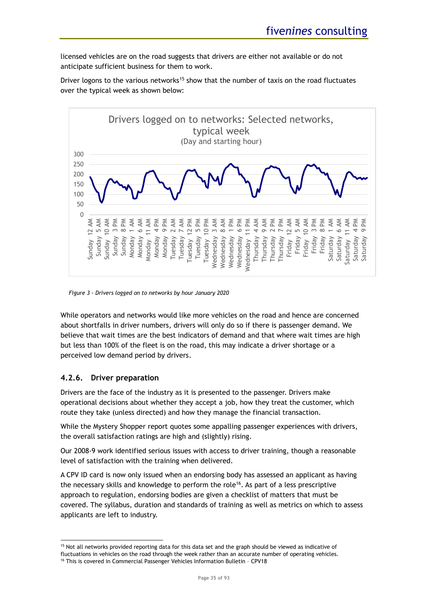licensed vehicles are on the road suggests that drivers are either not available or do not anticipate sufficient business for them to work.

Driver logons to the various networks<sup>15</sup> show that the number of taxis on the road fluctuates over the typical week as shown below:



*Figure 3 - Drivers logged on to networks by hour January 2020*

While operators and networks would like more vehicles on the road and hence are concerned about shortfalls in driver numbers, drivers will only do so if there is passenger demand. We believe that wait times are the best indicators of demand and that where wait times are high but less than 100% of the fleet is on the road, this may indicate a driver shortage or a perceived low demand period by drivers.

# <span id="page-34-0"></span>**4.2.6. Driver preparation**

Drivers are the face of the industry as it is presented to the passenger. Drivers make operational decisions about whether they accept a job, how they treat the customer, which route they take (unless directed) and how they manage the financial transaction.

While the Mystery Shopper report quotes some appalling passenger experiences with drivers, the overall satisfaction ratings are high and (slightly) rising.

Our 2008-9 work identified serious issues with access to driver training, though a reasonable level of satisfaction with the training when delivered.

A CPV ID card is now only issued when an endorsing body has assessed an applicant as having the necessary skills and knowledge to perform the role<sup>16</sup>. As part of a less prescriptive approach to regulation, endorsing bodies are given a checklist of matters that must be covered. The syllabus, duration and standards of training as well as metrics on which to assess applicants are left to industry.

<sup>&</sup>lt;sup>15</sup> Not all networks provided reporting data for this data set and the graph should be viewed as indicative of fluctuations in vehicles on the road through the week rather than an accurate number of operating vehicles.

<sup>&</sup>lt;sup>16</sup> This is covered in Commercial Passenger Vehicles Information Bulletin - CPV18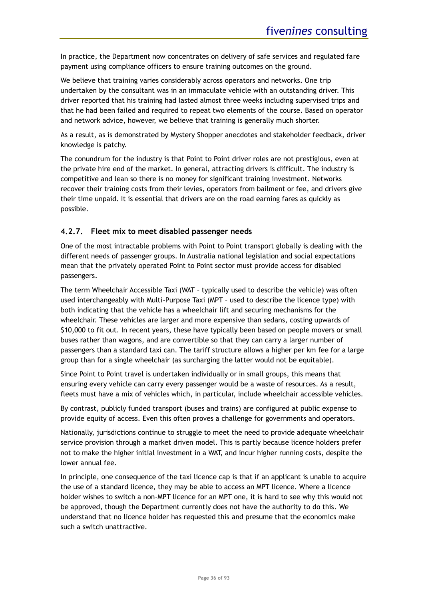In practice, the Department now concentrates on delivery of safe services and regulated fare payment using compliance officers to ensure training outcomes on the ground.

We believe that training varies considerably across operators and networks. One trip undertaken by the consultant was in an immaculate vehicle with an outstanding driver. This driver reported that his training had lasted almost three weeks including supervised trips and that he had been failed and required to repeat two elements of the course. Based on operator and network advice, however, we believe that training is generally much shorter.

As a result, as is demonstrated by Mystery Shopper anecdotes and stakeholder feedback, driver knowledge is patchy.

The conundrum for the industry is that Point to Point driver roles are not prestigious, even at the private hire end of the market. In general, attracting drivers is difficult. The industry is competitive and lean so there is no money for significant training investment. Networks recover their training costs from their levies, operators from bailment or fee, and drivers give their time unpaid. It is essential that drivers are on the road earning fares as quickly as possible.

# <span id="page-35-0"></span>**4.2.7. Fleet mix to meet disabled passenger needs**

One of the most intractable problems with Point to Point transport globally is dealing with the different needs of passenger groups. In Australia national legislation and social expectations mean that the privately operated Point to Point sector must provide access for disabled passengers.

The term Wheelchair Accessible Taxi (WAT – typically used to describe the vehicle) was often used interchangeably with Multi-Purpose Taxi (MPT – used to describe the licence type) with both indicating that the vehicle has a wheelchair lift and securing mechanisms for the wheelchair. These vehicles are larger and more expensive than sedans, costing upwards of \$10,000 to fit out. In recent years, these have typically been based on people movers or small buses rather than wagons, and are convertible so that they can carry a larger number of passengers than a standard taxi can. The tariff structure allows a higher per km fee for a large group than for a single wheelchair (as surcharging the latter would not be equitable).

Since Point to Point travel is undertaken individually or in small groups, this means that ensuring every vehicle can carry every passenger would be a waste of resources. As a result, fleets must have a mix of vehicles which, in particular, include wheelchair accessible vehicles.

By contrast, publicly funded transport (buses and trains) are configured at public expense to provide equity of access. Even this often proves a challenge for governments and operators.

Nationally, jurisdictions continue to struggle to meet the need to provide adequate wheelchair service provision through a market driven model. This is partly because licence holders prefer not to make the higher initial investment in a WAT, and incur higher running costs, despite the lower annual fee.

In principle, one consequence of the taxi licence cap is that if an applicant is unable to acquire the use of a standard licence, they may be able to access an MPT licence. Where a licence holder wishes to switch a non-MPT licence for an MPT one, it is hard to see why this would not be approved, though the Department currently does not have the authority to do this. We understand that no licence holder has requested this and presume that the economics make such a switch unattractive.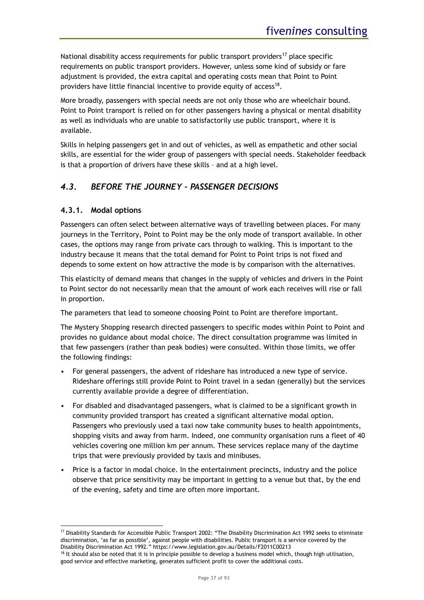National disability access requirements for public transport providers<sup>17</sup> place specific requirements on public transport providers. However, unless some kind of subsidy or fare adjustment is provided, the extra capital and operating costs mean that Point to Point providers have little financial incentive to provide equity of access<sup>18</sup>.

More broadly, passengers with special needs are not only those who are wheelchair bound. Point to Point transport is relied on for other passengers having a physical or mental disability as well as individuals who are unable to satisfactorily use public transport, where it is available.

Skills in helping passengers get in and out of vehicles, as well as empathetic and other social skills, are essential for the wider group of passengers with special needs. Stakeholder feedback is that a proportion of drivers have these skills – and at a high level.

# *4.3. BEFORE THE JOURNEY – PASSENGER DECISIONS*

### <span id="page-36-0"></span>**4.3.1. Modal options**

Passengers can often select between alternative ways of travelling between places. For many journeys in the Territory, Point to Point may be the only mode of transport available. In other cases, the options may range from private cars through to walking. This is important to the industry because it means that the total demand for Point to Point trips is not fixed and depends to some extent on how attractive the mode is by comparison with the alternatives.

This elasticity of demand means that changes in the supply of vehicles and drivers in the Point to Point sector do not necessarily mean that the amount of work each receives will rise or fall in proportion.

The parameters that lead to someone choosing Point to Point are therefore important.

The Mystery Shopping research directed passengers to specific modes within Point to Point and provides no guidance about modal choice. The direct consultation programme was limited in that few passengers (rather than peak bodies) were consulted. Within those limits, we offer the following findings:

- For general passengers, the advent of rideshare has introduced a new type of service. Rideshare offerings still provide Point to Point travel in a sedan (generally) but the services currently available provide a degree of differentiation.
- For disabled and disadvantaged passengers, what is claimed to be a significant growth in community provided transport has created a significant alternative modal option. Passengers who previously used a taxi now take community buses to health appointments, shopping visits and away from harm. Indeed, one community organisation runs a fleet of 40 vehicles covering one million km per annum. These services replace many of the daytime trips that were previously provided by taxis and minibuses.
- Price is a factor in modal choice. In the entertainment precincts, industry and the police observe that price sensitivity may be important in getting to a venue but that, by the end of the evening, safety and time are often more important.

<sup>17</sup> Disability Standards for Accessible Public Transport 2002: "The Disability Discrimination Act 1992 seeks to eliminate discrimination, 'as far as possible', against people with disabilities. Public transport is a service covered by the Disability Discrimination Act 1992." https://www.legislation.gov.au/Details/F2011C00213

 $18$  It should also be noted that it is in principle possible to develop a business model which, though high utilisation, good service and effective marketing, generates sufficient profit to cover the additional costs.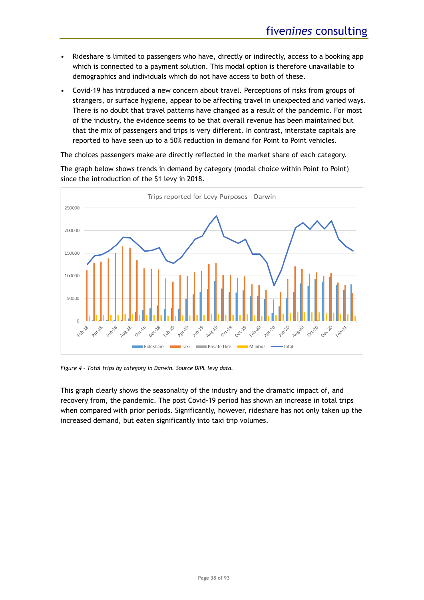- Rideshare is limited to passengers who have, directly or indirectly, access to a booking app which is connected to a payment solution. This modal option is therefore unavailable to demographics and individuals which do not have access to both of these.
- Covid-19 has introduced a new concern about travel. Perceptions of risks from groups of strangers, or surface hygiene, appear to be affecting travel in unexpected and varied ways. There is no doubt that travel patterns have changed as a result of the pandemic. For most of the industry, the evidence seems to be that overall revenue has been maintained but that the mix of passengers and trips is very different. In contrast, interstate capitals are reported to have seen up to a 50% reduction in demand for Point to Point vehicles.

The choices passengers make are directly reflected in the market share of each category.

Trips reported for Levy Purposes - Darwin 250000 200000 150000 100000 50000  $\overline{0}$ Oct-118 00x20 **Oct.19** Feb Dec  $Oe^{\zeta}$  $\mathscr{B}$ Rideshare Private Hire Minibus -Total **Taxi** 

The graph below shows trends in demand by category (modal choice within Point to Point) since the introduction of the \$1 levy in 2018.

<span id="page-37-0"></span>*Figure 4 - Total trips by category in Darwin. Source DIPL levy data.*

This graph clearly shows the seasonality of the industry and the dramatic impact of, and recovery from, the pandemic. The post Covid-19 period has shown an increase in total trips when compared with prior periods. Significantly, however, rideshare has not only taken up the increased demand, but eaten significantly into taxi trip volumes.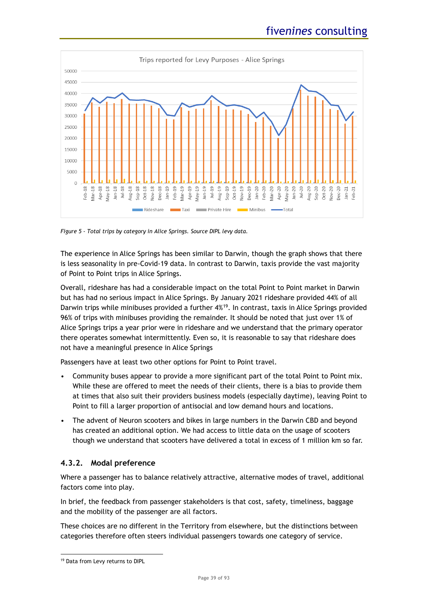

<span id="page-38-0"></span>*Figure 5 - Total trips by category in Alice Springs. Source DIPL levy data.*

The experience in Alice Springs has been similar to Darwin, though the graph shows that there is less seasonality in pre-Covid-19 data. In contrast to Darwin, taxis provide the vast majority of Point to Point trips in Alice Springs.

Overall, rideshare has had a considerable impact on the total Point to Point market in Darwin but has had no serious impact in Alice Springs. By January 2021 rideshare provided 44% of all Darwin trips while minibuses provided a further 4%<sup>19</sup>. In contrast, taxis in Alice Springs provided 96% of trips with minibuses providing the remainder. It should be noted that just over 1% of Alice Springs trips a year prior were in rideshare and we understand that the primary operator there operates somewhat intermittently. Even so, it is reasonable to say that rideshare does not have a meaningful presence in Alice Springs

Passengers have at least two other options for Point to Point travel.

- Community buses appear to provide a more significant part of the total Point to Point mix. While these are offered to meet the needs of their clients, there is a bias to provide them at times that also suit their providers business models (especially daytime), leaving Point to Point to fill a larger proportion of antisocial and low demand hours and locations.
- The advent of Neuron scooters and bikes in large numbers in the Darwin CBD and beyond has created an additional option. We had access to little data on the usage of scooters though we understand that scooters have delivered a total in excess of 1 million km so far.

# **4.3.2. Modal preference**

Where a passenger has to balance relatively attractive, alternative modes of travel, additional factors come into play.

In brief, the feedback from passenger stakeholders is that cost, safety, timeliness, baggage and the mobility of the passenger are all factors.

These choices are no different in the Territory from elsewhere, but the distinctions between categories therefore often steers individual passengers towards one category of service.

<sup>19</sup> Data from Levy returns to DIPL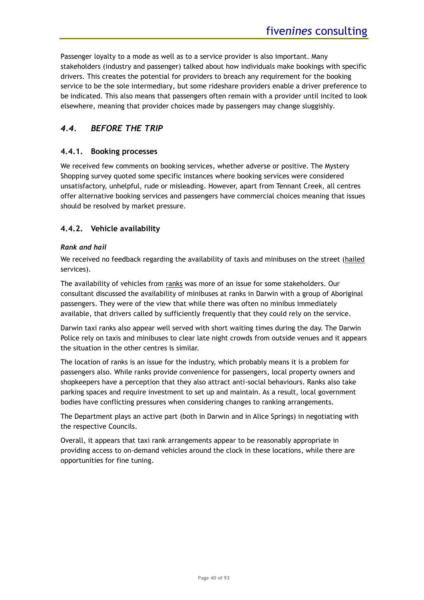Passenger loyalty to a mode as well as to a service provider is also important. Many stakeholders (industry and passenger) talked about how individuals make bookings with specific drivers. This creates the potential for providers to breach any requirement for the booking service to be the sole intermediary, but some rideshare providers enable a driver preference to be indicated. This also means that passengers often remain with a provider until incited to look elsewhere, meaning that provider choices made by passengers may change sluggishly.

# *4.4. BEFORE THE TRIP*

# **4.4.1. Booking processes**

We received few comments on booking services, whether adverse or positive. The Mystery Shopping survey quoted some specific instances where booking services were considered unsatisfactory, unhelpful, rude or misleading. However, apart from Tennant Creek, all centres offer alternative booking services and passengers have commercial choices meaning that issues should be resolved by market pressure.

# <span id="page-39-0"></span>**4.4.2. Vehicle availability**

### *Rank and hail*

We received no feedback regarding the availability of taxis and minibuses on the street (hailed services).

The availability of vehicles from ranks was more of an issue for some stakeholders. Our consultant discussed the availability of minibuses at ranks in Darwin with a group of Aboriginal passengers. They were of the view that while there was often no minibus immediately available, that drivers called by sufficiently frequently that they could rely on the service.

Darwin taxi ranks also appear well served with short waiting times during the day. The Darwin Police rely on taxis and minibuses to clear late night crowds from outside venues and it appears the situation in the other centres is similar.

The location of ranks is an issue for the industry, which probably means it is a problem for passengers also. While ranks provide convenience for passengers, local property owners and shopkeepers have a perception that they also attract anti-social behaviours. Ranks also take parking spaces and require investment to set up and maintain. As a result, local government bodies have conflicting pressures when considering changes to ranking arrangements.

The Department plays an active part (both in Darwin and in Alice Springs) in negotiating with the respective Councils.

Overall, it appears that taxi rank arrangements appear to be reasonably appropriate in providing access to on-demand vehicles around the clock in these locations, while there are opportunities for fine tuning.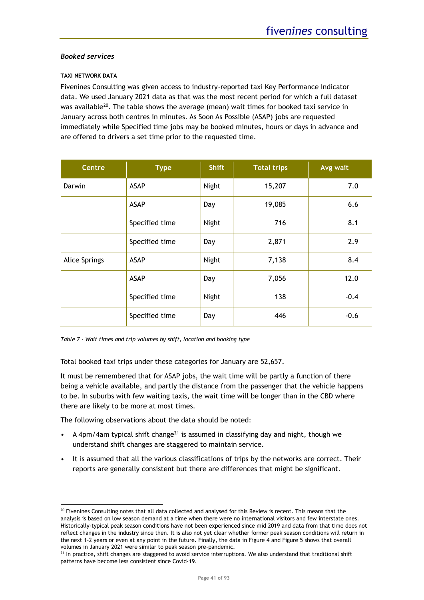### *Booked services*

### **TAXI NETWORK DATA**

Fivenines Consulting was given access to industry-reported taxi Key Performance Indicator data. We used January 2021 data as that was the most recent period for which a full dataset was available<sup>20</sup>. The table shows the average (mean) wait times for booked taxi service in January across both centres in minutes. As Soon As Possible (ASAP) jobs are requested immediately while Specified time jobs may be booked minutes, hours or days in advance and are offered to drivers a set time prior to the requested time.

| <b>Centre</b>        | <b>Type</b>    | <b>Shift</b> | <b>Total trips</b> | Avg wait |
|----------------------|----------------|--------------|--------------------|----------|
| Darwin               | <b>ASAP</b>    | Night        | 15,207             | 7.0      |
|                      | <b>ASAP</b>    | Day          | 19,085             | 6.6      |
|                      | Specified time | Night        | 716                | 8.1      |
|                      | Specified time | Day          | 2,871              | 2.9      |
| <b>Alice Springs</b> | <b>ASAP</b>    | Night        | 7,138              | 8.4      |
|                      | <b>ASAP</b>    | Day          | 7,056              | 12.0     |
|                      | Specified time | Night        | 138                | $-0.4$   |
|                      | Specified time | Day          | 446                | $-0.6$   |

|  |  | Table 7 - Wait times and trip volumes by shift, location and booking type |  |  |  |
|--|--|---------------------------------------------------------------------------|--|--|--|
|--|--|---------------------------------------------------------------------------|--|--|--|

Total booked taxi trips under these categories for January are 52,657.

It must be remembered that for ASAP jobs, the wait time will be partly a function of there being a vehicle available, and partly the distance from the passenger that the vehicle happens to be. In suburbs with few waiting taxis, the wait time will be longer than in the CBD where there are likely to be more at most times.

The following observations about the data should be noted:

- A 4pm/4am typical shift change<sup>21</sup> is assumed in classifying day and night, though we understand shift changes are staggered to maintain service.
- It is assumed that all the various classifications of trips by the networks are correct. Their reports are generally consistent but there are differences that might be significant.

<sup>&</sup>lt;sup>20</sup> Fivenines Consulting notes that all data collected and analysed for this Review is recent. This means that the analysis is based on low season demand at a time when there were no international visitors and few interstate ones. Historically-typical peak season conditions have not been experienced since mid 2019 and data from that time does not reflect changes in the industry since then. It is also not yet clear whether former peak season conditions will return in the next 1-2 years or even at any point in the future. Finally, the data i[n Figure 4](#page-37-0) an[d Figure 5](#page-38-0) shows that overall volumes in January 2021 were similar to peak season pre-pandemic.

 $21$  In practice, shift changes are staggered to avoid service interruptions. We also understand that traditional shift patterns have become less consistent since Covid-19.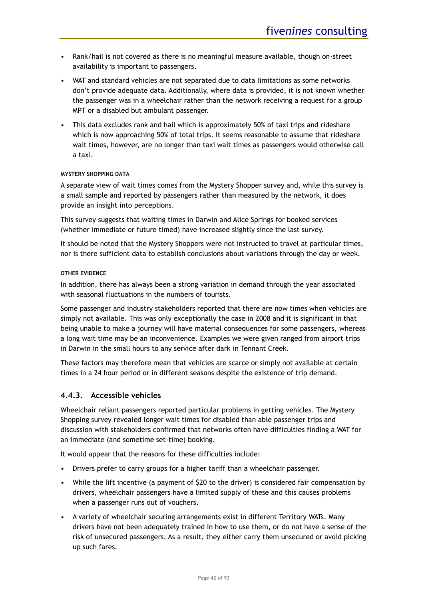- Rank/hail is not covered as there is no meaningful measure available, though on-street availability is important to passengers.
- WAT and standard vehicles are not separated due to data limitations as some networks don't provide adequate data. Additionally, where data is provided, it is not known whether the passenger was in a wheelchair rather than the network receiving a request for a group MPT or a disabled but ambulant passenger.
- This data excludes rank and hail which is approximately 50% of taxi trips and rideshare which is now approaching 50% of total trips. It seems reasonable to assume that rideshare wait times, however, are no longer than taxi wait times as passengers would otherwise call a taxi.

### **MYSTERY SHOPPING DATA**

A separate view of wait times comes from the Mystery Shopper survey and, while this survey is a small sample and reported by passengers rather than measured by the network, it does provide an insight into perceptions.

This survey suggests that waiting times in Darwin and Alice Springs for booked services (whether immediate or future timed) have increased slightly since the last survey.

It should be noted that the Mystery Shoppers were not instructed to travel at particular times, nor is there sufficient data to establish conclusions about variations through the day or week.

### **OTHER EVIDENCE**

In addition, there has always been a strong variation in demand through the year associated with seasonal fluctuations in the numbers of tourists.

Some passenger and industry stakeholders reported that there are now times when vehicles are simply not available. This was only exceptionally the case in 2008 and it is significant in that being unable to make a journey will have material consequences for some passengers, whereas a long wait time may be an inconvenience. Examples we were given ranged from airport trips in Darwin in the small hours to any service after dark in Tennant Creek.

These factors may therefore mean that vehicles are scarce or simply not available at certain times in a 24 hour period or in different seasons despite the existence of trip demand.

# **4.4.3. Accessible vehicles**

Wheelchair reliant passengers reported particular problems in getting vehicles. The Mystery Shopping survey revealed longer wait times for disabled than able passenger trips and discussion with stakeholders confirmed that networks often have difficulties finding a WAT for an immediate (and sometime set-time) booking.

It would appear that the reasons for these difficulties include:

- Drivers prefer to carry groups for a higher tariff than a wheelchair passenger.
- While the lift incentive (a payment of \$20 to the driver) is considered fair compensation by drivers, wheelchair passengers have a limited supply of these and this causes problems when a passenger runs out of vouchers.
- A variety of wheelchair securing arrangements exist in different Territory WATs. Many drivers have not been adequately trained in how to use them, or do not have a sense of the risk of unsecured passengers. As a result, they either carry them unsecured or avoid picking up such fares.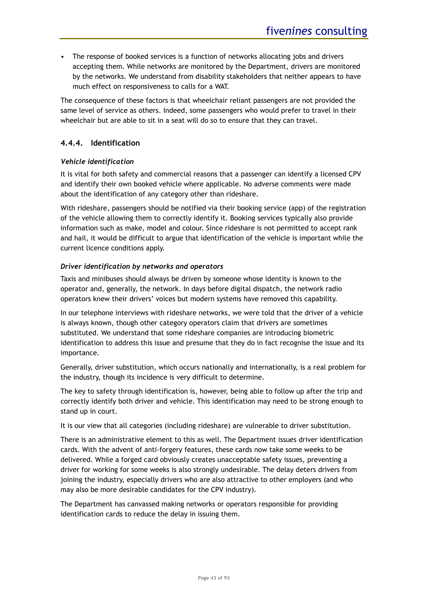• The response of booked services is a function of networks allocating jobs and drivers accepting them. While networks are monitored by the Department, drivers are monitored by the networks. We understand from disability stakeholders that neither appears to have much effect on responsiveness to calls for a WAT.

The consequence of these factors is that wheelchair reliant passengers are not provided the same level of service as others. Indeed, some passengers who would prefer to travel in their wheelchair but are able to sit in a seat will do so to ensure that they can travel.

# **4.4.4. Identification**

### *Vehicle identification*

It is vital for both safety and commercial reasons that a passenger can identify a licensed CPV and identify their own booked vehicle where applicable. No adverse comments were made about the identification of any category other than rideshare.

With rideshare, passengers should be notified via their booking service (app) of the registration of the vehicle allowing them to correctly identify it. Booking services typically also provide information such as make, model and colour. Since rideshare is not permitted to accept rank and hail, it would be difficult to argue that identification of the vehicle is important while the current licence conditions apply.

### *Driver identification by networks and operators*

Taxis and minibuses should always be driven by someone whose identity is known to the operator and, generally, the network. In days before digital dispatch, the network radio operators knew their drivers' voices but modern systems have removed this capability.

In our telephone interviews with rideshare networks, we were told that the driver of a vehicle is always known, though other category operators claim that drivers are sometimes substituted. We understand that some rideshare companies are introducing biometric identification to address this issue and presume that they do in fact recognise the issue and its importance.

Generally, driver substitution, which occurs nationally and internationally, is a real problem for the industry, though its incidence is very difficult to determine.

The key to safety through identification is, however, being able to follow up after the trip and correctly identify both driver and vehicle. This identification may need to be strong enough to stand up in court.

It is our view that all categories (including rideshare) are vulnerable to driver substitution.

There is an administrative element to this as well. The Department issues driver identification cards. With the advent of anti-forgery features, these cards now take some weeks to be delivered. While a forged card obviously creates unacceptable safety issues, preventing a driver for working for some weeks is also strongly undesirable. The delay deters drivers from joining the industry, especially drivers who are also attractive to other employers (and who may also be more desirable candidates for the CPV industry).

The Department has canvassed making networks or operators responsible for providing identification cards to reduce the delay in issuing them.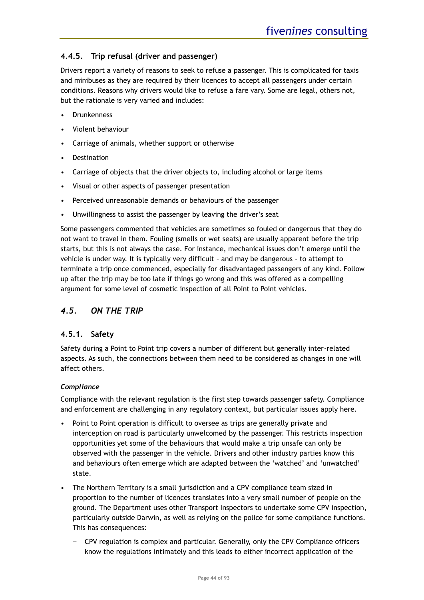# **4.4.5. Trip refusal (driver and passenger)**

Drivers report a variety of reasons to seek to refuse a passenger. This is complicated for taxis and minibuses as they are required by their licences to accept all passengers under certain conditions. Reasons why drivers would like to refuse a fare vary. Some are legal, others not, but the rationale is very varied and includes:

- **Drunkenness**
- Violent behaviour
- Carriage of animals, whether support or otherwise
- **Destination**
- Carriage of objects that the driver objects to, including alcohol or large items
- Visual or other aspects of passenger presentation
- Perceived unreasonable demands or behaviours of the passenger
- Unwillingness to assist the passenger by leaving the driver's seat

Some passengers commented that vehicles are sometimes so fouled or dangerous that they do not want to travel in them. Fouling (smells or wet seats) are usually apparent before the trip starts, but this is not always the case. For instance, mechanical issues don't emerge until the vehicle is under way. It is typically very difficult – and may be dangerous - to attempt to terminate a trip once commenced, especially for disadvantaged passengers of any kind. Follow up after the trip may be too late if things go wrong and this was offered as a compelling argument for some level of cosmetic inspection of all Point to Point vehicles.

# *4.5. ON THE TRIP*

# **4.5.1. Safety**

Safety during a Point to Point trip covers a number of different but generally inter-related aspects. As such, the connections between them need to be considered as changes in one will affect others.

### *Compliance*

Compliance with the relevant regulation is the first step towards passenger safety. Compliance and enforcement are challenging in any regulatory context, but particular issues apply here.

- Point to Point operation is difficult to oversee as trips are generally private and interception on road is particularly unwelcomed by the passenger. This restricts inspection opportunities yet some of the behaviours that would make a trip unsafe can only be observed with the passenger in the vehicle. Drivers and other industry parties know this and behaviours often emerge which are adapted between the 'watched' and 'unwatched' state.
- The Northern Territory is a small jurisdiction and a CPV compliance team sized in proportion to the number of licences translates into a very small number of people on the ground. The Department uses other Transport Inspectors to undertake some CPV inspection, particularly outside Darwin, as well as relying on the police for some compliance functions. This has consequences:
	- − CPV regulation is complex and particular. Generally, only the CPV Compliance officers know the regulations intimately and this leads to either incorrect application of the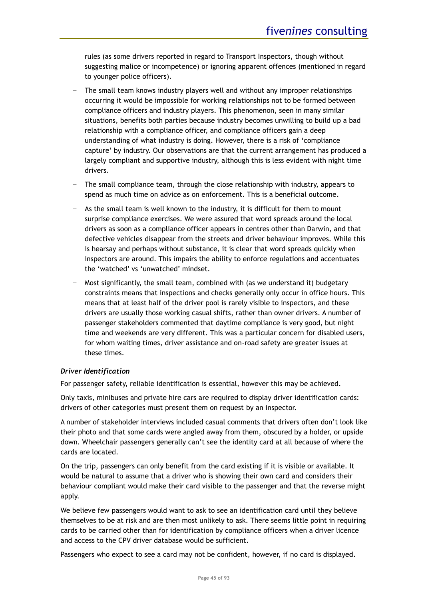rules (as some drivers reported in regard to Transport Inspectors, though without suggesting malice or incompetence) or ignoring apparent offences (mentioned in regard to younger police officers).

- − The small team knows industry players well and without any improper relationships occurring it would be impossible for working relationships not to be formed between compliance officers and industry players. This phenomenon, seen in many similar situations, benefits both parties because industry becomes unwilling to build up a bad relationship with a compliance officer, and compliance officers gain a deep understanding of what industry is doing. However, there is a risk of 'compliance capture' by industry. Our observations are that the current arrangement has produced a largely compliant and supportive industry, although this is less evident with night time drivers.
- The small compliance team, through the close relationship with industry, appears to spend as much time on advice as on enforcement. This is a beneficial outcome.
- As the small team is well known to the industry, it is difficult for them to mount surprise compliance exercises. We were assured that word spreads around the local drivers as soon as a compliance officer appears in centres other than Darwin, and that defective vehicles disappear from the streets and driver behaviour improves. While this is hearsay and perhaps without substance, it is clear that word spreads quickly when inspectors are around. This impairs the ability to enforce regulations and accentuates the 'watched' vs 'unwatched' mindset.
- − Most significantly, the small team, combined with (as we understand it) budgetary constraints means that inspections and checks generally only occur in office hours. This means that at least half of the driver pool is rarely visible to inspectors, and these drivers are usually those working casual shifts, rather than owner drivers. A number of passenger stakeholders commented that daytime compliance is very good, but night time and weekends are very different. This was a particular concern for disabled users, for whom waiting times, driver assistance and on-road safety are greater issues at these times.

### *Driver Identification*

For passenger safety, reliable identification is essential, however this may be achieved.

Only taxis, minibuses and private hire cars are required to display driver identification cards: drivers of other categories must present them on request by an inspector.

A number of stakeholder interviews included casual comments that drivers often don't look like their photo and that some cards were angled away from them, obscured by a holder, or upside down. Wheelchair passengers generally can't see the identity card at all because of where the cards are located.

On the trip, passengers can only benefit from the card existing if it is visible or available. It would be natural to assume that a driver who is showing their own card and considers their behaviour compliant would make their card visible to the passenger and that the reverse might apply.

We believe few passengers would want to ask to see an identification card until they believe themselves to be at risk and are then most unlikely to ask. There seems little point in requiring cards to be carried other than for identification by compliance officers when a driver licence and access to the CPV driver database would be sufficient.

Passengers who expect to see a card may not be confident, however, if no card is displayed.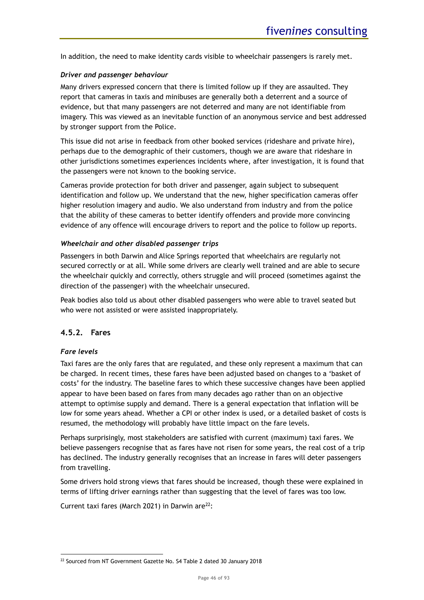In addition, the need to make identity cards visible to wheelchair passengers is rarely met.

### *Driver and passenger behaviour*

Many drivers expressed concern that there is limited follow up if they are assaulted. They report that cameras in taxis and minibuses are generally both a deterrent and a source of evidence, but that many passengers are not deterred and many are not identifiable from imagery. This was viewed as an inevitable function of an anonymous service and best addressed by stronger support from the Police.

This issue did not arise in feedback from other booked services (rideshare and private hire), perhaps due to the demographic of their customers, though we are aware that rideshare in other jurisdictions sometimes experiences incidents where, after investigation, it is found that the passengers were not known to the booking service.

Cameras provide protection for both driver and passenger, again subject to subsequent identification and follow up. We understand that the new, higher specification cameras offer higher resolution imagery and audio. We also understand from industry and from the police that the ability of these cameras to better identify offenders and provide more convincing evidence of any offence will encourage drivers to report and the police to follow up reports.

### *Wheelchair and other disabled passenger trips*

Passengers in both Darwin and Alice Springs reported that wheelchairs are regularly not secured correctly or at all. While some drivers are clearly well trained and are able to secure the wheelchair quickly and correctly, others struggle and will proceed (sometimes against the direction of the passenger) with the wheelchair unsecured.

Peak bodies also told us about other disabled passengers who were able to travel seated but who were not assisted or were assisted inappropriately.

### **4.5.2. Fares**

### *Fare levels*

Taxi fares are the only fares that are regulated, and these only represent a maximum that can be charged. In recent times, these fares have been adjusted based on changes to a 'basket of costs' for the industry. The baseline fares to which these successive changes have been applied appear to have been based on fares from many decades ago rather than on an objective attempt to optimise supply and demand. There is a general expectation that inflation will be low for some years ahead. Whether a CPI or other index is used, or a detailed basket of costs is resumed, the methodology will probably have little impact on the fare levels.

Perhaps surprisingly, most stakeholders are satisfied with current (maximum) taxi fares. We believe passengers recognise that as fares have not risen for some years, the real cost of a trip has declined. The industry generally recognises that an increase in fares will deter passengers from travelling.

Some drivers hold strong views that fares should be increased, though these were explained in terms of lifting driver earnings rather than suggesting that the level of fares was too low.

Current taxi fares (March 2021) in Darwin are $^{22}$ :

<sup>&</sup>lt;sup>22</sup> Sourced from NT Government Gazette No. S4 Table 2 dated 30 January 2018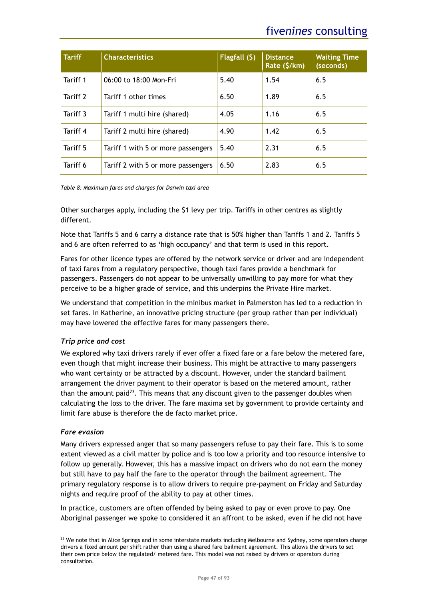| <b>Tariff</b> | <b>Characteristics</b>             | Flagfall $(5)$ | <b>Distance</b><br>Rate (\$/km) | <b>Waiting Time</b><br>(seconds) |
|---------------|------------------------------------|----------------|---------------------------------|----------------------------------|
| Tariff 1      | 06:00 to 18:00 Mon-Fri             | 5.40           | 1.54                            | 6.5                              |
| Tariff 2      | Tariff 1 other times               | 6.50           | 1.89                            | 6.5                              |
| Tariff 3      | Tariff 1 multi hire (shared)       | 4.05           | 1.16                            | 6.5                              |
| Tariff 4      | Tariff 2 multi hire (shared)       | 4.90           | 1.42                            | 6.5                              |
| Tariff 5      | Tariff 1 with 5 or more passengers | 5.40           | 2.31                            | 6.5                              |
| Tariff 6      | Tariff 2 with 5 or more passengers | 6.50           | 2.83                            | 6.5                              |

*Table 8: Maximum fares and charges for Darwin taxi area*

Other surcharges apply, including the \$1 levy per trip. Tariffs in other centres as slightly different.

Note that Tariffs 5 and 6 carry a distance rate that is 50% higher than Tariffs 1 and 2. Tariffs 5 and 6 are often referred to as 'high occupancy' and that term is used in this report.

Fares for other licence types are offered by the network service or driver and are independent of taxi fares from a regulatory perspective, though taxi fares provide a benchmark for passengers. Passengers do not appear to be universally unwilling to pay more for what they perceive to be a higher grade of service, and this underpins the Private Hire market.

We understand that competition in the minibus market in Palmerston has led to a reduction in set fares. In Katherine, an innovative pricing structure (per group rather than per individual) may have lowered the effective fares for many passengers there.

# *Trip price and cost*

We explored why taxi drivers rarely if ever offer a fixed fare or a fare below the metered fare, even though that might increase their business. This might be attractive to many passengers who want certainty or be attracted by a discount. However, under the standard bailment arrangement the driver payment to their operator is based on the metered amount, rather than the amount paid<sup>23</sup>. This means that any discount given to the passenger doubles when calculating the loss to the driver. The fare maxima set by government to provide certainty and limit fare abuse is therefore the de facto market price.

# *Fare evasion*

Many drivers expressed anger that so many passengers refuse to pay their fare. This is to some extent viewed as a civil matter by police and is too low a priority and too resource intensive to follow up generally. However, this has a massive impact on drivers who do not earn the money but still have to pay half the fare to the operator through the bailment agreement. The primary regulatory response is to allow drivers to require pre-payment on Friday and Saturday nights and require proof of the ability to pay at other times.

In practice, customers are often offended by being asked to pay or even prove to pay. One Aboriginal passenger we spoke to considered it an affront to be asked, even if he did not have

 $23$  We note that in Alice Springs and in some interstate markets including Melbourne and Sydney, some operators charge drivers a fixed amount per shift rather than using a shared fare bailment agreement. This allows the drivers to set their own price below the regulated/ metered fare. This model was not raised by drivers or operators during consultation.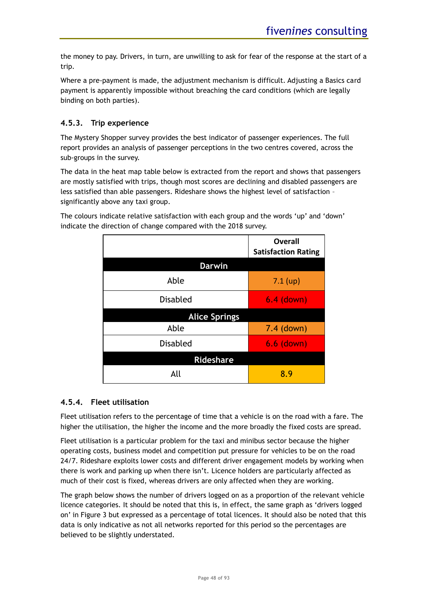the money to pay. Drivers, in turn, are unwilling to ask for fear of the response at the start of a trip.

Where a pre-payment is made, the adjustment mechanism is difficult. Adjusting a Basics card payment is apparently impossible without breaching the card conditions (which are legally binding on both parties).

# **4.5.3. Trip experience**

The Mystery Shopper survey provides the best indicator of passenger experiences. The full report provides an analysis of passenger perceptions in the two centres covered, across the sub-groups in the survey.

The data in the heat map table below is extracted from the report and shows that passengers are mostly satisfied with trips, though most scores are declining and disabled passengers are less satisfied than able passengers. Rideshare shows the highest level of satisfaction – significantly above any taxi group.

The colours indicate relative satisfaction with each group and the words 'up' and 'down' indicate the direction of change compared with the 2018 survey.

|                      | <b>Overall</b><br><b>Satisfaction Rating</b> |  |  |
|----------------------|----------------------------------------------|--|--|
| <b>Darwin</b>        |                                              |  |  |
| Able                 | $7.1$ (up)                                   |  |  |
| <b>Disabled</b>      | $6.4$ (down)                                 |  |  |
| <b>Alice Springs</b> |                                              |  |  |
| Able                 | 7.4 (down)                                   |  |  |
| <b>Disabled</b>      | 6.6 (down)                                   |  |  |
| <b>Rideshare</b>     |                                              |  |  |
| All                  | 8.9                                          |  |  |

# **4.5.4. Fleet utilisation**

Fleet utilisation refers to the percentage of time that a vehicle is on the road with a fare. The higher the utilisation, the higher the income and the more broadly the fixed costs are spread.

Fleet utilisation is a particular problem for the taxi and minibus sector because the higher operating costs, business model and competition put pressure for vehicles to be on the road 24/7. Rideshare exploits lower costs and different driver engagement models by working when there is work and parking up when there isn't. Licence holders are particularly affected as much of their cost is fixed, whereas drivers are only affected when they are working.

The graph below shows the number of drivers logged on as a proportion of the relevant vehicle licence categories. It should be noted that this is, in effect, the same graph as 'drivers logged on' in [Figure 3](#page-34-0) but expressed as a percentage of total licences. It should also be noted that this data is only indicative as not all networks reported for this period so the percentages are believed to be slightly understated.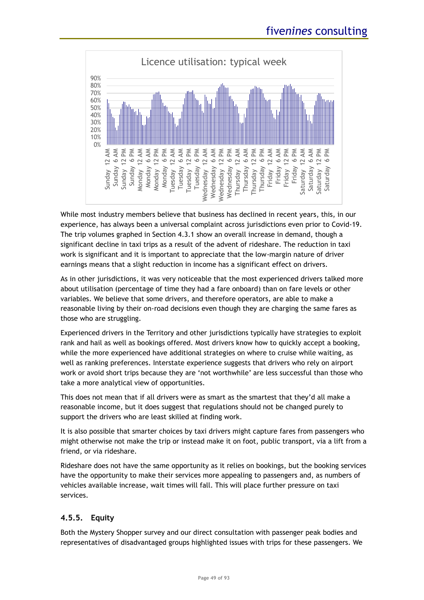

While most industry members believe that business has declined in recent years, this, in our experience, has always been a universal complaint across jurisdictions even prior to Covid-19. The trip volumes graphed in Section [4.3.1](#page-36-0) show an overall increase in demand, though a significant decline in taxi trips as a result of the advent of rideshare. The reduction in taxi work is significant and it is important to appreciate that the low-margin nature of driver earnings means that a slight reduction in income has a significant effect on drivers.

As in other jurisdictions, it was very noticeable that the most experienced drivers talked more about utilisation (percentage of time they had a fare onboard) than on fare levels or other variables. We believe that some drivers, and therefore operators, are able to make a reasonable living by their on-road decisions even though they are charging the same fares as those who are struggling.

Experienced drivers in the Territory and other jurisdictions typically have strategies to exploit rank and hail as well as bookings offered. Most drivers know how to quickly accept a booking, while the more experienced have additional strategies on where to cruise while waiting, as well as ranking preferences. Interstate experience suggests that drivers who rely on airport work or avoid short trips because they are 'not worthwhile' are less successful than those who take a more analytical view of opportunities.

This does not mean that if all drivers were as smart as the smartest that they'd all make a reasonable income, but it does suggest that regulations should not be changed purely to support the drivers who are least skilled at finding work.

It is also possible that smarter choices by taxi drivers might capture fares from passengers who might otherwise not make the trip or instead make it on foot, public transport, via a lift from a friend, or via rideshare.

Rideshare does not have the same opportunity as it relies on bookings, but the booking services have the opportunity to make their services more appealing to passengers and, as numbers of vehicles available increase, wait times will fall. This will place further pressure on taxi services.

# **4.5.5. Equity**

Both the Mystery Shopper survey and our direct consultation with passenger peak bodies and representatives of disadvantaged groups highlighted issues with trips for these passengers. We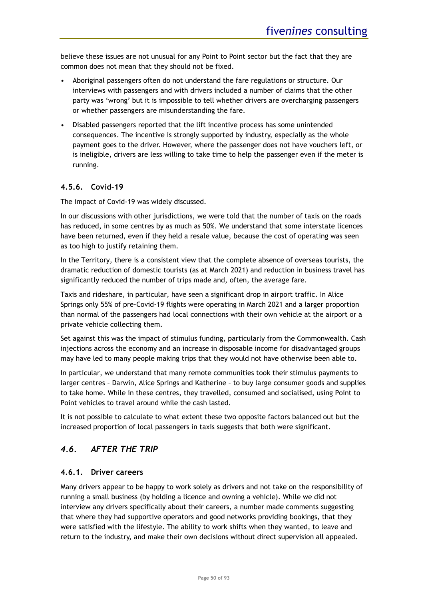believe these issues are not unusual for any Point to Point sector but the fact that they are common does not mean that they should not be fixed.

- Aboriginal passengers often do not understand the fare regulations or structure. Our interviews with passengers and with drivers included a number of claims that the other party was 'wrong' but it is impossible to tell whether drivers are overcharging passengers or whether passengers are misunderstanding the fare.
- Disabled passengers reported that the lift incentive process has some unintended consequences. The incentive is strongly supported by industry, especially as the whole payment goes to the driver. However, where the passenger does not have vouchers left, or is ineligible, drivers are less willing to take time to help the passenger even if the meter is running.

# **4.5.6. Covid-19**

The impact of Covid-19 was widely discussed.

In our discussions with other jurisdictions, we were told that the number of taxis on the roads has reduced, in some centres by as much as 50%. We understand that some interstate licences have been returned, even if they held a resale value, because the cost of operating was seen as too high to justify retaining them.

In the Territory, there is a consistent view that the complete absence of overseas tourists, the dramatic reduction of domestic tourists (as at March 2021) and reduction in business travel has significantly reduced the number of trips made and, often, the average fare.

Taxis and rideshare, in particular, have seen a significant drop in airport traffic. In Alice Springs only 55% of pre-Covid-19 flights were operating in March 2021 and a larger proportion than normal of the passengers had local connections with their own vehicle at the airport or a private vehicle collecting them.

Set against this was the impact of stimulus funding, particularly from the Commonwealth. Cash injections across the economy and an increase in disposable income for disadvantaged groups may have led to many people making trips that they would not have otherwise been able to.

In particular, we understand that many remote communities took their stimulus payments to larger centres – Darwin, Alice Springs and Katherine – to buy large consumer goods and supplies to take home. While in these centres, they travelled, consumed and socialised, using Point to Point vehicles to travel around while the cash lasted.

It is not possible to calculate to what extent these two opposite factors balanced out but the increased proportion of local passengers in taxis suggests that both were significant.

# *4.6. AFTER THE TRIP*

# **4.6.1. Driver careers**

Many drivers appear to be happy to work solely as drivers and not take on the responsibility of running a small business (by holding a licence and owning a vehicle). While we did not interview any drivers specifically about their careers, a number made comments suggesting that where they had supportive operators and good networks providing bookings, that they were satisfied with the lifestyle. The ability to work shifts when they wanted, to leave and return to the industry, and make their own decisions without direct supervision all appealed.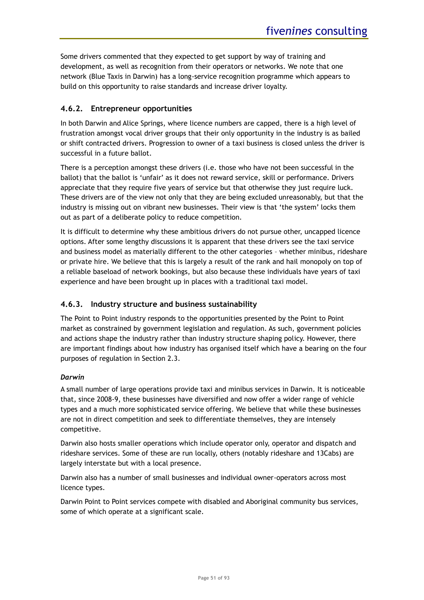Some drivers commented that they expected to get support by way of training and development, as well as recognition from their operators or networks. We note that one network (Blue Taxis in Darwin) has a long-service recognition programme which appears to build on this opportunity to raise standards and increase driver loyalty.

# **4.6.2. Entrepreneur opportunities**

In both Darwin and Alice Springs, where licence numbers are capped, there is a high level of frustration amongst vocal driver groups that their only opportunity in the industry is as bailed or shift contracted drivers. Progression to owner of a taxi business is closed unless the driver is successful in a future ballot.

There is a perception amongst these drivers (i.e. those who have not been successful in the ballot) that the ballot is 'unfair' as it does not reward service, skill or performance. Drivers appreciate that they require five years of service but that otherwise they just require luck. These drivers are of the view not only that they are being excluded unreasonably, but that the industry is missing out on vibrant new businesses. Their view is that 'the system' locks them out as part of a deliberate policy to reduce competition.

It is difficult to determine why these ambitious drivers do not pursue other, uncapped licence options. After some lengthy discussions it is apparent that these drivers see the taxi service and business model as materially different to the other categories – whether minibus, rideshare or private hire. We believe that this is largely a result of the rank and hail monopoly on top of a reliable baseload of network bookings, but also because these individuals have years of taxi experience and have been brought up in places with a traditional taxi model.

# **4.6.3. Industry structure and business sustainability**

The Point to Point industry responds to the opportunities presented by the Point to Point market as constrained by government legislation and regulation. As such, government policies and actions shape the industry rather than industry structure shaping policy. However, there are important findings about how industry has organised itself which have a bearing on the four purposes of regulation in Section [2.3.](#page-18-0)

### *Darwin*

A small number of large operations provide taxi and minibus services in Darwin. It is noticeable that, since 2008-9, these businesses have diversified and now offer a wider range of vehicle types and a much more sophisticated service offering. We believe that while these businesses are not in direct competition and seek to differentiate themselves, they are intensely competitive.

Darwin also hosts smaller operations which include operator only, operator and dispatch and rideshare services. Some of these are run locally, others (notably rideshare and 13Cabs) are largely interstate but with a local presence.

Darwin also has a number of small businesses and individual owner-operators across most licence types.

Darwin Point to Point services compete with disabled and Aboriginal community bus services, some of which operate at a significant scale.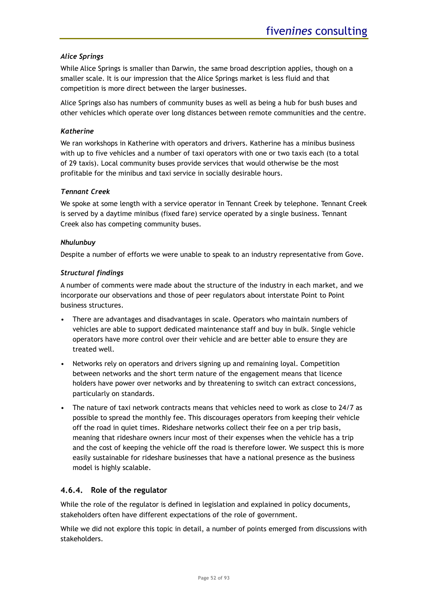### *Alice Springs*

While Alice Springs is smaller than Darwin, the same broad description applies, though on a smaller scale. It is our impression that the Alice Springs market is less fluid and that competition is more direct between the larger businesses.

Alice Springs also has numbers of community buses as well as being a hub for bush buses and other vehicles which operate over long distances between remote communities and the centre.

### *Katherine*

We ran workshops in Katherine with operators and drivers. Katherine has a minibus business with up to five vehicles and a number of taxi operators with one or two taxis each (to a total of 29 taxis). Local community buses provide services that would otherwise be the most profitable for the minibus and taxi service in socially desirable hours.

### *Tennant Creek*

We spoke at some length with a service operator in Tennant Creek by telephone. Tennant Creek is served by a daytime minibus (fixed fare) service operated by a single business. Tennant Creek also has competing community buses.

### *Nhulunbuy*

Despite a number of efforts we were unable to speak to an industry representative from Gove.

### *Structural findings*

A number of comments were made about the structure of the industry in each market, and we incorporate our observations and those of peer regulators about interstate Point to Point business structures.

- There are advantages and disadvantages in scale. Operators who maintain numbers of vehicles are able to support dedicated maintenance staff and buy in bulk. Single vehicle operators have more control over their vehicle and are better able to ensure they are treated well.
- Networks rely on operators and drivers signing up and remaining loyal. Competition between networks and the short term nature of the engagement means that licence holders have power over networks and by threatening to switch can extract concessions, particularly on standards.
- The nature of taxi network contracts means that vehicles need to work as close to 24/7 as possible to spread the monthly fee. This discourages operators from keeping their vehicle off the road in quiet times. Rideshare networks collect their fee on a per trip basis, meaning that rideshare owners incur most of their expenses when the vehicle has a trip and the cost of keeping the vehicle off the road is therefore lower. We suspect this is more easily sustainable for rideshare businesses that have a national presence as the business model is highly scalable.

### **4.6.4. Role of the regulator**

While the role of the regulator is defined in legislation and explained in policy documents, stakeholders often have different expectations of the role of government.

While we did not explore this topic in detail, a number of points emerged from discussions with stakeholders.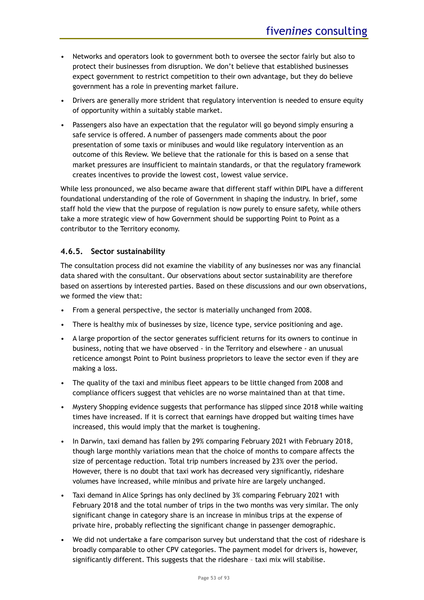- Networks and operators look to government both to oversee the sector fairly but also to protect their businesses from disruption. We don't believe that established businesses expect government to restrict competition to their own advantage, but they do believe government has a role in preventing market failure.
- Drivers are generally more strident that regulatory intervention is needed to ensure equity of opportunity within a suitably stable market.
- Passengers also have an expectation that the regulator will go beyond simply ensuring a safe service is offered. A number of passengers made comments about the poor presentation of some taxis or minibuses and would like regulatory intervention as an outcome of this Review. We believe that the rationale for this is based on a sense that market pressures are insufficient to maintain standards, or that the regulatory framework creates incentives to provide the lowest cost, lowest value service.

While less pronounced, we also became aware that different staff within DIPL have a different foundational understanding of the role of Government in shaping the industry. In brief, some staff hold the view that the purpose of regulation is now purely to ensure safety, while others take a more strategic view of how Government should be supporting Point to Point as a contributor to the Territory economy.

# **4.6.5. Sector sustainability**

The consultation process did not examine the viability of any businesses nor was any financial data shared with the consultant. Our observations about sector sustainability are therefore based on assertions by interested parties. Based on these discussions and our own observations, we formed the view that:

- From a general perspective, the sector is materially unchanged from 2008.
- There is healthy mix of businesses by size, licence type, service positioning and age.
- A large proportion of the sector generates sufficient returns for its owners to continue in business, noting that we have observed - in the Territory and elsewhere - an unusual reticence amongst Point to Point business proprietors to leave the sector even if they are making a loss.
- The quality of the taxi and minibus fleet appears to be little changed from 2008 and compliance officers suggest that vehicles are no worse maintained than at that time.
- Mystery Shopping evidence suggests that performance has slipped since 2018 while waiting times have increased. If it is correct that earnings have dropped but waiting times have increased, this would imply that the market is toughening.
- In Darwin, taxi demand has fallen by 29% comparing February 2021 with February 2018, though large monthly variations mean that the choice of months to compare affects the size of percentage reduction. Total trip numbers increased by 23% over the period. However, there is no doubt that taxi work has decreased very significantly, rideshare volumes have increased, while minibus and private hire are largely unchanged.
- Taxi demand in Alice Springs has only declined by 3% comparing February 2021 with February 2018 and the total number of trips in the two months was very similar. The only significant change in category share is an increase in minibus trips at the expense of private hire, probably reflecting the significant change in passenger demographic.
- We did not undertake a fare comparison survey but understand that the cost of rideshare is broadly comparable to other CPV categories. The payment model for drivers is, however, significantly different. This suggests that the rideshare – taxi mix will stabilise.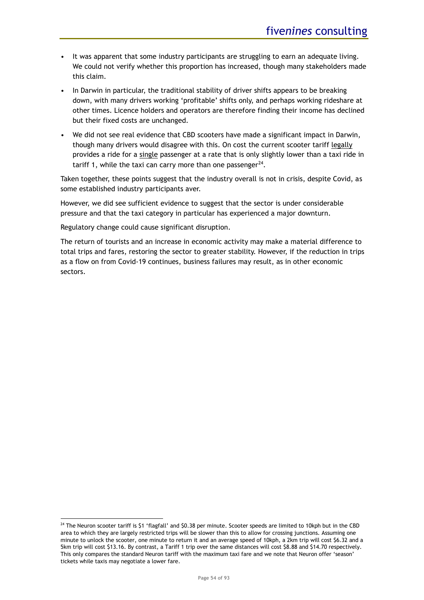- It was apparent that some industry participants are struggling to earn an adequate living. We could not verify whether this proportion has increased, though many stakeholders made this claim.
- In Darwin in particular, the traditional stability of driver shifts appears to be breaking down, with many drivers working 'profitable' shifts only, and perhaps working rideshare at other times. Licence holders and operators are therefore finding their income has declined but their fixed costs are unchanged.
- We did not see real evidence that CBD scooters have made a significant impact in Darwin, though many drivers would disagree with this. On cost the current scooter tariff legally provides a ride for a single passenger at a rate that is only slightly lower than a taxi ride in tariff 1, while the taxi can carry more than one passenger $^{24}$ .

Taken together, these points suggest that the industry overall is not in crisis, despite Covid, as some established industry participants aver.

However, we did see sufficient evidence to suggest that the sector is under considerable pressure and that the taxi category in particular has experienced a major downturn.

Regulatory change could cause significant disruption.

The return of tourists and an increase in economic activity may make a material difference to total trips and fares, restoring the sector to greater stability. However, if the reduction in trips as a flow on from Covid-19 continues, business failures may result, as in other economic sectors.

<sup>&</sup>lt;sup>24</sup> The Neuron scooter tariff is \$1 'flagfall' and \$0.38 per minute. Scooter speeds are limited to 10kph but in the CBD area to which they are largely restricted trips will be slower than this to allow for crossing junctions. Assuming one minute to unlock the scooter, one minute to return it and an average speed of 10kph, a 2km trip will cost \$6.32 and a 5km trip will cost \$13.16. By contrast, a Tariff 1 trip over the same distances will cost \$8.88 and \$14.70 respectively. This only compares the standard Neuron tariff with the maximum taxi fare and we note that Neuron offer 'season' tickets while taxis may negotiate a lower fare.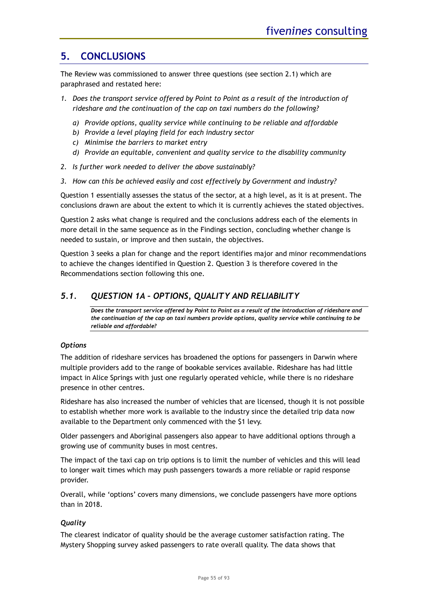# **5. CONCLUSIONS**

The Review was commissioned to answer three questions (see section [2.1\)](#page-12-0) which are paraphrased and restated here:

- *1. Does the transport service offered by Point to Point as a result of the introduction of rideshare and the continuation of the cap on taxi numbers do the following?*
	- *a) Provide options, quality service while continuing to be reliable and affordable*
	- *b) Provide a level playing field for each industry sector*
	- *c) Minimise the barriers to market entry*
	- *d) Provide an equitable, convenient and quality service to the disability community*
- *2. Is further work needed to deliver the above sustainably?*
- *3. How can this be achieved easily and cost effectively by Government and industry?*

Question 1 essentially assesses the status of the sector, at a high level, as it is at present. The conclusions drawn are about the extent to which it is currently achieves the stated objectives.

Question 2 asks what change is required and the conclusions address each of the elements in more detail in the same sequence as in the Findings section, concluding whether change is needed to sustain, or improve and then sustain, the objectives.

Question 3 seeks a plan for change and the report identifies major and minor recommendations to achieve the changes identified in Question 2. Question 3 is therefore covered in the Recommendations section following this one.

# *5.1. QUESTION 1A – OPTIONS, QUALITY AND RELIABILITY*

*Does the transport service offered by Point to Point as a result of the introduction of rideshare and the continuation of the cap on taxi numbers provide options, quality service while continuing to be reliable and affordable?*

### *Options*

The addition of rideshare services has broadened the options for passengers in Darwin where multiple providers add to the range of bookable services available. Rideshare has had little impact in Alice Springs with just one regularly operated vehicle, while there is no rideshare presence in other centres.

Rideshare has also increased the number of vehicles that are licensed, though it is not possible to establish whether more work is available to the industry since the detailed trip data now available to the Department only commenced with the \$1 levy.

Older passengers and Aboriginal passengers also appear to have additional options through a growing use of community buses in most centres.

The impact of the taxi cap on trip options is to limit the number of vehicles and this will lead to longer wait times which may push passengers towards a more reliable or rapid response provider.

Overall, while 'options' covers many dimensions, we conclude passengers have more options than in 2018.

### *Quality*

The clearest indicator of quality should be the average customer satisfaction rating. The Mystery Shopping survey asked passengers to rate overall quality. The data shows that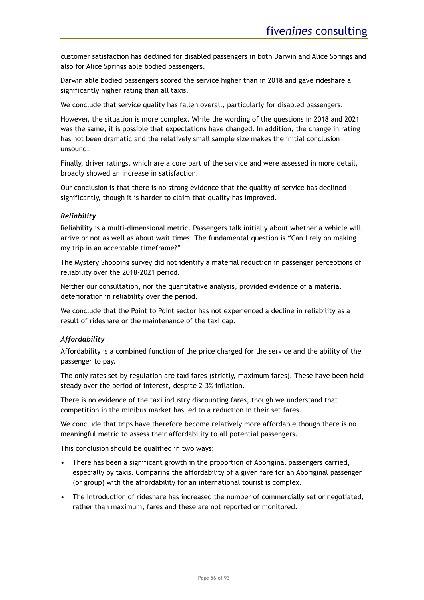customer satisfaction has declined for disabled passengers in both Darwin and Alice Springs and also for Alice Springs able bodied passengers.

Darwin able bodied passengers scored the service higher than in 2018 and gave rideshare a significantly higher rating than all taxis.

We conclude that service quality has fallen overall, particularly for disabled passengers.

However, the situation is more complex. While the wording of the questions in 2018 and 2021 was the same, it is possible that expectations have changed. In addition, the change in rating has not been dramatic and the relatively small sample size makes the initial conclusion unsound.

Finally, driver ratings, which are a core part of the service and were assessed in more detail, broadly showed an increase in satisfaction.

Our conclusion is that there is no strong evidence that the quality of service has declined significantly, though it is harder to claim that quality has improved.

### *Reliability*

Reliability is a multi-dimensional metric. Passengers talk initially about whether a vehicle will arrive or not as well as about wait times. The fundamental question is "Can I rely on making my trip in an acceptable timeframe?"

The Mystery Shopping survey did not identify a material reduction in passenger perceptions of reliability over the 2018-2021 period.

Neither our consultation, nor the quantitative analysis, provided evidence of a material deterioration in reliability over the period.

We conclude that the Point to Point sector has not experienced a decline in reliability as a result of rideshare or the maintenance of the taxi cap.

### *Affordability*

Affordability is a combined function of the price charged for the service and the ability of the passenger to pay.

The only rates set by regulation are taxi fares (strictly, maximum fares). These have been held steady over the period of interest, despite 2-3% inflation.

There is no evidence of the taxi industry discounting fares, though we understand that competition in the minibus market has led to a reduction in their set fares.

We conclude that trips have therefore become relatively more affordable though there is no meaningful metric to assess their affordability to all potential passengers.

This conclusion should be qualified in two ways:

- There has been a significant growth in the proportion of Aboriginal passengers carried, especially by taxis. Comparing the affordability of a given fare for an Aboriginal passenger (or group) with the affordability for an international tourist is complex.
- The introduction of rideshare has increased the number of commercially set or negotiated, rather than maximum, fares and these are not reported or monitored.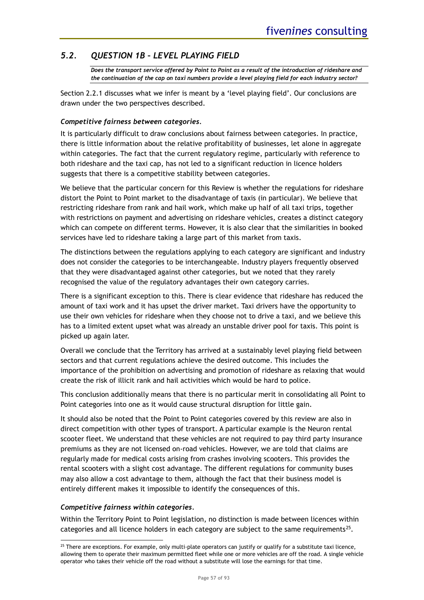# *5.2. QUESTION 1B – LEVEL PLAYING FIELD*

*Does the transport service offered by Point to Point as a result of the introduction of rideshare and the continuation of the cap on taxi numbers provide a level playing field for each industry sector?*

Section [2.2.1](#page-13-0) discusses what we infer is meant by a 'level playing field'. Our conclusions are drawn under the two perspectives described.

### *Competitive fairness between categories.*

It is particularly difficult to draw conclusions about fairness between categories. In practice, there is little information about the relative profitability of businesses, let alone in aggregate within categories. The fact that the current regulatory regime, particularly with reference to both rideshare and the taxi cap, has not led to a significant reduction in licence holders suggests that there is a competitive stability between categories.

We believe that the particular concern for this Review is whether the regulations for rideshare distort the Point to Point market to the disadvantage of taxis (in particular). We believe that restricting rideshare from rank and hail work, which make up half of all taxi trips, together with restrictions on payment and advertising on rideshare vehicles, creates a distinct category which can compete on different terms. However, it is also clear that the similarities in booked services have led to rideshare taking a large part of this market from taxis.

The distinctions between the regulations applying to each category are significant and industry does not consider the categories to be interchangeable. Industry players frequently observed that they were disadvantaged against other categories, but we noted that they rarely recognised the value of the regulatory advantages their own category carries.

There is a significant exception to this. There is clear evidence that rideshare has reduced the amount of taxi work and it has upset the driver market. Taxi drivers have the opportunity to use their own vehicles for rideshare when they choose not to drive a taxi, and we believe this has to a limited extent upset what was already an unstable driver pool for taxis. This point is picked up again later.

Overall we conclude that the Territory has arrived at a sustainably level playing field between sectors and that current regulations achieve the desired outcome. This includes the importance of the prohibition on advertising and promotion of rideshare as relaxing that would create the risk of illicit rank and hail activities which would be hard to police.

This conclusion additionally means that there is no particular merit in consolidating all Point to Point categories into one as it would cause structural disruption for little gain.

It should also be noted that the Point to Point categories covered by this review are also in direct competition with other types of transport. A particular example is the Neuron rental scooter fleet. We understand that these vehicles are not required to pay third party insurance premiums as they are not licensed on-road vehicles. However, we are told that claims are regularly made for medical costs arising from crashes involving scooters. This provides the rental scooters with a slight cost advantage. The different regulations for community buses may also allow a cost advantage to them, although the fact that their business model is entirely different makes it impossible to identify the consequences of this.

# *Competitive fairness within categories.*

Within the Territory Point to Point legislation, no distinction is made between licences within categories and all licence holders in each category are subject to the same requirements<sup>25</sup>.

 $25$  There are exceptions. For example, only multi-plate operators can justify or qualify for a substitute taxi licence, allowing them to operate their maximum permitted fleet while one or more vehicles are off the road. A single vehicle operator who takes their vehicle off the road without a substitute will lose the earnings for that time.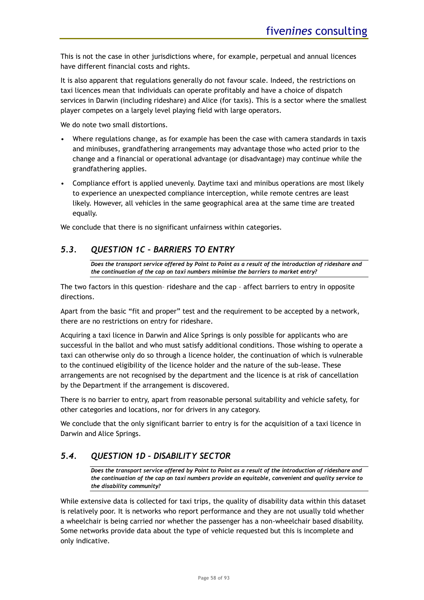This is not the case in other jurisdictions where, for example, perpetual and annual licences have different financial costs and rights.

It is also apparent that regulations generally do not favour scale. Indeed, the restrictions on taxi licences mean that individuals can operate profitably and have a choice of dispatch services in Darwin (including rideshare) and Alice (for taxis). This is a sector where the smallest player competes on a largely level playing field with large operators.

We do note two small distortions.

- Where regulations change, as for example has been the case with camera standards in taxis and minibuses, grandfathering arrangements may advantage those who acted prior to the change and a financial or operational advantage (or disadvantage) may continue while the grandfathering applies.
- Compliance effort is applied unevenly. Daytime taxi and minibus operations are most likely to experience an unexpected compliance interception, while remote centres are least likely. However, all vehicles in the same geographical area at the same time are treated equally.

We conclude that there is no significant unfairness within categories.

# *5.3. QUESTION 1C – BARRIERS TO ENTRY*

*Does the transport service offered by Point to Point as a result of the introduction of rideshare and the continuation of the cap on taxi numbers minimise the barriers to market entry?*

The two factors in this question– rideshare and the cap – affect barriers to entry in opposite directions.

Apart from the basic "fit and proper" test and the requirement to be accepted by a network, there are no restrictions on entry for rideshare.

Acquiring a taxi licence in Darwin and Alice Springs is only possible for applicants who are successful in the ballot and who must satisfy additional conditions. Those wishing to operate a taxi can otherwise only do so through a licence holder, the continuation of which is vulnerable to the continued eligibility of the licence holder and the nature of the sub-lease. These arrangements are not recognised by the department and the licence is at risk of cancellation by the Department if the arrangement is discovered.

There is no barrier to entry, apart from reasonable personal suitability and vehicle safety, for other categories and locations, nor for drivers in any category.

We conclude that the only significant barrier to entry is for the acquisition of a taxi licence in Darwin and Alice Springs.

# <span id="page-57-0"></span>*5.4. QUESTION 1D – DISABILITY SECTOR*

*Does the transport service offered by Point to Point as a result of the introduction of rideshare and the continuation of the cap on taxi numbers provide an equitable, convenient and quality service to the disability community?*

While extensive data is collected for taxi trips, the quality of disability data within this dataset is relatively poor. It is networks who report performance and they are not usually told whether a wheelchair is being carried nor whether the passenger has a non-wheelchair based disability. Some networks provide data about the type of vehicle requested but this is incomplete and only indicative.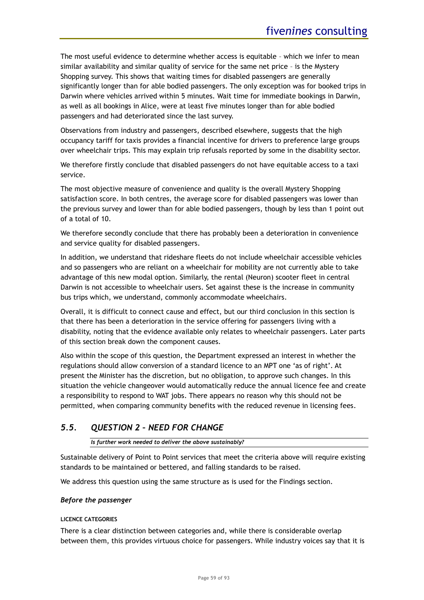The most useful evidence to determine whether access is equitable – which we infer to mean similar availability and similar quality of service for the same net price – is the Mystery Shopping survey. This shows that waiting times for disabled passengers are generally significantly longer than for able bodied passengers. The only exception was for booked trips in Darwin where vehicles arrived within 5 minutes. Wait time for immediate bookings in Darwin, as well as all bookings in Alice, were at least five minutes longer than for able bodied passengers and had deteriorated since the last survey.

Observations from industry and passengers, described elsewhere, suggests that the high occupancy tariff for taxis provides a financial incentive for drivers to preference large groups over wheelchair trips. This may explain trip refusals reported by some in the disability sector.

We therefore firstly conclude that disabled passengers do not have equitable access to a taxi service.

The most objective measure of convenience and quality is the overall Mystery Shopping satisfaction score. In both centres, the average score for disabled passengers was lower than the previous survey and lower than for able bodied passengers, though by less than 1 point out of a total of 10.

We therefore secondly conclude that there has probably been a deterioration in convenience and service quality for disabled passengers.

In addition, we understand that rideshare fleets do not include wheelchair accessible vehicles and so passengers who are reliant on a wheelchair for mobility are not currently able to take advantage of this new modal option. Similarly, the rental (Neuron) scooter fleet in central Darwin is not accessible to wheelchair users. Set against these is the increase in community bus trips which, we understand, commonly accommodate wheelchairs.

Overall, it is difficult to connect cause and effect, but our third conclusion in this section is that there has been a deterioration in the service offering for passengers living with a disability, noting that the evidence available only relates to wheelchair passengers. Later parts of this section break down the component causes.

Also within the scope of this question, the Department expressed an interest in whether the regulations should allow conversion of a standard licence to an MPT one 'as of right'. At present the Minister has the discretion, but no obligation, to approve such changes. In this situation the vehicle changeover would automatically reduce the annual licence fee and create a responsibility to respond to WAT jobs. There appears no reason why this should not be permitted, when comparing community benefits with the reduced revenue in licensing fees.

# *5.5. QUESTION 2 – NEED FOR CHANGE*

### *Is further work needed to deliver the above sustainably?*

Sustainable delivery of Point to Point services that meet the criteria above will require existing standards to be maintained or bettered, and falling standards to be raised.

We address this question using the same structure as is used for the Findings section.

### *Before the passenger*

### **LICENCE CATEGORIES**

There is a clear distinction between categories and, while there is considerable overlap between them, this provides virtuous choice for passengers. While industry voices say that it is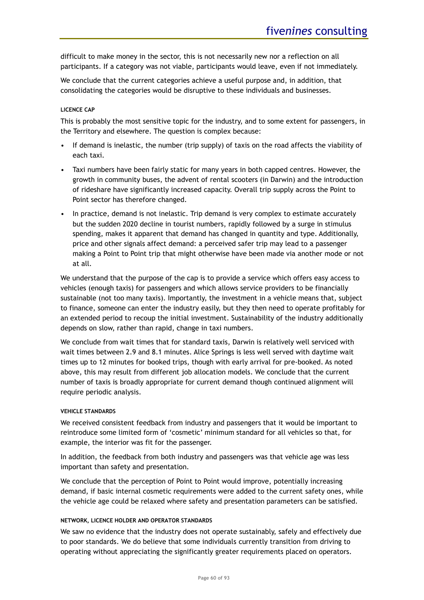difficult to make money in the sector, this is not necessarily new nor a reflection on all participants. If a category was not viable, participants would leave, even if not immediately.

We conclude that the current categories achieve a useful purpose and, in addition, that consolidating the categories would be disruptive to these individuals and businesses.

### **LICENCE CAP**

This is probably the most sensitive topic for the industry, and to some extent for passengers, in the Territory and elsewhere. The question is complex because:

- If demand is inelastic, the number (trip supply) of taxis on the road affects the viability of each taxi.
- Taxi numbers have been fairly static for many years in both capped centres. However, the growth in community buses, the advent of rental scooters (in Darwin) and the introduction of rideshare have significantly increased capacity. Overall trip supply across the Point to Point sector has therefore changed.
- In practice, demand is not inelastic. Trip demand is very complex to estimate accurately but the sudden 2020 decline in tourist numbers, rapidly followed by a surge in stimulus spending, makes it apparent that demand has changed in quantity and type. Additionally, price and other signals affect demand: a perceived safer trip may lead to a passenger making a Point to Point trip that might otherwise have been made via another mode or not at all.

We understand that the purpose of the cap is to provide a service which offers easy access to vehicles (enough taxis) for passengers and which allows service providers to be financially sustainable (not too many taxis). Importantly, the investment in a vehicle means that, subject to finance, someone can enter the industry easily, but they then need to operate profitably for an extended period to recoup the initial investment. Sustainability of the industry additionally depends on slow, rather than rapid, change in taxi numbers.

We conclude from wait times that for standard taxis, Darwin is relatively well serviced with wait times between 2.9 and 8.1 minutes. Alice Springs is less well served with daytime wait times up to 12 minutes for booked trips, though with early arrival for pre-booked. As noted above, this may result from different job allocation models. We conclude that the current number of taxis is broadly appropriate for current demand though continued alignment will require periodic analysis.

### **VEHICLE STANDARDS**

We received consistent feedback from industry and passengers that it would be important to reintroduce some limited form of 'cosmetic' minimum standard for all vehicles so that, for example, the interior was fit for the passenger.

In addition, the feedback from both industry and passengers was that vehicle age was less important than safety and presentation.

We conclude that the perception of Point to Point would improve, potentially increasing demand, if basic internal cosmetic requirements were added to the current safety ones, while the vehicle age could be relaxed where safety and presentation parameters can be satisfied.

### **NETWORK, LICENCE HOLDER AND OPERATOR STANDARDS**

We saw no evidence that the industry does not operate sustainably, safely and effectively due to poor standards. We do believe that some individuals currently transition from driving to operating without appreciating the significantly greater requirements placed on operators.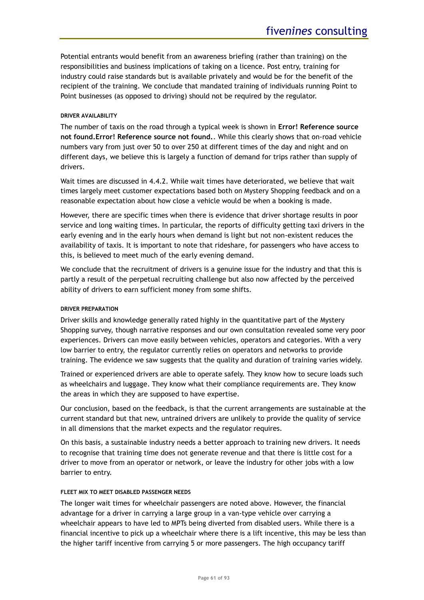Potential entrants would benefit from an awareness briefing (rather than training) on the responsibilities and business implications of taking on a licence. Post entry, training for industry could raise standards but is available privately and would be for the benefit of the recipient of the training. We conclude that mandated training of individuals running Point to Point businesses (as opposed to driving) should not be required by the regulator.

### **DRIVER AVAILABILITY**

The number of taxis on the road through a typical week is shown in **Error! Reference source not found.Error! Reference source not found.**. While this clearly shows that on-road vehicle numbers vary from just over 50 to over 250 at different times of the day and night and on different days, we believe this is largely a function of demand for trips rather than supply of drivers.

Wait times are discussed in [4.4.2.](#page-39-0) While wait times have deteriorated, we believe that wait times largely meet customer expectations based both on Mystery Shopping feedback and on a reasonable expectation about how close a vehicle would be when a booking is made.

However, there are specific times when there is evidence that driver shortage results in poor service and long waiting times. In particular, the reports of difficulty getting taxi drivers in the early evening and in the early hours when demand is light but not non-existent reduces the availability of taxis. It is important to note that rideshare, for passengers who have access to this, is believed to meet much of the early evening demand.

We conclude that the recruitment of drivers is a genuine issue for the industry and that this is partly a result of the perpetual recruiting challenge but also now affected by the perceived ability of drivers to earn sufficient money from some shifts.

### **DRIVER PREPARATION**

Driver skills and knowledge generally rated highly in the quantitative part of the Mystery Shopping survey, though narrative responses and our own consultation revealed some very poor experiences. Drivers can move easily between vehicles, operators and categories. With a very low barrier to entry, the regulator currently relies on operators and networks to provide training. The evidence we saw suggests that the quality and duration of training varies widely.

Trained or experienced drivers are able to operate safely. They know how to secure loads such as wheelchairs and luggage. They know what their compliance requirements are. They know the areas in which they are supposed to have expertise.

Our conclusion, based on the feedback, is that the current arrangements are sustainable at the current standard but that new, untrained drivers are unlikely to provide the quality of service in all dimensions that the market expects and the regulator requires.

On this basis, a sustainable industry needs a better approach to training new drivers. It needs to recognise that training time does not generate revenue and that there is little cost for a driver to move from an operator or network, or leave the industry for other jobs with a low barrier to entry.

### **FLEET MIX TO MEET DISABLED PASSENGER NEEDS**

The longer wait times for wheelchair passengers are noted above. However, the financial advantage for a driver in carrying a large group in a van-type vehicle over carrying a wheelchair appears to have led to MPTs being diverted from disabled users. While there is a financial incentive to pick up a wheelchair where there is a lift incentive, this may be less than the higher tariff incentive from carrying 5 or more passengers. The high occupancy tariff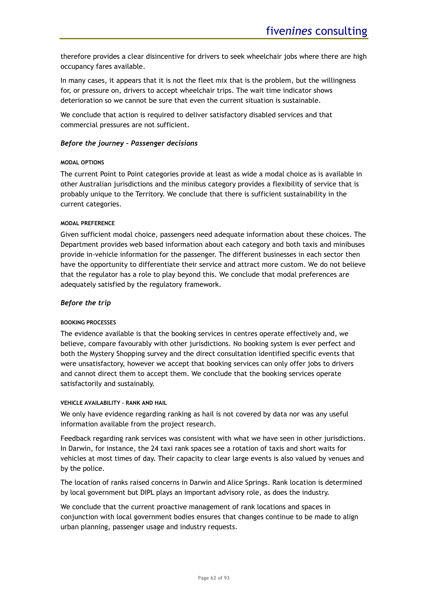therefore provides a clear disincentive for drivers to seek wheelchair jobs where there are high occupancy fares available.

In many cases, it appears that it is not the fleet mix that is the problem, but the willingness for, or pressure on, drivers to accept wheelchair trips. The wait time indicator shows deterioration so we cannot be sure that even the current situation is sustainable.

We conclude that action is required to deliver satisfactory disabled services and that commercial pressures are not sufficient.

### *Before the journey – Passenger decisions*

### **MODAL OPTIONS**

The current Point to Point categories provide at least as wide a modal choice as is available in other Australian jurisdictions and the minibus category provides a flexibility of service that is probably unique to the Territory. We conclude that there is sufficient sustainability in the current categories.

### **MODAL PREFERENCE**

Given sufficient modal choice, passengers need adequate information about these choices. The Department provides web based information about each category and both taxis and minibuses provide in-vehicle information for the passenger. The different businesses in each sector then have the opportunity to differentiate their service and attract more custom. We do not believe that the regulator has a role to play beyond this. We conclude that modal preferences are adequately satisfied by the regulatory framework.

### *Before the trip*

### **BOOKING PROCESSES**

The evidence available is that the booking services in centres operate effectively and, we believe, compare favourably with other jurisdictions. No booking system is ever perfect and both the Mystery Shopping survey and the direct consultation identified specific events that were unsatisfactory, however we accept that booking services can only offer jobs to drivers and cannot direct them to accept them. We conclude that the booking services operate satisfactorily and sustainably.

### **VEHICLE AVAILABILITY – RANK AND HAIL**

We only have evidence regarding ranking as hail is not covered by data nor was any useful information available from the project research.

Feedback regarding rank services was consistent with what we have seen in other jurisdictions. In Darwin, for instance, the 24 taxi rank spaces see a rotation of taxis and short waits for vehicles at most times of day. Their capacity to clear large events is also valued by venues and by the police.

The location of ranks raised concerns in Darwin and Alice Springs. Rank location is determined by local government but DIPL plays an important advisory role, as does the industry.

We conclude that the current proactive management of rank locations and spaces in conjunction with local government bodies ensures that changes continue to be made to align urban planning, passenger usage and industry requests.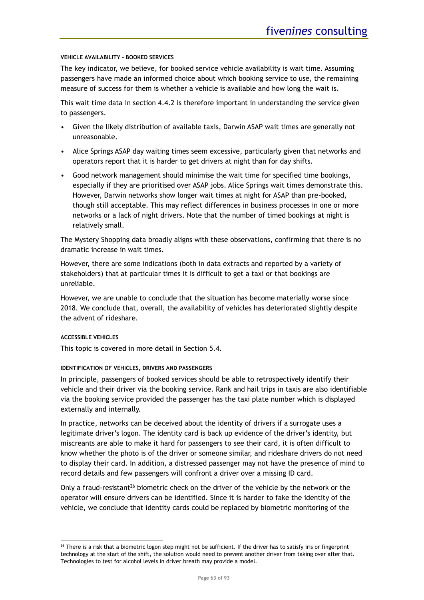### **VEHICLE AVAILABILITY – BOOKED SERVICES**

The key indicator, we believe, for booked service vehicle availability is wait time. Assuming passengers have made an informed choice about which booking service to use, the remaining measure of success for them is whether a vehicle is available and how long the wait is.

This wait time data in section [4.4.2](#page-39-0) is therefore important in understanding the service given to passengers.

- Given the likely distribution of available taxis, Darwin ASAP wait times are generally not unreasonable.
- Alice Springs ASAP day waiting times seem excessive, particularly given that networks and operators report that it is harder to get drivers at night than for day shifts.
- Good network management should minimise the wait time for specified time bookings, especially if they are prioritised over ASAP jobs. Alice Springs wait times demonstrate this. However, Darwin networks show longer wait times at night for ASAP than pre-booked, though still acceptable. This may reflect differences in business processes in one or more networks or a lack of night drivers. Note that the number of timed bookings at night is relatively small.

The Mystery Shopping data broadly aligns with these observations, confirming that there is no dramatic increase in wait times.

However, there are some indications (both in data extracts and reported by a variety of stakeholders) that at particular times it is difficult to get a taxi or that bookings are unreliable.

However, we are unable to conclude that the situation has become materially worse since 2018. We conclude that, overall, the availability of vehicles has deteriorated slightly despite the advent of rideshare.

### **ACCESSIBLE VEHICLES**

This topic is covered in more detail in Section [5.4.](#page-57-0)

### **IDENTIFICATION OF VEHICLES, DRIVERS AND PASSENGERS**

In principle, passengers of booked services should be able to retrospectively identify their vehicle and their driver via the booking service. Rank and hail trips in taxis are also identifiable via the booking service provided the passenger has the taxi plate number which is displayed externally and internally.

In practice, networks can be deceived about the identity of drivers if a surrogate uses a legitimate driver's logon. The identity card is back up evidence of the driver's identity, but miscreants are able to make it hard for passengers to see their card, it is often difficult to know whether the photo is of the driver or someone similar, and rideshare drivers do not need to display their card. In addition, a distressed passenger may not have the presence of mind to record details and few passengers will confront a driver over a missing ID card.

Only a fraud-resistant<sup>26</sup> biometric check on the driver of the vehicle by the network or the operator will ensure drivers can be identified. Since it is harder to fake the identity of the vehicle, we conclude that identity cards could be replaced by biometric monitoring of the

<sup>&</sup>lt;sup>26</sup> There is a risk that a biometric logon step might not be sufficient. If the driver has to satisfy iris or fingerprint technology at the start of the shift, the solution would need to prevent another driver from taking over after that. Technologies to test for alcohol levels in driver breath may provide a model.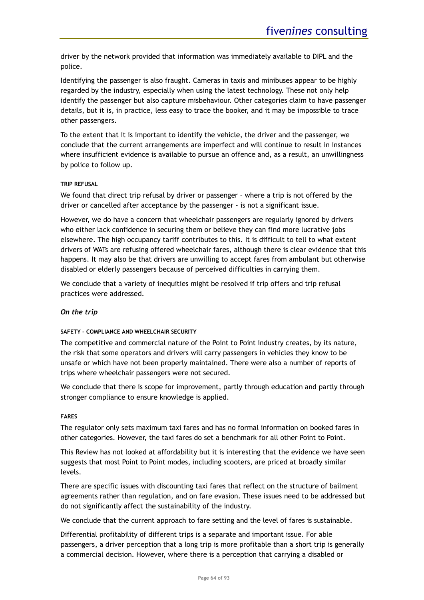driver by the network provided that information was immediately available to DIPL and the police.

Identifying the passenger is also fraught. Cameras in taxis and minibuses appear to be highly regarded by the industry, especially when using the latest technology. These not only help identify the passenger but also capture misbehaviour. Other categories claim to have passenger details, but it is, in practice, less easy to trace the booker, and it may be impossible to trace other passengers.

To the extent that it is important to identify the vehicle, the driver and the passenger, we conclude that the current arrangements are imperfect and will continue to result in instances where insufficient evidence is available to pursue an offence and, as a result, an unwillingness by police to follow up.

### **TRIP REFUSAL**

We found that direct trip refusal by driver or passenger – where a trip is not offered by the driver or cancelled after acceptance by the passenger - is not a significant issue.

However, we do have a concern that wheelchair passengers are regularly ignored by drivers who either lack confidence in securing them or believe they can find more lucrative jobs elsewhere. The high occupancy tariff contributes to this. It is difficult to tell to what extent drivers of WATs are refusing offered wheelchair fares, although there is clear evidence that this happens. It may also be that drivers are unwilling to accept fares from ambulant but otherwise disabled or elderly passengers because of perceived difficulties in carrying them.

We conclude that a variety of inequities might be resolved if trip offers and trip refusal practices were addressed.

### *On the trip*

### **SAFETY – COMPLIANCE AND WHEELCHAIR SECURITY**

The competitive and commercial nature of the Point to Point industry creates, by its nature, the risk that some operators and drivers will carry passengers in vehicles they know to be unsafe or which have not been properly maintained. There were also a number of reports of trips where wheelchair passengers were not secured.

We conclude that there is scope for improvement, partly through education and partly through stronger compliance to ensure knowledge is applied.

### **FARES**

The regulator only sets maximum taxi fares and has no formal information on booked fares in other categories. However, the taxi fares do set a benchmark for all other Point to Point.

This Review has not looked at affordability but it is interesting that the evidence we have seen suggests that most Point to Point modes, including scooters, are priced at broadly similar levels.

There are specific issues with discounting taxi fares that reflect on the structure of bailment agreements rather than regulation, and on fare evasion. These issues need to be addressed but do not significantly affect the sustainability of the industry.

We conclude that the current approach to fare setting and the level of fares is sustainable.

Differential profitability of different trips is a separate and important issue. For able passengers, a driver perception that a long trip is more profitable than a short trip is generally a commercial decision. However, where there is a perception that carrying a disabled or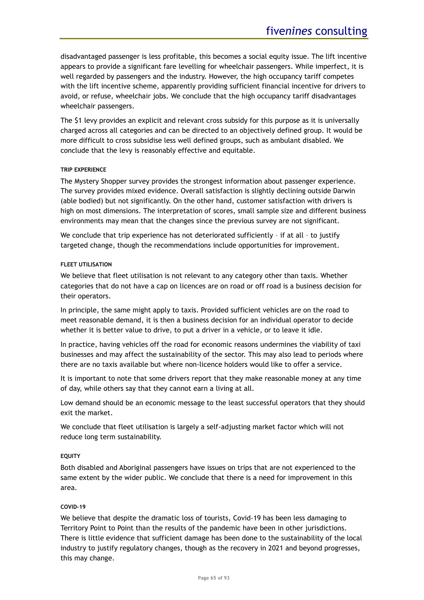disadvantaged passenger is less profitable, this becomes a social equity issue. The lift incentive appears to provide a significant fare levelling for wheelchair passengers. While imperfect, it is well regarded by passengers and the industry. However, the high occupancy tariff competes with the lift incentive scheme, apparently providing sufficient financial incentive for drivers to avoid, or refuse, wheelchair jobs. We conclude that the high occupancy tariff disadvantages wheelchair passengers.

The \$1 levy provides an explicit and relevant cross subsidy for this purpose as it is universally charged across all categories and can be directed to an objectively defined group. It would be more difficult to cross subsidise less well defined groups, such as ambulant disabled. We conclude that the levy is reasonably effective and equitable.

### **TRIP EXPERIENCE**

The Mystery Shopper survey provides the strongest information about passenger experience. The survey provides mixed evidence. Overall satisfaction is slightly declining outside Darwin (able bodied) but not significantly. On the other hand, customer satisfaction with drivers is high on most dimensions. The interpretation of scores, small sample size and different business environments may mean that the changes since the previous survey are not significant.

We conclude that trip experience has not deteriorated sufficiently - if at all - to justify targeted change, though the recommendations include opportunities for improvement.

### **FLEET UTILISATION**

We believe that fleet utilisation is not relevant to any category other than taxis. Whether categories that do not have a cap on licences are on road or off road is a business decision for their operators.

In principle, the same might apply to taxis. Provided sufficient vehicles are on the road to meet reasonable demand, it is then a business decision for an individual operator to decide whether it is better value to drive, to put a driver in a vehicle, or to leave it idle.

In practice, having vehicles off the road for economic reasons undermines the viability of taxi businesses and may affect the sustainability of the sector. This may also lead to periods where there are no taxis available but where non-licence holders would like to offer a service.

It is important to note that some drivers report that they make reasonable money at any time of day, while others say that they cannot earn a living at all.

Low demand should be an economic message to the least successful operators that they should exit the market.

We conclude that fleet utilisation is largely a self-adjusting market factor which will not reduce long term sustainability.

### **EQUITY**

Both disabled and Aboriginal passengers have issues on trips that are not experienced to the same extent by the wider public. We conclude that there is a need for improvement in this area.

### **COVID-19**

We believe that despite the dramatic loss of tourists, Covid-19 has been less damaging to Territory Point to Point than the results of the pandemic have been in other jurisdictions. There is little evidence that sufficient damage has been done to the sustainability of the local industry to justify regulatory changes, though as the recovery in 2021 and beyond progresses, this may change.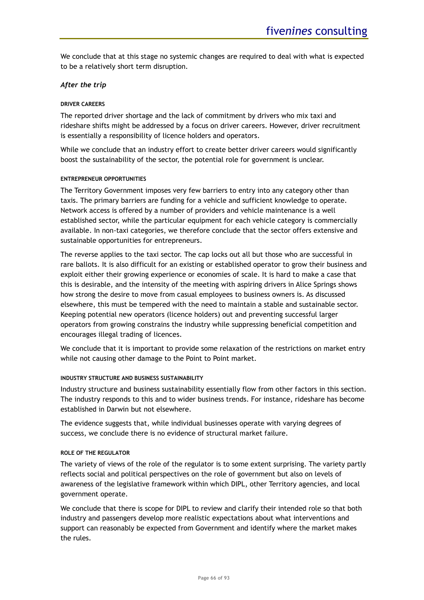We conclude that at this stage no systemic changes are required to deal with what is expected to be a relatively short term disruption.

### *After the trip*

### **DRIVER CAREERS**

The reported driver shortage and the lack of commitment by drivers who mix taxi and rideshare shifts might be addressed by a focus on driver careers. However, driver recruitment is essentially a responsibility of licence holders and operators.

While we conclude that an industry effort to create better driver careers would significantly boost the sustainability of the sector, the potential role for government is unclear.

### **ENTREPRENEUR OPPORTUNITIES**

The Territory Government imposes very few barriers to entry into any category other than taxis. The primary barriers are funding for a vehicle and sufficient knowledge to operate. Network access is offered by a number of providers and vehicle maintenance is a well established sector, while the particular equipment for each vehicle category is commercially available. In non-taxi categories, we therefore conclude that the sector offers extensive and sustainable opportunities for entrepreneurs.

The reverse applies to the taxi sector. The cap locks out all but those who are successful in rare ballots. It is also difficult for an existing or established operator to grow their business and exploit either their growing experience or economies of scale. It is hard to make a case that this is desirable, and the intensity of the meeting with aspiring drivers in Alice Springs shows how strong the desire to move from casual employees to business owners is. As discussed elsewhere, this must be tempered with the need to maintain a stable and sustainable sector. Keeping potential new operators (licence holders) out and preventing successful larger operators from growing constrains the industry while suppressing beneficial competition and encourages illegal trading of licences.

We conclude that it is important to provide some relaxation of the restrictions on market entry while not causing other damage to the Point to Point market.

### **INDUSTRY STRUCTURE AND BUSINESS SUSTAINABILITY**

Industry structure and business sustainability essentially flow from other factors in this section. The industry responds to this and to wider business trends. For instance, rideshare has become established in Darwin but not elsewhere.

The evidence suggests that, while individual businesses operate with varying degrees of success, we conclude there is no evidence of structural market failure.

### **ROLE OF THE REGULATOR**

The variety of views of the role of the regulator is to some extent surprising. The variety partly reflects social and political perspectives on the role of government but also on levels of awareness of the legislative framework within which DIPL, other Territory agencies, and local government operate.

We conclude that there is scope for DIPL to review and clarify their intended role so that both industry and passengers develop more realistic expectations about what interventions and support can reasonably be expected from Government and identify where the market makes the rules.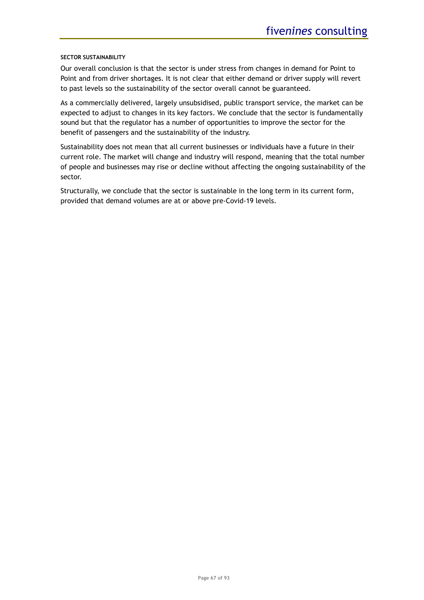### **SECTOR SUSTAINABILITY**

Our overall conclusion is that the sector is under stress from changes in demand for Point to Point and from driver shortages. It is not clear that either demand or driver supply will revert to past levels so the sustainability of the sector overall cannot be guaranteed.

As a commercially delivered, largely unsubsidised, public transport service, the market can be expected to adjust to changes in its key factors. We conclude that the sector is fundamentally sound but that the regulator has a number of opportunities to improve the sector for the benefit of passengers and the sustainability of the industry.

Sustainability does not mean that all current businesses or individuals have a future in their current role. The market will change and industry will respond, meaning that the total number of people and businesses may rise or decline without affecting the ongoing sustainability of the sector.

Structurally, we conclude that the sector is sustainable in the long term in its current form, provided that demand volumes are at or above pre-Covid-19 levels.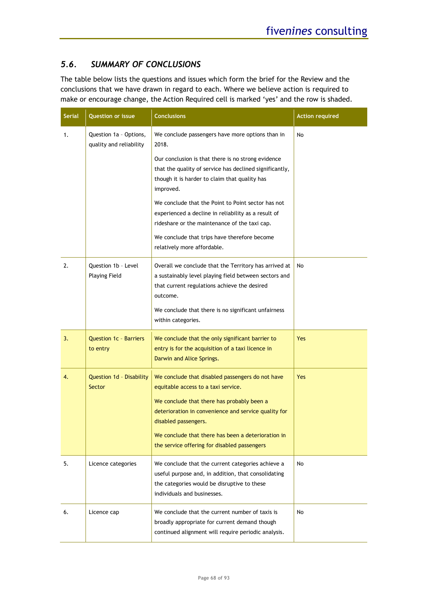# *5.6. SUMMARY OF CONCLUSIONS*

The table below lists the questions and issues which form the brief for the Review and the conclusions that we have drawn in regard to each. Where we believe action is required to make or encourage change, the Action Required cell is marked 'yes' and the row is shaded.

| <b>Serial</b> | <b>Question or issue</b>                          | <b>Conclusions</b>                                                                                                                                                                                                                                                                                                                                                                                                                                                                    | <b>Action required</b> |
|---------------|---------------------------------------------------|---------------------------------------------------------------------------------------------------------------------------------------------------------------------------------------------------------------------------------------------------------------------------------------------------------------------------------------------------------------------------------------------------------------------------------------------------------------------------------------|------------------------|
| 1.            | Question 1a - Options,<br>quality and reliability | We conclude passengers have more options than in<br>2018.<br>Our conclusion is that there is no strong evidence<br>that the quality of service has declined significantly,<br>though it is harder to claim that quality has<br>improved.<br>We conclude that the Point to Point sector has not<br>experienced a decline in reliability as a result of<br>rideshare or the maintenance of the taxi cap.<br>We conclude that trips have therefore become<br>relatively more affordable. | No                     |
| 2.            | Question 1b - Level<br><b>Playing Field</b>       | Overall we conclude that the Territory has arrived at<br>a sustainably level playing field between sectors and<br>that current regulations achieve the desired<br>outcome.<br>We conclude that there is no significant unfairness<br>within categories.                                                                                                                                                                                                                               | No                     |
| 3.            | <b>Question 1c - Barriers</b><br>to entry         | We conclude that the only significant barrier to<br>entry is for the acquisition of a taxi licence in<br>Darwin and Alice Springs.                                                                                                                                                                                                                                                                                                                                                    | Yes                    |
| 4.            | Question 1d - Disability<br>Sector                | We conclude that disabled passengers do not have<br>equitable access to a taxi service.<br>We conclude that there has probably been a<br>deterioration in convenience and service quality for<br>disabled passengers.<br>We conclude that there has been a deterioration in<br>the service offering for disabled passengers                                                                                                                                                           | Yes                    |
| 5.            | Licence categories                                | We conclude that the current categories achieve a<br>useful purpose and, in addition, that consolidating<br>the categories would be disruptive to these<br>individuals and businesses.                                                                                                                                                                                                                                                                                                | No                     |
| 6.            | Licence cap                                       | We conclude that the current number of taxis is<br>broadly appropriate for current demand though<br>continued alignment will require periodic analysis.                                                                                                                                                                                                                                                                                                                               | No                     |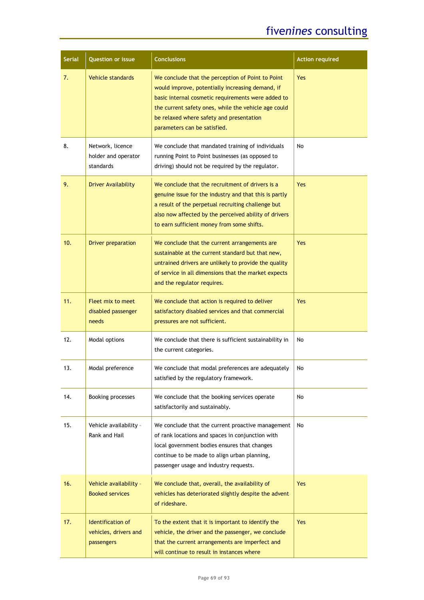# five*nines* consulting

| <b>Serial</b> | <b>Question or issue</b>                                 | <b>Conclusions</b>                                                                                                                                                                                                                                                                              | <b>Action required</b> |
|---------------|----------------------------------------------------------|-------------------------------------------------------------------------------------------------------------------------------------------------------------------------------------------------------------------------------------------------------------------------------------------------|------------------------|
| 7.            | <b>Vehicle standards</b>                                 | We conclude that the perception of Point to Point<br>would improve, potentially increasing demand, if<br>basic internal cosmetic requirements were added to<br>the current safety ones, while the vehicle age could<br>be relaxed where safety and presentation<br>parameters can be satisfied. | <b>Yes</b>             |
| 8.            | Network, licence<br>holder and operator<br>standards     | We conclude that mandated training of individuals<br>running Point to Point businesses (as opposed to<br>driving) should not be required by the regulator.                                                                                                                                      | No                     |
| 9.            | <b>Driver Availability</b>                               | We conclude that the recruitment of drivers is a<br>genuine issue for the industry and that this is partly<br>a result of the perpetual recruiting challenge but<br>also now affected by the perceived ability of drivers<br>to earn sufficient money from some shifts.                         | <b>Yes</b>             |
| 10.           | <b>Driver preparation</b>                                | We conclude that the current arrangements are<br>sustainable at the current standard but that new,<br>untrained drivers are unlikely to provide the quality<br>of service in all dimensions that the market expects<br>and the regulator requires.                                              | Yes                    |
| 11.           | <b>Fleet mix to meet</b><br>disabled passenger<br>needs  | We conclude that action is required to deliver<br>satisfactory disabled services and that commercial<br>pressures are not sufficient.                                                                                                                                                           | Yes                    |
| 12.           | Modal options                                            | We conclude that there is sufficient sustainability in<br>the current categories.                                                                                                                                                                                                               | No                     |
| 13.           | Modal preference                                         | We conclude that modal preferences are adequately<br>satisfied by the regulatory framework.                                                                                                                                                                                                     | No                     |
| 14.           | Booking processes                                        | We conclude that the booking services operate<br>satisfactorily and sustainably.                                                                                                                                                                                                                | No                     |
| 15.           | Vehicle availability -<br>Rank and Hail                  | We conclude that the current proactive management<br>of rank locations and spaces in conjunction with<br>local government bodies ensures that changes<br>continue to be made to align urban planning,<br>passenger usage and industry requests.                                                 | No                     |
| 16.           | Vehicle availability -<br><b>Booked services</b>         | We conclude that, overall, the availability of<br>vehicles has deteriorated slightly despite the advent<br>of rideshare.                                                                                                                                                                        | Yes                    |
| 17.           | Identification of<br>vehicles, drivers and<br>passengers | To the extent that it is important to identify the<br>vehicle, the driver and the passenger, we conclude<br>that the current arrangements are imperfect and<br>will continue to result in instances where                                                                                       | Yes                    |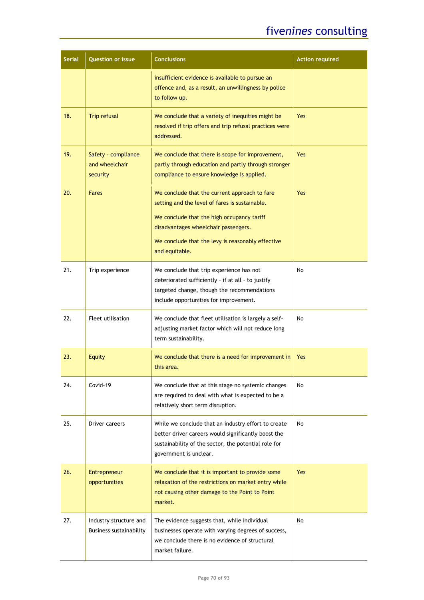# five*nines* consulting

| <b>Serial</b> | <b>Question or issue</b>                          | <b>Conclusions</b>                                                                                                                                                                                                                                           | <b>Action required</b> |
|---------------|---------------------------------------------------|--------------------------------------------------------------------------------------------------------------------------------------------------------------------------------------------------------------------------------------------------------------|------------------------|
|               |                                                   | insufficient evidence is available to pursue an<br>offence and, as a result, an unwillingness by police<br>to follow up.                                                                                                                                     |                        |
| 18.           | <b>Trip refusal</b>                               | We conclude that a variety of inequities might be<br>resolved if trip offers and trip refusal practices were<br>addressed.                                                                                                                                   | <b>Yes</b>             |
| 19.           | Safety - compliance<br>and wheelchair<br>security | We conclude that there is scope for improvement,<br>partly through education and partly through stronger<br>compliance to ensure knowledge is applied.                                                                                                       | <b>Yes</b>             |
| 20.           | <b>Fares</b>                                      | We conclude that the current approach to fare<br>setting and the level of fares is sustainable.<br>We conclude that the high occupancy tariff<br>disadvantages wheelchair passengers.<br>We conclude that the levy is reasonably effective<br>and equitable. | <b>Yes</b>             |
| 21.           | Trip experience                                   | We conclude that trip experience has not<br>deteriorated sufficiently - if at all - to justify<br>targeted change, though the recommendations<br>include opportunities for improvement.                                                                      | No                     |
| 22.           | Fleet utilisation                                 | We conclude that fleet utilisation is largely a self-<br>adjusting market factor which will not reduce long<br>term sustainability.                                                                                                                          | No                     |
| 23.           | <b>Equity</b>                                     | We conclude that there is a need for improvement in<br>this area.                                                                                                                                                                                            | Yes                    |
| 24.           | Covid-19                                          | We conclude that at this stage no systemic changes<br>are required to deal with what is expected to be a<br>relatively short term disruption.                                                                                                                | No                     |
| 25.           | Driver careers                                    | While we conclude that an industry effort to create<br>better driver careers would significantly boost the<br>sustainability of the sector, the potential role for<br>government is unclear.                                                                 | No                     |
| 26.           | Entrepreneur<br>opportunities                     | We conclude that it is important to provide some<br>relaxation of the restrictions on market entry while<br>not causing other damage to the Point to Point<br>market.                                                                                        | <b>Yes</b>             |
| 27.           | Industry structure and<br>Business sustainability | The evidence suggests that, while individual<br>businesses operate with varying degrees of success,<br>we conclude there is no evidence of structural<br>market failure.                                                                                     | No                     |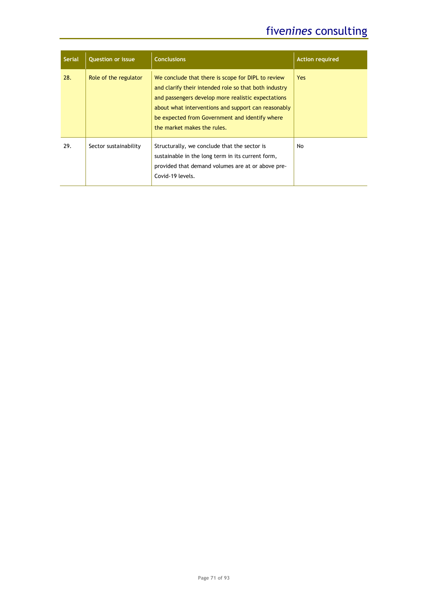# five*nines* consulting

| <b>Serial</b> | <b>Question or issue</b> | <b>Conclusions</b>                                                                                                                                                                                                                                                                                        | <b>Action required</b> |
|---------------|--------------------------|-----------------------------------------------------------------------------------------------------------------------------------------------------------------------------------------------------------------------------------------------------------------------------------------------------------|------------------------|
| 28.           | Role of the regulator    | We conclude that there is scope for DIPL to review<br>and clarify their intended role so that both industry<br>and passengers develop more realistic expectations<br>about what interventions and support can reasonably<br>be expected from Government and identify where<br>the market makes the rules. | Yes.                   |
| 29.           | Sector sustainability    | Structurally, we conclude that the sector is<br>sustainable in the long term in its current form,<br>provided that demand volumes are at or above pre-<br>Covid-19 levels.                                                                                                                                | No.                    |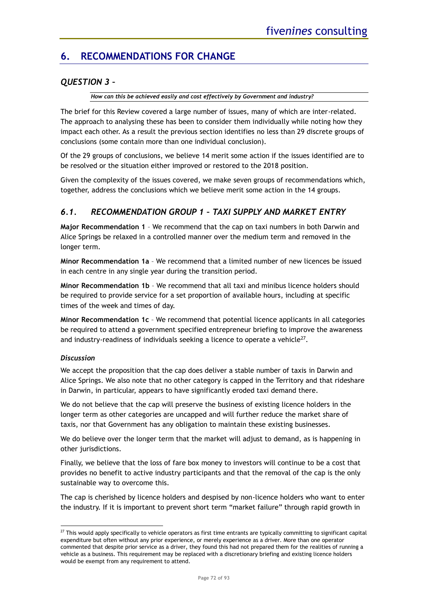# **6. RECOMMENDATIONS FOR CHANGE**

# *QUESTION 3 –*

*How can this be achieved easily and cost effectively by Government and industry?*

The brief for this Review covered a large number of issues, many of which are inter-related. The approach to analysing these has been to consider them individually while noting how they impact each other. As a result the previous section identifies no less than 29 discrete groups of conclusions (some contain more than one individual conclusion).

Of the 29 groups of conclusions, we believe 14 merit some action if the issues identified are to be resolved or the situation either improved or restored to the 2018 position.

Given the complexity of the issues covered, we make seven groups of recommendations which, together, address the conclusions which we believe merit some action in the 14 groups.

# *6.1. RECOMMENDATION GROUP 1 – TAXI SUPPLY AND MARKET ENTRY*

**Major Recommendation 1** – We recommend that the cap on taxi numbers in both Darwin and Alice Springs be relaxed in a controlled manner over the medium term and removed in the longer term.

**Minor Recommendation 1a** – We recommend that a limited number of new licences be issued in each centre in any single year during the transition period.

**Minor Recommendation 1b** – We recommend that all taxi and minibus licence holders should be required to provide service for a set proportion of available hours, including at specific times of the week and times of day.

**Minor Recommendation 1c** – We recommend that potential licence applicants in all categories be required to attend a government specified entrepreneur briefing to improve the awareness and industry-readiness of individuals seeking a licence to operate a vehicle $^{27}$ .

# *Discussion*

We accept the proposition that the cap does deliver a stable number of taxis in Darwin and Alice Springs. We also note that no other category is capped in the Territory and that rideshare in Darwin, in particular, appears to have significantly eroded taxi demand there.

We do not believe that the cap will preserve the business of existing licence holders in the longer term as other categories are uncapped and will further reduce the market share of taxis, nor that Government has any obligation to maintain these existing businesses.

We do believe over the longer term that the market will adjust to demand, as is happening in other jurisdictions.

Finally, we believe that the loss of fare box money to investors will continue to be a cost that provides no benefit to active industry participants and that the removal of the cap is the only sustainable way to overcome this.

The cap is cherished by licence holders and despised by non-licence holders who want to enter the industry. If it is important to prevent short term "market failure" through rapid growth in

 $27$  This would apply specifically to vehicle operators as first time entrants are typically committing to significant capital expenditure but often without any prior experience, or merely experience as a driver. More than one operator commented that despite prior service as a driver, they found this had not prepared them for the realities of running a vehicle as a business. This requirement may be replaced with a discretionary briefing and existing licence holders would be exempt from any requirement to attend.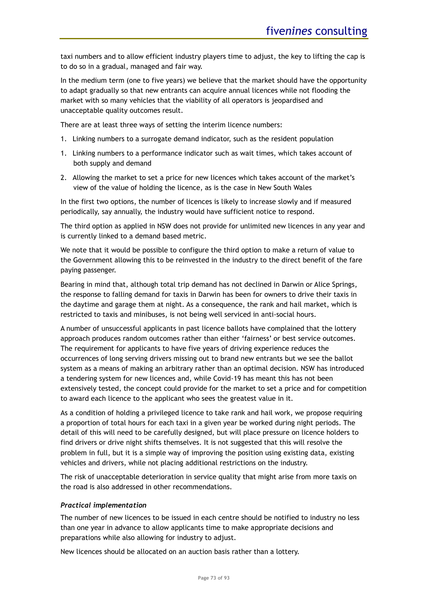taxi numbers and to allow efficient industry players time to adjust, the key to lifting the cap is to do so in a gradual, managed and fair way.

In the medium term (one to five years) we believe that the market should have the opportunity to adapt gradually so that new entrants can acquire annual licences while not flooding the market with so many vehicles that the viability of all operators is jeopardised and unacceptable quality outcomes result.

There are at least three ways of setting the interim licence numbers:

- 1. Linking numbers to a surrogate demand indicator, such as the resident population
- 1. Linking numbers to a performance indicator such as wait times, which takes account of both supply and demand
- 2. Allowing the market to set a price for new licences which takes account of the market's view of the value of holding the licence, as is the case in New South Wales

In the first two options, the number of licences is likely to increase slowly and if measured periodically, say annually, the industry would have sufficient notice to respond.

The third option as applied in NSW does not provide for unlimited new licences in any year and is currently linked to a demand based metric.

We note that it would be possible to configure the third option to make a return of value to the Government allowing this to be reinvested in the industry to the direct benefit of the fare paying passenger.

Bearing in mind that, although total trip demand has not declined in Darwin or Alice Springs, the response to falling demand for taxis in Darwin has been for owners to drive their taxis in the daytime and garage them at night. As a consequence, the rank and hail market, which is restricted to taxis and minibuses, is not being well serviced in anti-social hours.

A number of unsuccessful applicants in past licence ballots have complained that the lottery approach produces random outcomes rather than either 'fairness' or best service outcomes. The requirement for applicants to have five years of driving experience reduces the occurrences of long serving drivers missing out to brand new entrants but we see the ballot system as a means of making an arbitrary rather than an optimal decision. NSW has introduced a tendering system for new licences and, while Covid-19 has meant this has not been extensively tested, the concept could provide for the market to set a price and for competition to award each licence to the applicant who sees the greatest value in it.

As a condition of holding a privileged licence to take rank and hail work, we propose requiring a proportion of total hours for each taxi in a given year be worked during night periods. The detail of this will need to be carefully designed, but will place pressure on licence holders to find drivers or drive night shifts themselves. It is not suggested that this will resolve the problem in full, but it is a simple way of improving the position using existing data, existing vehicles and drivers, while not placing additional restrictions on the industry.

The risk of unacceptable deterioration in service quality that might arise from more taxis on the road is also addressed in other recommendations.

### *Practical implementation*

The number of new licences to be issued in each centre should be notified to industry no less than one year in advance to allow applicants time to make appropriate decisions and preparations while also allowing for industry to adjust.

New licences should be allocated on an auction basis rather than a lottery.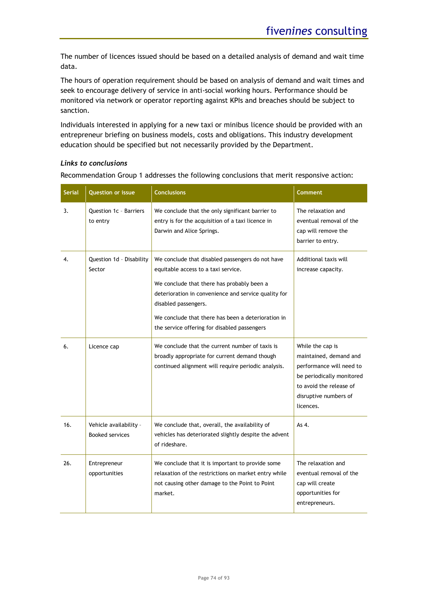The number of licences issued should be based on a detailed analysis of demand and wait time data.

The hours of operation requirement should be based on analysis of demand and wait times and seek to encourage delivery of service in anti-social working hours. Performance should be monitored via network or operator reporting against KPIs and breaches should be subject to sanction.

Individuals interested in applying for a new taxi or minibus licence should be provided with an entrepreneur briefing on business models, costs and obligations. This industry development education should be specified but not necessarily provided by the Department.

### *Links to conclusions*

Recommendation Group 1 addresses the following conclusions that merit responsive action:

| <b>Serial</b> | <b>Question or issue</b>                         | <b>Conclusions</b>                                                                                                                                                                                                                                                                                                          | Comment                                                                                                                                                              |
|---------------|--------------------------------------------------|-----------------------------------------------------------------------------------------------------------------------------------------------------------------------------------------------------------------------------------------------------------------------------------------------------------------------------|----------------------------------------------------------------------------------------------------------------------------------------------------------------------|
| 3.            | Question 1c - Barriers<br>to entry               | We conclude that the only significant barrier to<br>entry is for the acquisition of a taxi licence in<br>Darwin and Alice Springs.                                                                                                                                                                                          | The relaxation and<br>eventual removal of the<br>cap will remove the<br>barrier to entry.                                                                            |
| 4.            | Question 1d - Disability<br>Sector               | We conclude that disabled passengers do not have<br>equitable access to a taxi service.<br>We conclude that there has probably been a<br>deterioration in convenience and service quality for<br>disabled passengers.<br>We conclude that there has been a deterioration in<br>the service offering for disabled passengers | Additional taxis will<br>increase capacity.                                                                                                                          |
| 6.            | Licence cap                                      | We conclude that the current number of taxis is<br>broadly appropriate for current demand though<br>continued alignment will require periodic analysis.                                                                                                                                                                     | While the cap is<br>maintained, demand and<br>performance will need to<br>be periodically monitored<br>to avoid the release of<br>disruptive numbers of<br>licences. |
| 16.           | Vehicle availability -<br><b>Booked services</b> | We conclude that, overall, the availability of<br>vehicles has deteriorated slightly despite the advent<br>of rideshare.                                                                                                                                                                                                    | As 4.                                                                                                                                                                |
| 26.           | Entrepreneur<br>opportunities                    | We conclude that it is important to provide some<br>relaxation of the restrictions on market entry while<br>not causing other damage to the Point to Point<br>market.                                                                                                                                                       | The relaxation and<br>eventual removal of the<br>cap will create<br>opportunities for<br>entrepreneurs.                                                              |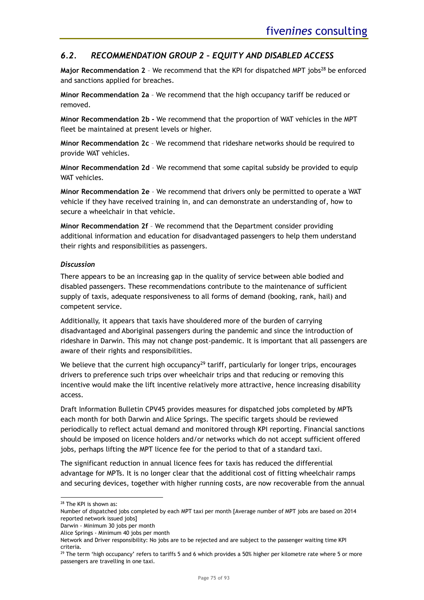# *6.2. RECOMMENDATION GROUP 2 – EQUITY AND DISABLED ACCESS*

Major Recommendation 2 - We recommend that the KPI for dispatched MPT jobs<sup>28</sup> be enforced and sanctions applied for breaches.

**Minor Recommendation 2a** – We recommend that the high occupancy tariff be reduced or removed.

**Minor Recommendation 2b -** We recommend that the proportion of WAT vehicles in the MPT fleet be maintained at present levels or higher.

**Minor Recommendation 2c** – We recommend that rideshare networks should be required to provide WAT vehicles.

**Minor Recommendation 2d** – We recommend that some capital subsidy be provided to equip WAT vehicles.

**Minor Recommendation 2e** – We recommend that drivers only be permitted to operate a WAT vehicle if they have received training in, and can demonstrate an understanding of, how to secure a wheelchair in that vehicle.

**Minor Recommendation 2f** – We recommend that the Department consider providing additional information and education for disadvantaged passengers to help them understand their rights and responsibilities as passengers.

### *Discussion*

There appears to be an increasing gap in the quality of service between able bodied and disabled passengers. These recommendations contribute to the maintenance of sufficient supply of taxis, adequate responsiveness to all forms of demand (booking, rank, hail) and competent service.

Additionally, it appears that taxis have shouldered more of the burden of carrying disadvantaged and Aboriginal passengers during the pandemic and since the introduction of rideshare in Darwin. This may not change post-pandemic. It is important that all passengers are aware of their rights and responsibilities.

We believe that the current high occupancy<sup>29</sup> tariff, particularly for longer trips, encourages drivers to preference such trips over wheelchair trips and that reducing or removing this incentive would make the lift incentive relatively more attractive, hence increasing disability access.

Draft Information Bulletin CPV45 provides measures for dispatched jobs completed by MPTs each month for both Darwin and Alice Springs. The specific targets should be reviewed periodically to reflect actual demand and monitored through KPI reporting. Financial sanctions should be imposed on licence holders and/or networks which do not accept sufficient offered jobs, perhaps lifting the MPT licence fee for the period to that of a standard taxi.

The significant reduction in annual licence fees for taxis has reduced the differential advantage for MPTs. It is no longer clear that the additional cost of fitting wheelchair ramps and securing devices, together with higher running costs, are now recoverable from the annual

Darwin - Minimum 30 jobs per month

<sup>&</sup>lt;sup>28</sup> The KPI is shown as:

Number of dispatched jobs completed by each MPT taxi per month [Average number of MPT jobs are based on 2014 reported network issued jobs]

Alice Springs - Minimum 40 jobs per month

Network and Driver responsibility: No jobs are to be rejected and are subject to the passenger waiting time KPI criteria.

 $29$  The term 'high occupancy' refers to tariffs 5 and 6 which provides a 50% higher per kilometre rate where 5 or more passengers are travelling in one taxi.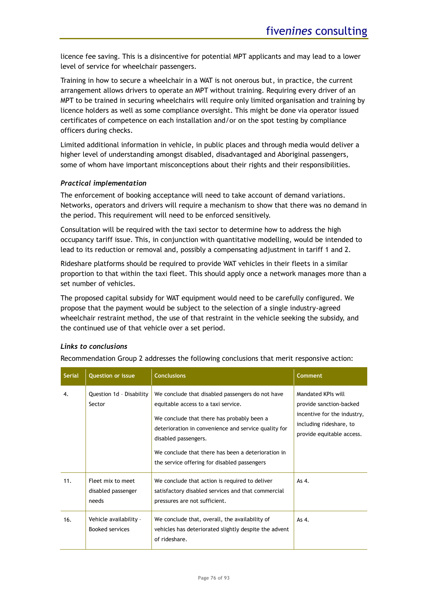licence fee saving. This is a disincentive for potential MPT applicants and may lead to a lower level of service for wheelchair passengers.

Training in how to secure a wheelchair in a WAT is not onerous but, in practice, the current arrangement allows drivers to operate an MPT without training. Requiring every driver of an MPT to be trained in securing wheelchairs will require only limited organisation and training by licence holders as well as some compliance oversight. This might be done via operator issued certificates of competence on each installation and/or on the spot testing by compliance officers during checks.

Limited additional information in vehicle, in public places and through media would deliver a higher level of understanding amongst disabled, disadvantaged and Aboriginal passengers, some of whom have important misconceptions about their rights and their responsibilities.

### *Practical implementation*

The enforcement of booking acceptance will need to take account of demand variations. Networks, operators and drivers will require a mechanism to show that there was no demand in the period. This requirement will need to be enforced sensitively.

Consultation will be required with the taxi sector to determine how to address the high occupancy tariff issue. This, in conjunction with quantitative modelling, would be intended to lead to its reduction or removal and, possibly a compensating adjustment in tariff 1 and 2.

Rideshare platforms should be required to provide WAT vehicles in their fleets in a similar proportion to that within the taxi fleet. This should apply once a network manages more than a set number of vehicles.

The proposed capital subsidy for WAT equipment would need to be carefully configured. We propose that the payment would be subject to the selection of a single industry-agreed wheelchair restraint method, the use of that restraint in the vehicle seeking the subsidy, and the continued use of that vehicle over a set period.

### *Links to conclusions*

Recommendation Group 2 addresses the following conclusions that merit responsive action:

| <b>Serial</b> | <b>Question or issue</b>                         | <b>Conclusions</b>                                                                                                                                                                                                                                                                                                          | <b>Comment</b>                                                                                                                       |
|---------------|--------------------------------------------------|-----------------------------------------------------------------------------------------------------------------------------------------------------------------------------------------------------------------------------------------------------------------------------------------------------------------------------|--------------------------------------------------------------------------------------------------------------------------------------|
| 4.            | Question 1d - Disability<br>Sector               | We conclude that disabled passengers do not have<br>equitable access to a taxi service.<br>We conclude that there has probably been a<br>deterioration in convenience and service quality for<br>disabled passengers.<br>We conclude that there has been a deterioration in<br>the service offering for disabled passengers | Mandated KPIs will<br>provide sanction-backed<br>incentive for the industry,<br>including rideshare, to<br>provide equitable access. |
| 11.           | Fleet mix to meet<br>disabled passenger<br>needs | We conclude that action is required to deliver<br>satisfactory disabled services and that commercial<br>pressures are not sufficient.                                                                                                                                                                                       | As 4.                                                                                                                                |
| 16.           | Vehicle availability -<br>Booked services        | We conclude that, overall, the availability of<br>vehicles has deteriorated slightly despite the advent<br>of rideshare.                                                                                                                                                                                                    | As 4.                                                                                                                                |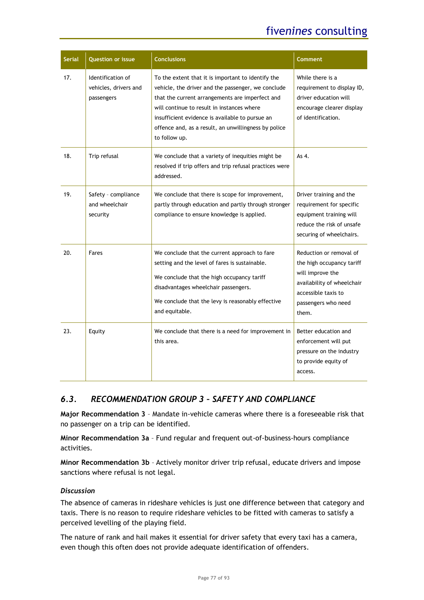| <b>Serial</b> | <b>Question or issue</b>                                 | <b>Conclusions</b>                                                                                                                                                                                                                                                                                                                    | Comment                                                                                                                                                       |
|---------------|----------------------------------------------------------|---------------------------------------------------------------------------------------------------------------------------------------------------------------------------------------------------------------------------------------------------------------------------------------------------------------------------------------|---------------------------------------------------------------------------------------------------------------------------------------------------------------|
| 17.           | Identification of<br>vehicles, drivers and<br>passengers | To the extent that it is important to identify the<br>vehicle, the driver and the passenger, we conclude<br>that the current arrangements are imperfect and<br>will continue to result in instances where<br>insufficient evidence is available to pursue an<br>offence and, as a result, an unwillingness by police<br>to follow up. | While there is a<br>requirement to display ID,<br>driver education will<br>encourage clearer display<br>of identification.                                    |
| 18.           | Trip refusal                                             | We conclude that a variety of inequities might be<br>resolved if trip offers and trip refusal practices were<br>addressed.                                                                                                                                                                                                            | As 4.                                                                                                                                                         |
| 19.           | Safety - compliance<br>and wheelchair<br>security        | We conclude that there is scope for improvement,<br>partly through education and partly through stronger<br>compliance to ensure knowledge is applied.                                                                                                                                                                                | Driver training and the<br>requirement for specific<br>equipment training will<br>reduce the risk of unsafe<br>securing of wheelchairs.                       |
| 20.           | Fares                                                    | We conclude that the current approach to fare<br>setting and the level of fares is sustainable.<br>We conclude that the high occupancy tariff<br>disadvantages wheelchair passengers.<br>We conclude that the levy is reasonably effective<br>and equitable.                                                                          | Reduction or removal of<br>the high occupancy tariff<br>will improve the<br>availability of wheelchair<br>accessible taxis to<br>passengers who need<br>them. |
| 23.           | Equity                                                   | We conclude that there is a need for improvement in<br>this area.                                                                                                                                                                                                                                                                     | Better education and<br>enforcement will put<br>pressure on the industry<br>to provide equity of<br>access.                                                   |

### *6.3. RECOMMENDATION GROUP 3 – SAFETY AND COMPLIANCE*

**Major Recommendation 3** – Mandate in-vehicle cameras where there is a foreseeable risk that no passenger on a trip can be identified.

**Minor Recommendation 3a** – Fund regular and frequent out-of-business-hours compliance activities.

**Minor Recommendation 3b** – Actively monitor driver trip refusal, educate drivers and impose sanctions where refusal is not legal.

### *Discussion*

The absence of cameras in rideshare vehicles is just one difference between that category and taxis. There is no reason to require rideshare vehicles to be fitted with cameras to satisfy a perceived levelling of the playing field.

The nature of rank and hail makes it essential for driver safety that every taxi has a camera, even though this often does not provide adequate identification of offenders.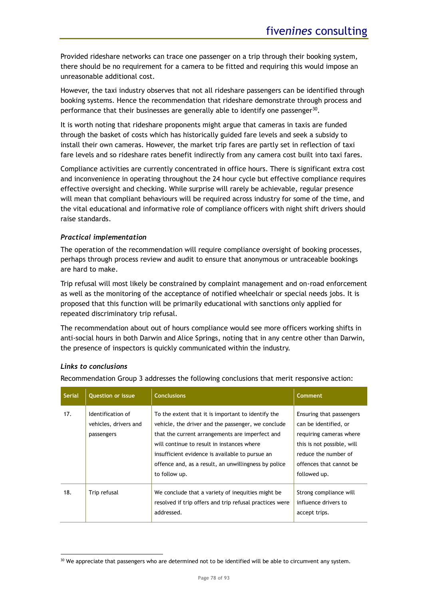Provided rideshare networks can trace one passenger on a trip through their booking system, there should be no requirement for a camera to be fitted and requiring this would impose an unreasonable additional cost.

However, the taxi industry observes that not all rideshare passengers can be identified through booking systems. Hence the recommendation that rideshare demonstrate through process and performance that their businesses are generally able to identify one passenger<sup>30</sup>.

It is worth noting that rideshare proponents might argue that cameras in taxis are funded through the basket of costs which has historically guided fare levels and seek a subsidy to install their own cameras. However, the market trip fares are partly set in reflection of taxi fare levels and so rideshare rates benefit indirectly from any camera cost built into taxi fares.

Compliance activities are currently concentrated in office hours. There is significant extra cost and inconvenience in operating throughout the 24 hour cycle but effective compliance requires effective oversight and checking. While surprise will rarely be achievable, regular presence will mean that compliant behaviours will be required across industry for some of the time, and the vital educational and informative role of compliance officers with night shift drivers should raise standards.

### *Practical implementation*

The operation of the recommendation will require compliance oversight of booking processes, perhaps through process review and audit to ensure that anonymous or untraceable bookings are hard to make.

Trip refusal will most likely be constrained by complaint management and on-road enforcement as well as the monitoring of the acceptance of notified wheelchair or special needs jobs. It is proposed that this function will be primarily educational with sanctions only applied for repeated discriminatory trip refusal.

The recommendation about out of hours compliance would see more officers working shifts in anti-social hours in both Darwin and Alice Springs, noting that in any centre other than Darwin, the presence of inspectors is quickly communicated within the industry.

### *Links to conclusions*

Recommendation Group 3 addresses the following conclusions that merit responsive action:

| <b>Serial</b> | <b>Question or issue</b>                                 | <b>Conclusions</b>                                                                                                                                                                                                                                                                                                                    | <b>Comment</b>                                                                                                                                                                |
|---------------|----------------------------------------------------------|---------------------------------------------------------------------------------------------------------------------------------------------------------------------------------------------------------------------------------------------------------------------------------------------------------------------------------------|-------------------------------------------------------------------------------------------------------------------------------------------------------------------------------|
| 17.           | Identification of<br>vehicles, drivers and<br>passengers | To the extent that it is important to identify the<br>vehicle, the driver and the passenger, we conclude<br>that the current arrangements are imperfect and<br>will continue to result in instances where<br>insufficient evidence is available to pursue an<br>offence and, as a result, an unwillingness by police<br>to follow up. | Ensuring that passengers<br>can be identified, or<br>requiring cameras where<br>this is not possible, will<br>reduce the number of<br>offences that cannot be<br>followed up. |
| 18.           | Trip refusal                                             | We conclude that a variety of inequities might be.<br>resolved if trip offers and trip refusal practices were<br>addressed.                                                                                                                                                                                                           | Strong compliance will<br>influence drivers to<br>accept trips.                                                                                                               |

<sup>&</sup>lt;sup>30</sup> We appreciate that passengers who are determined not to be identified will be able to circumvent any system.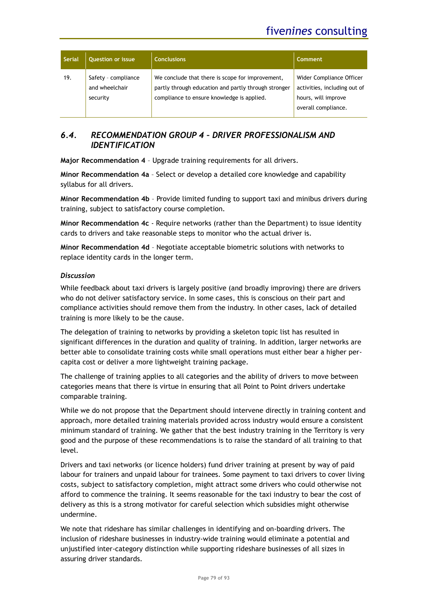| <b>Serial</b> | <b>Question or issue</b>                          | <b>Conclusions</b>                                                                                                                                     | Comment                                                                                                |
|---------------|---------------------------------------------------|--------------------------------------------------------------------------------------------------------------------------------------------------------|--------------------------------------------------------------------------------------------------------|
| 19.           | Safety - compliance<br>and wheelchair<br>security | We conclude that there is scope for improvement,<br>partly through education and partly through stronger<br>compliance to ensure knowledge is applied. | Wider Compliance Officer<br>activities, including out of<br>hours, will improve<br>overall compliance. |

# *6.4. RECOMMENDATION GROUP 4 – DRIVER PROFESSIONALISM AND IDENTIFICATION*

**Major Recommendation 4** – Upgrade training requirements for all drivers.

**Minor Recommendation 4a** – Select or develop a detailed core knowledge and capability syllabus for all drivers.

**Minor Recommendation 4b** – Provide limited funding to support taxi and minibus drivers during training, subject to satisfactory course completion.

**Minor Recommendation 4c** - Require networks (rather than the Department) to issue identity cards to drivers and take reasonable steps to monitor who the actual driver is.

**Minor Recommendation 4d** – Negotiate acceptable biometric solutions with networks to replace identity cards in the longer term.

### *Discussion*

While feedback about taxi drivers is largely positive (and broadly improving) there are drivers who do not deliver satisfactory service. In some cases, this is conscious on their part and compliance activities should remove them from the industry. In other cases, lack of detailed training is more likely to be the cause.

The delegation of training to networks by providing a skeleton topic list has resulted in significant differences in the duration and quality of training. In addition, larger networks are better able to consolidate training costs while small operations must either bear a higher percapita cost or deliver a more lightweight training package.

The challenge of training applies to all categories and the ability of drivers to move between categories means that there is virtue in ensuring that all Point to Point drivers undertake comparable training.

While we do not propose that the Department should intervene directly in training content and approach, more detailed training materials provided across industry would ensure a consistent minimum standard of training. We gather that the best industry training in the Territory is very good and the purpose of these recommendations is to raise the standard of all training to that level.

Drivers and taxi networks (or licence holders) fund driver training at present by way of paid labour for trainers and unpaid labour for trainees. Some payment to taxi drivers to cover living costs, subject to satisfactory completion, might attract some drivers who could otherwise not afford to commence the training. It seems reasonable for the taxi industry to bear the cost of delivery as this is a strong motivator for careful selection which subsidies might otherwise undermine.

We note that rideshare has similar challenges in identifying and on-boarding drivers. The inclusion of rideshare businesses in industry-wide training would eliminate a potential and unjustified inter-category distinction while supporting rideshare businesses of all sizes in assuring driver standards.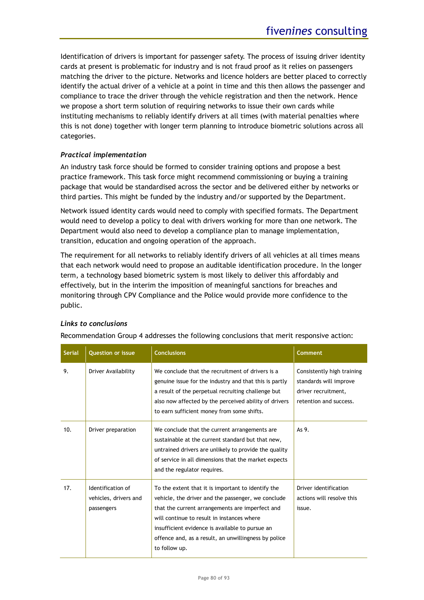Identification of drivers is important for passenger safety. The process of issuing driver identity cards at present is problematic for industry and is not fraud proof as it relies on passengers matching the driver to the picture. Networks and licence holders are better placed to correctly identify the actual driver of a vehicle at a point in time and this then allows the passenger and compliance to trace the driver through the vehicle registration and then the network. Hence we propose a short term solution of requiring networks to issue their own cards while instituting mechanisms to reliably identify drivers at all times (with material penalties where this is not done) together with longer term planning to introduce biometric solutions across all categories.

### *Practical implementation*

An industry task force should be formed to consider training options and propose a best practice framework. This task force might recommend commissioning or buying a training package that would be standardised across the sector and be delivered either by networks or third parties. This might be funded by the industry and/or supported by the Department.

Network issued identity cards would need to comply with specified formats. The Department would need to develop a policy to deal with drivers working for more than one network. The Department would also need to develop a compliance plan to manage implementation, transition, education and ongoing operation of the approach.

The requirement for all networks to reliably identify drivers of all vehicles at all times means that each network would need to propose an auditable identification procedure. In the longer term, a technology based biometric system is most likely to deliver this affordably and effectively, but in the interim the imposition of meaningful sanctions for breaches and monitoring through CPV Compliance and the Police would provide more confidence to the public.

| <b>Serial</b> | <b>Question or issue</b>                                 | <b>Conclusions</b>                                                                                                                                                                                                                                                                                                                    | <b>Comment</b>                                                                                        |
|---------------|----------------------------------------------------------|---------------------------------------------------------------------------------------------------------------------------------------------------------------------------------------------------------------------------------------------------------------------------------------------------------------------------------------|-------------------------------------------------------------------------------------------------------|
| 9.            | Driver Availability                                      | We conclude that the recruitment of drivers is a<br>genuine issue for the industry and that this is partly<br>a result of the perpetual recruiting challenge but<br>also now affected by the perceived ability of drivers<br>to earn sufficient money from some shifts.                                                               | Consistently high training<br>standards will improve<br>driver recruitment,<br>retention and success. |
| 10.           | Driver preparation                                       | We conclude that the current arrangements are.<br>sustainable at the current standard but that new,<br>untrained drivers are unlikely to provide the quality<br>of service in all dimensions that the market expects<br>and the regulator requires.                                                                                   | As 9.                                                                                                 |
| 17.           | Identification of<br>vehicles, drivers and<br>passengers | To the extent that it is important to identify the<br>vehicle, the driver and the passenger, we conclude<br>that the current arrangements are imperfect and<br>will continue to result in instances where<br>insufficient evidence is available to pursue an<br>offence and, as a result, an unwillingness by police<br>to follow up. | Driver identification<br>actions will resolve this<br>issue.                                          |

### *Links to conclusions*

Recommendation Group 4 addresses the following conclusions that merit responsive action: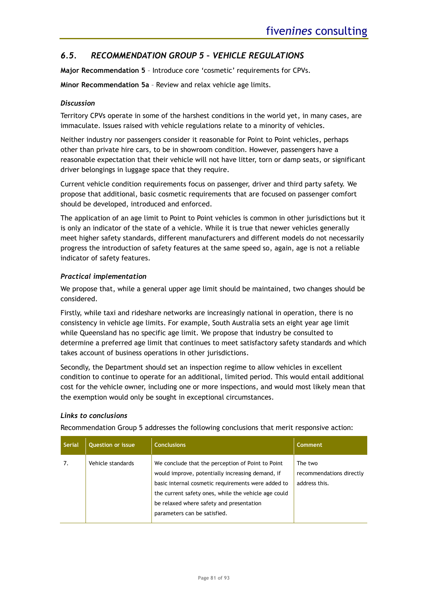# *6.5. RECOMMENDATION GROUP 5 – VEHICLE REGULATIONS*

**Major Recommendation 5** – Introduce core 'cosmetic' requirements for CPVs.

**Minor Recommendation 5a** – Review and relax vehicle age limits.

### *Discussion*

Territory CPVs operate in some of the harshest conditions in the world yet, in many cases, are immaculate. Issues raised with vehicle regulations relate to a minority of vehicles.

Neither industry nor passengers consider it reasonable for Point to Point vehicles, perhaps other than private hire cars, to be in showroom condition. However, passengers have a reasonable expectation that their vehicle will not have litter, torn or damp seats, or significant driver belongings in luggage space that they require.

Current vehicle condition requirements focus on passenger, driver and third party safety. We propose that additional, basic cosmetic requirements that are focused on passenger comfort should be developed, introduced and enforced.

The application of an age limit to Point to Point vehicles is common in other jurisdictions but it is only an indicator of the state of a vehicle. While it is true that newer vehicles generally meet higher safety standards, different manufacturers and different models do not necessarily progress the introduction of safety features at the same speed so, again, age is not a reliable indicator of safety features.

### *Practical implementation*

We propose that, while a general upper age limit should be maintained, two changes should be considered.

Firstly, while taxi and rideshare networks are increasingly national in operation, there is no consistency in vehicle age limits. For example, South Australia sets an eight year age limit while Queensland has no specific age limit. We propose that industry be consulted to determine a preferred age limit that continues to meet satisfactory safety standards and which takes account of business operations in other jurisdictions.

Secondly, the Department should set an inspection regime to allow vehicles in excellent condition to continue to operate for an additional, limited period. This would entail additional cost for the vehicle owner, including one or more inspections, and would most likely mean that the exemption would only be sought in exceptional circumstances.

### *Links to conclusions*

Recommendation Group 5 addresses the following conclusions that merit responsive action:

| <b>Serial</b> | <b>Question or issue</b> | <b>Conclusions</b>                                                                                                                                                                                                                                                                              | <b>Comment</b>                                       |
|---------------|--------------------------|-------------------------------------------------------------------------------------------------------------------------------------------------------------------------------------------------------------------------------------------------------------------------------------------------|------------------------------------------------------|
| 7.            | Vehicle standards        | We conclude that the perception of Point to Point<br>would improve, potentially increasing demand, if<br>basic internal cosmetic requirements were added to<br>the current safety ones, while the vehicle age could<br>be relaxed where safety and presentation<br>parameters can be satisfied. | The two<br>recommendations directly<br>address this. |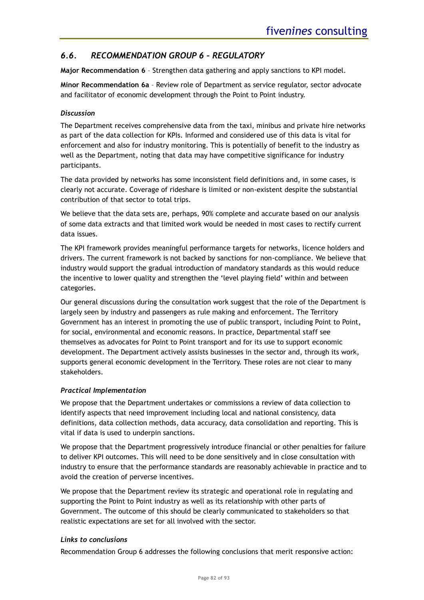# *6.6. RECOMMENDATION GROUP 6 – REGULATORY*

**Major Recommendation 6** – Strengthen data gathering and apply sanctions to KPI model.

**Minor Recommendation 6a** – Review role of Department as service regulator, sector advocate and facilitator of economic development through the Point to Point industry.

### *Discussion*

The Department receives comprehensive data from the taxi, minibus and private hire networks as part of the data collection for KPIs. Informed and considered use of this data is vital for enforcement and also for industry monitoring. This is potentially of benefit to the industry as well as the Department, noting that data may have competitive significance for industry participants.

The data provided by networks has some inconsistent field definitions and, in some cases, is clearly not accurate. Coverage of rideshare is limited or non-existent despite the substantial contribution of that sector to total trips.

We believe that the data sets are, perhaps, 90% complete and accurate based on our analysis of some data extracts and that limited work would be needed in most cases to rectify current data issues.

The KPI framework provides meaningful performance targets for networks, licence holders and drivers. The current framework is not backed by sanctions for non-compliance. We believe that industry would support the gradual introduction of mandatory standards as this would reduce the incentive to lower quality and strengthen the 'level playing field' within and between categories.

Our general discussions during the consultation work suggest that the role of the Department is largely seen by industry and passengers as rule making and enforcement. The Territory Government has an interest in promoting the use of public transport, including Point to Point, for social, environmental and economic reasons. In practice, Departmental staff see themselves as advocates for Point to Point transport and for its use to support economic development. The Department actively assists businesses in the sector and, through its work, supports general economic development in the Territory. These roles are not clear to many stakeholders.

### *Practical Implementation*

We propose that the Department undertakes or commissions a review of data collection to identify aspects that need improvement including local and national consistency, data definitions, data collection methods, data accuracy, data consolidation and reporting. This is vital if data is used to underpin sanctions.

We propose that the Department progressively introduce financial or other penalties for failure to deliver KPI outcomes. This will need to be done sensitively and in close consultation with industry to ensure that the performance standards are reasonably achievable in practice and to avoid the creation of perverse incentives.

We propose that the Department review its strategic and operational role in regulating and supporting the Point to Point industry as well as its relationship with other parts of Government. The outcome of this should be clearly communicated to stakeholders so that realistic expectations are set for all involved with the sector.

### *Links to conclusions*

Recommendation Group 6 addresses the following conclusions that merit responsive action: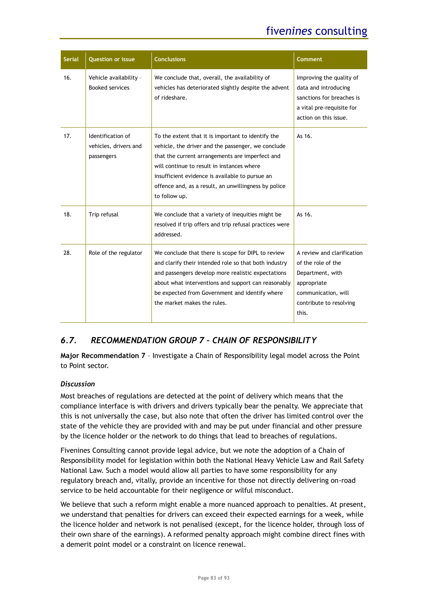| <b>Serial</b> | <b>Question or issue</b>                                 | <b>Conclusions</b>                                                                                                                                                                                                                                                                                                                    | <b>Comment</b>                                                                                                                                 |
|---------------|----------------------------------------------------------|---------------------------------------------------------------------------------------------------------------------------------------------------------------------------------------------------------------------------------------------------------------------------------------------------------------------------------------|------------------------------------------------------------------------------------------------------------------------------------------------|
| 16.           | Vehicle availability -<br><b>Booked services</b>         | We conclude that, overall, the availability of<br>vehicles has deteriorated slightly despite the advent<br>of rideshare.                                                                                                                                                                                                              | Improving the quality of<br>data and introducing<br>sanctions for breaches is<br>a vital pre-requisite for<br>action on this issue.            |
| 17.           | Identification of<br>vehicles, drivers and<br>passengers | To the extent that it is important to identify the<br>vehicle, the driver and the passenger, we conclude<br>that the current arrangements are imperfect and<br>will continue to result in instances where<br>insufficient evidence is available to pursue an<br>offence and, as a result, an unwillingness by police<br>to follow up. | As $16.$                                                                                                                                       |
| 18.           | Trip refusal                                             | We conclude that a variety of inequities might be<br>resolved if trip offers and trip refusal practices were<br>addressed.                                                                                                                                                                                                            | As 16.                                                                                                                                         |
| 28.           | Role of the regulator                                    | We conclude that there is scope for DIPL to review<br>and clarify their intended role so that both industry<br>and passengers develop more realistic expectations<br>about what interventions and support can reasonably<br>be expected from Government and identify where<br>the market makes the rules.                             | A review and clarification<br>of the role of the<br>Department, with<br>appropriate<br>communication, will<br>contribute to resolving<br>this. |

# *6.7. RECOMMENDATION GROUP 7 – CHAIN OF RESPONSIBILITY*

**Major Recommendation 7** – Investigate a Chain of Responsibility legal model across the Point to Point sector.

### *Discussion*

Most breaches of regulations are detected at the point of delivery which means that the compliance interface is with drivers and drivers typically bear the penalty. We appreciate that this is not universally the case, but also note that often the driver has limited control over the state of the vehicle they are provided with and may be put under financial and other pressure by the licence holder or the network to do things that lead to breaches of regulations.

Fivenines Consulting cannot provide legal advice, but we note the adoption of a Chain of Responsibility model for legislation within both the National Heavy Vehicle Law and Rail Safety National Law. Such a model would allow all parties to have some responsibility for any regulatory breach and, vitally, provide an incentive for those not directly delivering on-road service to be held accountable for their negligence or wilful misconduct.

We believe that such a reform might enable a more nuanced approach to penalties. At present, we understand that penalties for drivers can exceed their expected earnings for a week, while the licence holder and network is not penalised (except, for the licence holder, through loss of their own share of the earnings). A reformed penalty approach might combine direct fines with a demerit point model or a constraint on licence renewal.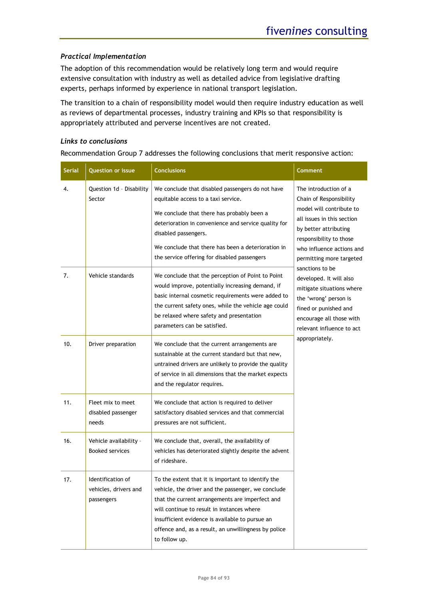### *Practical Implementation*

The adoption of this recommendation would be relatively long term and would require extensive consultation with industry as well as detailed advice from legislative drafting experts, perhaps informed by experience in national transport legislation.

The transition to a chain of responsibility model would then require industry education as well as reviews of departmental processes, industry training and KPIs so that responsibility is appropriately attributed and perverse incentives are not created.

### *Links to conclusions*

Recommendation Group 7 addresses the following conclusions that merit responsive action:

| <b>Serial</b> | <b>Question or issue</b>                                 | <b>Conclusions</b>                                                                                                                                                                                                                                                                                                                    | Comment                                                                                                                                                                                                                 |
|---------------|----------------------------------------------------------|---------------------------------------------------------------------------------------------------------------------------------------------------------------------------------------------------------------------------------------------------------------------------------------------------------------------------------------|-------------------------------------------------------------------------------------------------------------------------------------------------------------------------------------------------------------------------|
| 4.            | Question 1d - Disability<br>Sector                       | We conclude that disabled passengers do not have<br>equitable access to a taxi service.<br>We conclude that there has probably been a<br>deterioration in convenience and service quality for<br>disabled passengers.<br>We conclude that there has been a deterioration in<br>the service offering for disabled passengers           | The introduction of a<br>Chain of Responsibility<br>model will contribute to<br>all issues in this section<br>by better attributing<br>responsibility to those<br>who influence actions and<br>permitting more targeted |
| 7.            | Vehicle standards                                        | We conclude that the perception of Point to Point<br>would improve, potentially increasing demand, if<br>basic internal cosmetic requirements were added to<br>the current safety ones, while the vehicle age could<br>be relaxed where safety and presentation<br>parameters can be satisfied.                                       | sanctions to be<br>developed. It will also<br>mitigate situations where<br>the 'wrong' person is<br>fined or punished and<br>encourage all those with<br>relevant influence to act                                      |
| 10.           | Driver preparation                                       | We conclude that the current arrangements are<br>sustainable at the current standard but that new,<br>untrained drivers are unlikely to provide the quality<br>of service in all dimensions that the market expects<br>and the regulator requires.                                                                                    | appropriately.                                                                                                                                                                                                          |
| 11.           | Fleet mix to meet<br>disabled passenger<br>needs         | We conclude that action is required to deliver<br>satisfactory disabled services and that commercial<br>pressures are not sufficient.                                                                                                                                                                                                 |                                                                                                                                                                                                                         |
| 16.           | Vehicle availability -<br><b>Booked services</b>         | We conclude that, overall, the availability of<br>vehicles has deteriorated slightly despite the advent<br>of rideshare.                                                                                                                                                                                                              |                                                                                                                                                                                                                         |
| 17.           | Identification of<br>vehicles, drivers and<br>passengers | To the extent that it is important to identify the<br>vehicle, the driver and the passenger, we conclude<br>that the current arrangements are imperfect and<br>will continue to result in instances where<br>insufficient evidence is available to pursue an<br>offence and, as a result, an unwillingness by police<br>to follow up. |                                                                                                                                                                                                                         |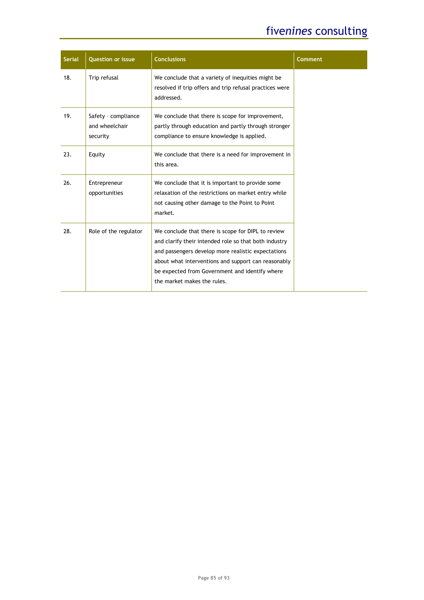| <b>Serial</b> | <b>Question or issue</b>                          | <b>Conclusions</b>                                                                                                                                                                                                                                                                                        | <b>Comment</b> |
|---------------|---------------------------------------------------|-----------------------------------------------------------------------------------------------------------------------------------------------------------------------------------------------------------------------------------------------------------------------------------------------------------|----------------|
| 18.           | Trip refusal                                      | We conclude that a variety of inequities might be.<br>resolved if trip offers and trip refusal practices were<br>addressed.                                                                                                                                                                               |                |
| 19.           | Safety - compliance<br>and wheelchair<br>security | We conclude that there is scope for improvement,<br>partly through education and partly through stronger<br>compliance to ensure knowledge is applied.                                                                                                                                                    |                |
| 23.           | Equity                                            | We conclude that there is a need for improvement in<br>this area.                                                                                                                                                                                                                                         |                |
| 26.           | Entrepreneur<br>opportunities                     | We conclude that it is important to provide some<br>relaxation of the restrictions on market entry while<br>not causing other damage to the Point to Point<br>market.                                                                                                                                     |                |
| 28.           | Role of the regulator                             | We conclude that there is scope for DIPL to review<br>and clarify their intended role so that both industry<br>and passengers develop more realistic expectations<br>about what interventions and support can reasonably<br>be expected from Government and identify where<br>the market makes the rules. |                |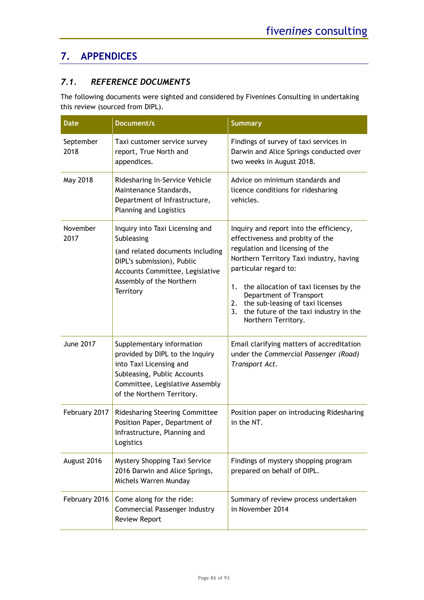# **7. APPENDICES**

# *7.1. REFERENCE DOCUMENTS*

The following documents were sighted and considered by Fivenines Consulting in undertaking this review (sourced from DIPL).

| <b>Date</b>       | <b>Document/s</b>                                                                                                                                                                           | <b>Summary</b>                                                                                                                                                                                                                                                                                                                                                                  |
|-------------------|---------------------------------------------------------------------------------------------------------------------------------------------------------------------------------------------|---------------------------------------------------------------------------------------------------------------------------------------------------------------------------------------------------------------------------------------------------------------------------------------------------------------------------------------------------------------------------------|
| September<br>2018 | Taxi customer service survey<br>report, True North and<br>appendices.                                                                                                                       | Findings of survey of taxi services in<br>Darwin and Alice Springs conducted over<br>two weeks in August 2018.                                                                                                                                                                                                                                                                  |
| May 2018          | Ridesharing In-Service Vehicle<br>Maintenance Standards,<br>Department of Infrastructure,<br><b>Planning and Logistics</b>                                                                  | Advice on minimum standards and<br>licence conditions for ridesharing<br>vehicles.                                                                                                                                                                                                                                                                                              |
| November<br>2017  | Inquiry into Taxi Licensing and<br>Subleasing<br>(and related documents including<br>DIPL's submission), Public<br>Accounts Committee, Legislative<br>Assembly of the Northern<br>Territory | Inquiry and report into the efficiency,<br>effectiveness and probity of the<br>regulation and licensing of the<br>Northern Territory Taxi industry, having<br>particular regard to:<br>the allocation of taxi licenses by the<br>1.<br>Department of Transport<br>the sub-leasing of taxi licenses<br>2.<br>the future of the taxi industry in the<br>3.<br>Northern Territory. |
| <b>June 2017</b>  | Supplementary information<br>provided by DIPL to the Inquiry<br>into Taxi Licensing and<br>Subleasing, Public Accounts<br>Committee, Legislative Assembly<br>of the Northern Territory.     | Email clarifying matters of accreditation<br>under the Commercial Passenger (Road)<br>Transport Act.                                                                                                                                                                                                                                                                            |
| February 2017     | Ridesharing Steering Committee<br>Position Paper, Department of<br>Infrastructure, Planning and<br>Logistics                                                                                | Position paper on introducing Ridesharing<br>in the NT.                                                                                                                                                                                                                                                                                                                         |
| August 2016       | Mystery Shopping Taxi Service<br>2016 Darwin and Alice Springs,<br>Michels Warren Munday                                                                                                    | Findings of mystery shopping program<br>prepared on behalf of DIPL.                                                                                                                                                                                                                                                                                                             |
| February 2016     | Come along for the ride:<br>Commercial Passenger Industry<br><b>Review Report</b>                                                                                                           | Summary of review process undertaken<br>in November 2014                                                                                                                                                                                                                                                                                                                        |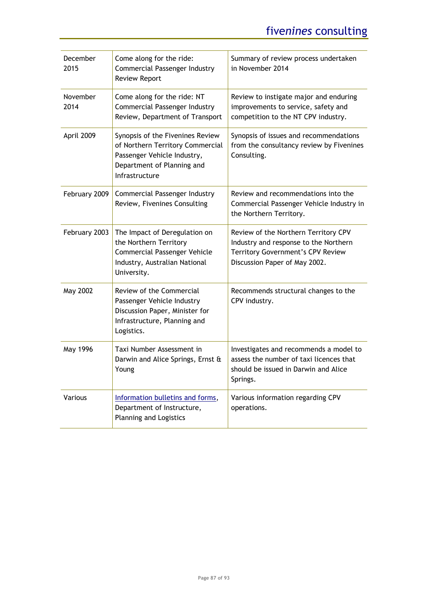| December<br>2015 | Come along for the ride:<br>Commercial Passenger Industry<br><b>Review Report</b>                                                                   | Summary of review process undertaken<br>in November 2014                                                                                            |
|------------------|-----------------------------------------------------------------------------------------------------------------------------------------------------|-----------------------------------------------------------------------------------------------------------------------------------------------------|
| November<br>2014 | Come along for the ride: NT<br>Commercial Passenger Industry<br>Review, Department of Transport                                                     | Review to instigate major and enduring<br>improvements to service, safety and<br>competition to the NT CPV industry.                                |
| April 2009       | Synopsis of the Fivenines Review<br>of Northern Territory Commercial<br>Passenger Vehicle Industry,<br>Department of Planning and<br>Infrastructure | Synopsis of issues and recommendations<br>from the consultancy review by Fivenines<br>Consulting.                                                   |
| February 2009    | Commercial Passenger Industry<br>Review, Fivenines Consulting                                                                                       | Review and recommendations into the<br>Commercial Passenger Vehicle Industry in<br>the Northern Territory.                                          |
| February 2003    | The Impact of Deregulation on<br>the Northern Territory<br><b>Commercial Passenger Vehicle</b><br>Industry, Australian National<br>University.      | Review of the Northern Territory CPV<br>Industry and response to the Northern<br>Territory Government's CPV Review<br>Discussion Paper of May 2002. |
| May 2002         | Review of the Commercial<br>Passenger Vehicle Industry<br>Discussion Paper, Minister for<br>Infrastructure, Planning and<br>Logistics.              | Recommends structural changes to the<br>CPV industry.                                                                                               |
| May 1996         | Taxi Number Assessment in<br>Darwin and Alice Springs, Ernst &<br>Young                                                                             | Investigates and recommends a model to<br>assess the number of taxi licences that<br>should be issued in Darwin and Alice<br>Springs.               |
| Various          | Information bulletins and forms,<br>Department of Instructure,<br>Planning and Logistics                                                            | Various information regarding CPV<br>operations.                                                                                                    |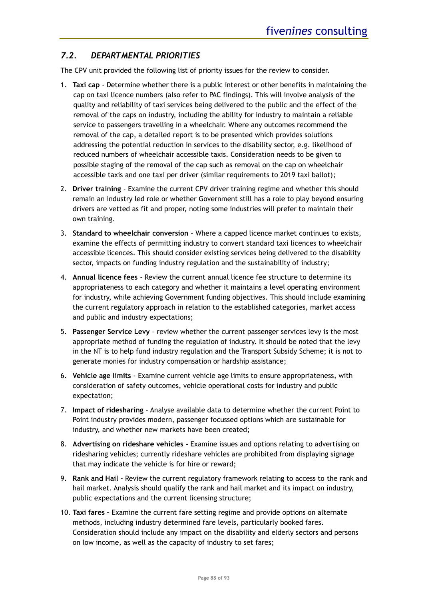# *7.2. DEPARTMENTAL PRIORITIES*

The CPV unit provided the following list of priority issues for the review to consider.

- 1. **Taxi cap** Determine whether there is a public interest or other benefits in maintaining the cap on taxi licence numbers (also refer to PAC findings). This will involve analysis of the quality and reliability of taxi services being delivered to the public and the effect of the removal of the caps on industry, including the ability for industry to maintain a reliable service to passengers travelling in a wheelchair. Where any outcomes recommend the removal of the cap, a detailed report is to be presented which provides solutions addressing the potential reduction in services to the disability sector, e.g. likelihood of reduced numbers of wheelchair accessible taxis. Consideration needs to be given to possible staging of the removal of the cap such as removal on the cap on wheelchair accessible taxis and one taxi per driver (similar requirements to 2019 taxi ballot);
- 2. **Driver training** Examine the current CPV driver training regime and whether this should remain an industry led role or whether Government still has a role to play beyond ensuring drivers are vetted as fit and proper, noting some industries will prefer to maintain their own training.
- 3. **Standard to wheelchair conversion** Where a capped licence market continues to exists, examine the effects of permitting industry to convert standard taxi licences to wheelchair accessible licences. This should consider existing services being delivered to the disability sector, impacts on funding industry regulation and the sustainability of industry;
- 4. **Annual licence fees** Review the current annual licence fee structure to determine its appropriateness to each category and whether it maintains a level operating environment for industry, while achieving Government funding objectives. This should include examining the current regulatory approach in relation to the established categories, market access and public and industry expectations;
- 5. **Passenger Service Levy**  review whether the current passenger services levy is the most appropriate method of funding the regulation of industry. It should be noted that the levy in the NT is to help fund industry regulation and the Transport Subsidy Scheme; it is not to generate monies for industry compensation or hardship assistance;
- 6. **Vehicle age limits** Examine current vehicle age limits to ensure appropriateness, with consideration of safety outcomes, vehicle operational costs for industry and public expectation;
- 7. **Impact of ridesharing** Analyse available data to determine whether the current Point to Point industry provides modern, passenger focussed options which are sustainable for industry, and whether new markets have been created;
- 8. **Advertising on rideshare vehicles -** Examine issues and options relating to advertising on ridesharing vehicles; currently rideshare vehicles are prohibited from displaying signage that may indicate the vehicle is for hire or reward;
- 9. **Rank and Hail -** Review the current regulatory framework relating to access to the rank and hail market. Analysis should qualify the rank and hail market and its impact on industry, public expectations and the current licensing structure;
- 10. **Taxi fares –** Examine the current fare setting regime and provide options on alternate methods, including industry determined fare levels, particularly booked fares. Consideration should include any impact on the disability and elderly sectors and persons on low income, as well as the capacity of industry to set fares;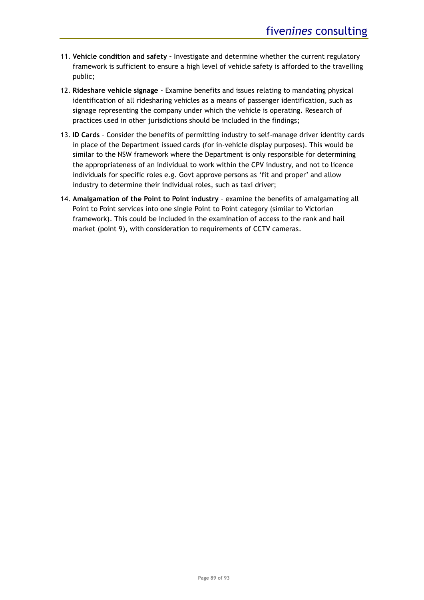- 11. **Vehicle condition and safety -** Investigate and determine whether the current regulatory framework is sufficient to ensure a high level of vehicle safety is afforded to the travelling public;
- 12. **Rideshare vehicle signage** Examine benefits and issues relating to mandating physical identification of all ridesharing vehicles as a means of passenger identification, such as signage representing the company under which the vehicle is operating. Research of practices used in other jurisdictions should be included in the findings;
- 13. **ID Cards**  Consider the benefits of permitting industry to self-manage driver identity cards in place of the Department issued cards (for in-vehicle display purposes). This would be similar to the NSW framework where the Department is only responsible for determining the appropriateness of an individual to work within the CPV industry, and not to licence individuals for specific roles e.g. Govt approve persons as 'fit and proper' and allow industry to determine their individual roles, such as taxi driver;
- 14. **Amalgamation of the Point to Point industry**  examine the benefits of amalgamating all Point to Point services into one single Point to Point category (similar to Victorian framework). This could be included in the examination of access to the rank and hail market (point 9), with consideration to requirements of CCTV cameras.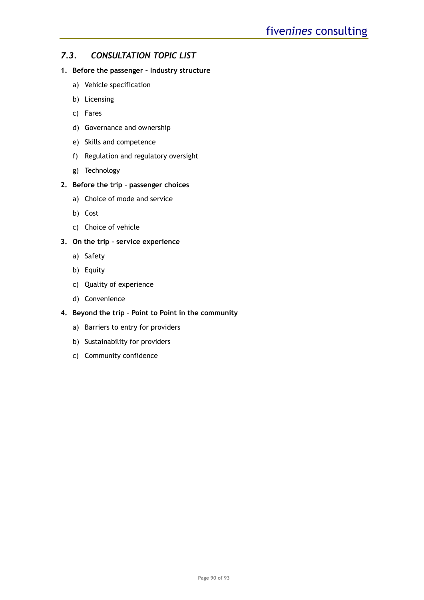### *7.3. CONSULTATION TOPIC LIST*

### **1. Before the passenger – Industry structure**

- a) Vehicle specification
- b) Licensing
- c) Fares
- d) Governance and ownership
- e) Skills and competence
- f) Regulation and regulatory oversight
- g) Technology

### **2. Before the trip – passenger choices**

- a) Choice of mode and service
- b) Cost
- c) Choice of vehicle

### **3. On the trip – service experience**

- a) Safety
- b) Equity
- c) Quality of experience
- d) Convenience

### **4. Beyond the trip – Point to Point in the community**

- a) Barriers to entry for providers
- b) Sustainability for providers
- c) Community confidence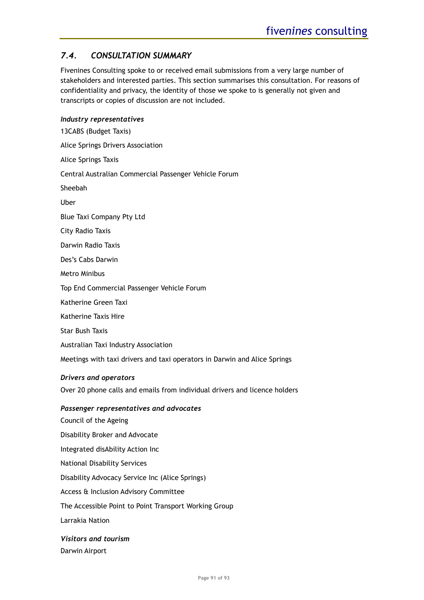# *7.4. CONSULTATION SUMMARY*

Fivenines Consulting spoke to or received email submissions from a very large number of stakeholders and interested parties. This section summarises this consultation. For reasons of confidentiality and privacy, the identity of those we spoke to is generally not given and transcripts or copies of discussion are not included.

### *Industry representatives*

13CABS (Budget Taxis) Alice Springs Drivers Association Alice Springs Taxis Central Australian Commercial Passenger Vehicle Forum Sheebah Uber Blue Taxi Company Pty Ltd City Radio Taxis Darwin Radio Taxis Des's Cabs Darwin Metro Minibus Top End Commercial Passenger Vehicle Forum Katherine Green Taxi Katherine Taxis Hire Star Bush Taxis Australian Taxi Industry Association Meetings with taxi drivers and taxi operators in Darwin and Alice Springs

### *Drivers and operators*

Over 20 phone calls and emails from individual drivers and licence holders

### *Passenger representatives and advocates*

Council of the Ageing Disability Broker and Advocate Integrated disAbility Action Inc National Disability Services Disability Advocacy Service Inc (Alice Springs) Access & Inclusion Advisory Committee The Accessible Point to Point Transport Working Group Larrakia Nation

*Visitors and tourism* Darwin Airport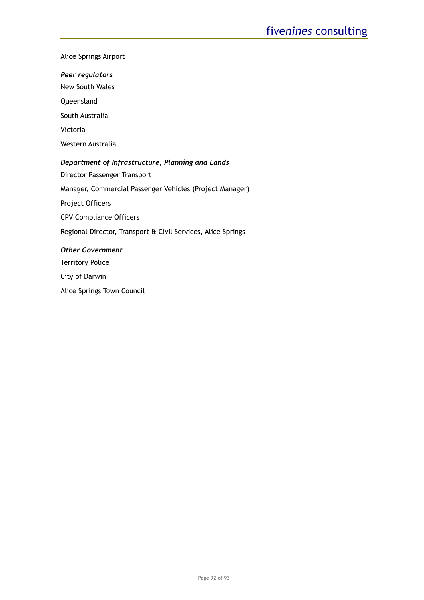#### Alice Springs Airport

*Peer regulators*

New South Wales

Queensland

South Australia

Victoria

Western Australia

### *Department of Infrastructure, Planning and Lands*

Director Passenger Transport

Manager, Commercial Passenger Vehicles (Project Manager)

Project Officers

CPV Compliance Officers

Regional Director, Transport & Civil Services, Alice Springs

### *Other Government*

Territory Police

City of Darwin

Alice Springs Town Council